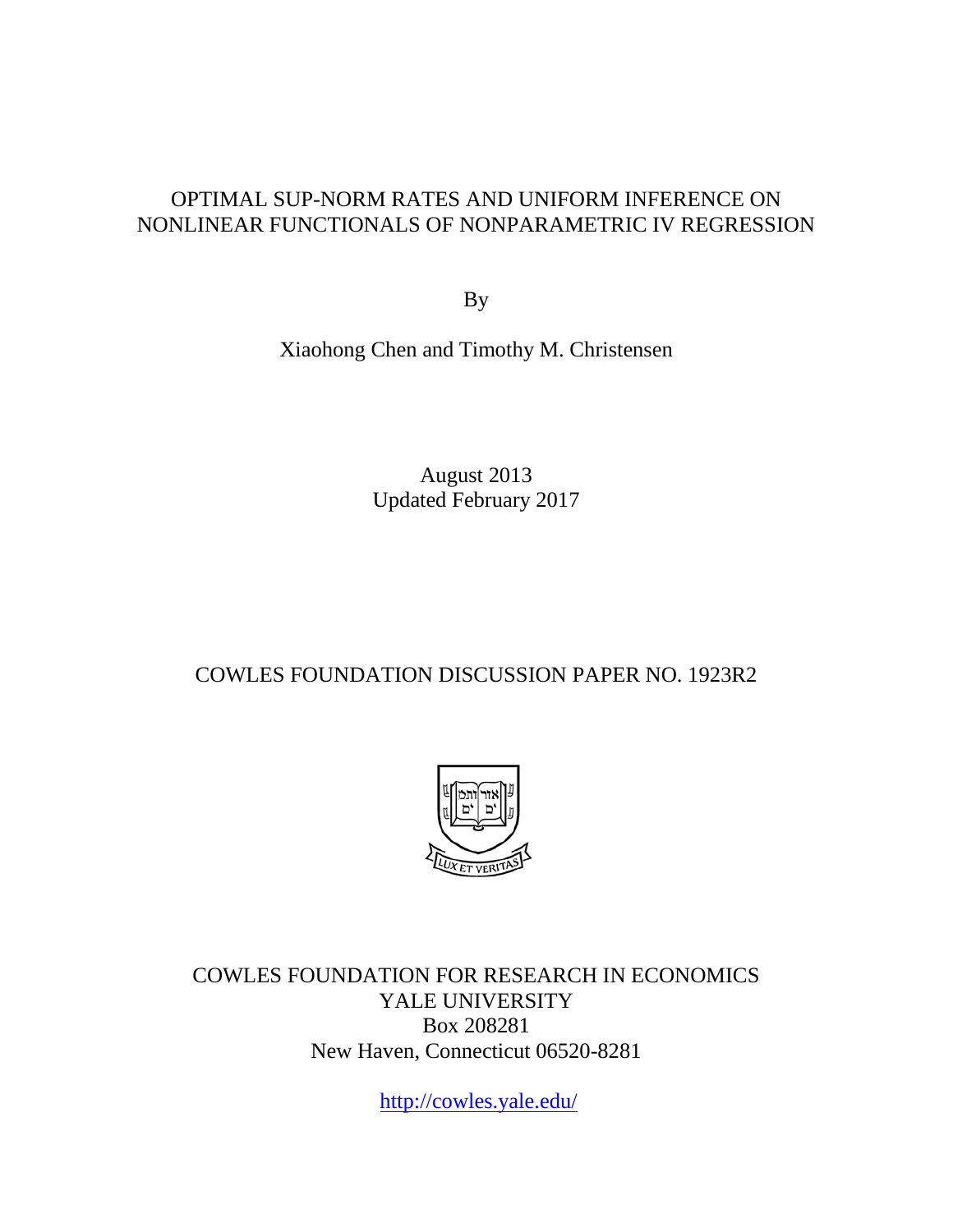## OPTIMAL SUP-NORM RATES AND UNIFORM INFERENCE ON NONLINEAR FUNCTIONALS OF NONPARAMETRIC IV REGRESSION

By

Xiaohong Chen and Timothy M. Christensen

August 2013 Updated February 2017

## COWLES FOUNDATION DISCUSSION PAPER NO. 1923R2



COWLES FOUNDATION FOR RESEARCH IN ECONOMICS YALE UNIVERSITY Box 208281 New Haven, Connecticut 06520-8281

<http://cowles.yale.edu/>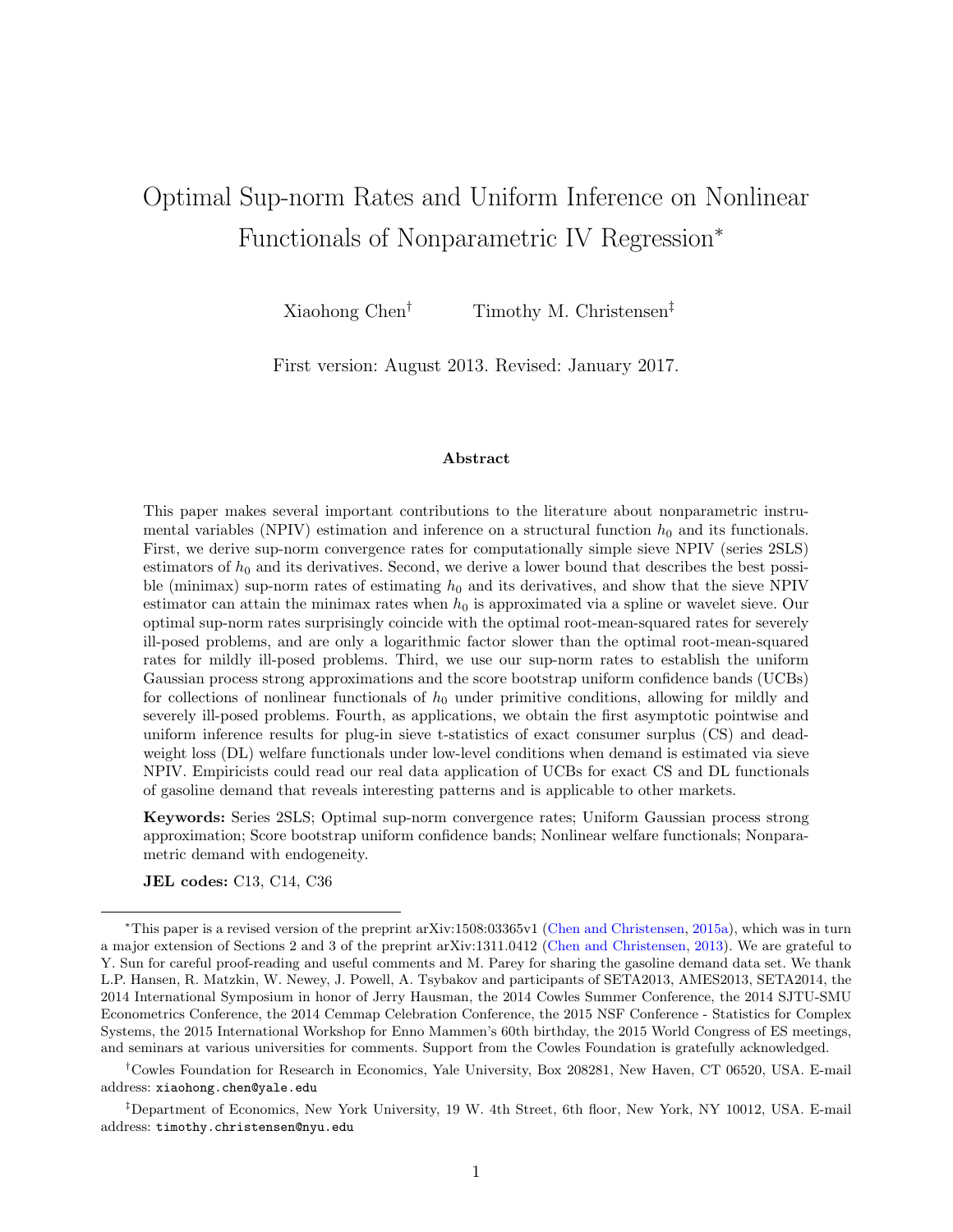# Optimal Sup-norm Rates and Uniform Inference on Nonlinear Functionals of Nonparametric IV Regression<sup>∗</sup>

Xiaohong Chen<sup>†</sup> Timothy M. Christensen<sup>‡</sup>

First version: August 2013. Revised: January 2017.

#### Abstract

This paper makes several important contributions to the literature about nonparametric instrumental variables (NPIV) estimation and inference on a structural function  $h_0$  and its functionals. First, we derive sup-norm convergence rates for computationally simple sieve NPIV (series 2SLS) estimators of  $h_0$  and its derivatives. Second, we derive a lower bound that describes the best possible (minimax) sup-norm rates of estimating  $h_0$  and its derivatives, and show that the sieve NPIV estimator can attain the minimax rates when  $h_0$  is approximated via a spline or wavelet sieve. Our optimal sup-norm rates surprisingly coincide with the optimal root-mean-squared rates for severely ill-posed problems, and are only a logarithmic factor slower than the optimal root-mean-squared rates for mildly ill-posed problems. Third, we use our sup-norm rates to establish the uniform Gaussian process strong approximations and the score bootstrap uniform confidence bands (UCBs) for collections of nonlinear functionals of  $h_0$  under primitive conditions, allowing for mildly and severely ill-posed problems. Fourth, as applications, we obtain the first asymptotic pointwise and uniform inference results for plug-in sieve t-statistics of exact consumer surplus (CS) and deadweight loss (DL) welfare functionals under low-level conditions when demand is estimated via sieve NPIV. Empiricists could read our real data application of UCBs for exact CS and DL functionals of gasoline demand that reveals interesting patterns and is applicable to other markets.

Keywords: Series 2SLS; Optimal sup-norm convergence rates; Uniform Gaussian process strong approximation; Score bootstrap uniform confidence bands; Nonlinear welfare functionals; Nonparametric demand with endogeneity.

JEL codes: C13, C14, C36

†Cowles Foundation for Research in Economics, Yale University, Box 208281, New Haven, CT 06520, USA. E-mail address: xiaohong.chen@yale.edu

<sup>∗</sup>This paper is a revised version of the preprint arXiv:1508:03365v1 [\(Chen and Christensen,](#page-37-0) [2015a\)](#page-37-0), which was in turn a major extension of Sections 2 and 3 of the preprint arXiv:1311.0412 [\(Chen and Christensen,](#page-37-1) [2013\)](#page-37-1). We are grateful to Y. Sun for careful proof-reading and useful comments and M. Parey for sharing the gasoline demand data set. We thank L.P. Hansen, R. Matzkin, W. Newey, J. Powell, A. Tsybakov and participants of SETA2013, AMES2013, SETA2014, the 2014 International Symposium in honor of Jerry Hausman, the 2014 Cowles Summer Conference, the 2014 SJTU-SMU Econometrics Conference, the 2014 Cemmap Celebration Conference, the 2015 NSF Conference - Statistics for Complex Systems, the 2015 International Workshop for Enno Mammen's 60th birthday, the 2015 World Congress of ES meetings, and seminars at various universities for comments. Support from the Cowles Foundation is gratefully acknowledged.

<sup>‡</sup>Department of Economics, New York University, 19 W. 4th Street, 6th floor, New York, NY 10012, USA. E-mail address: timothy.christensen@nyu.edu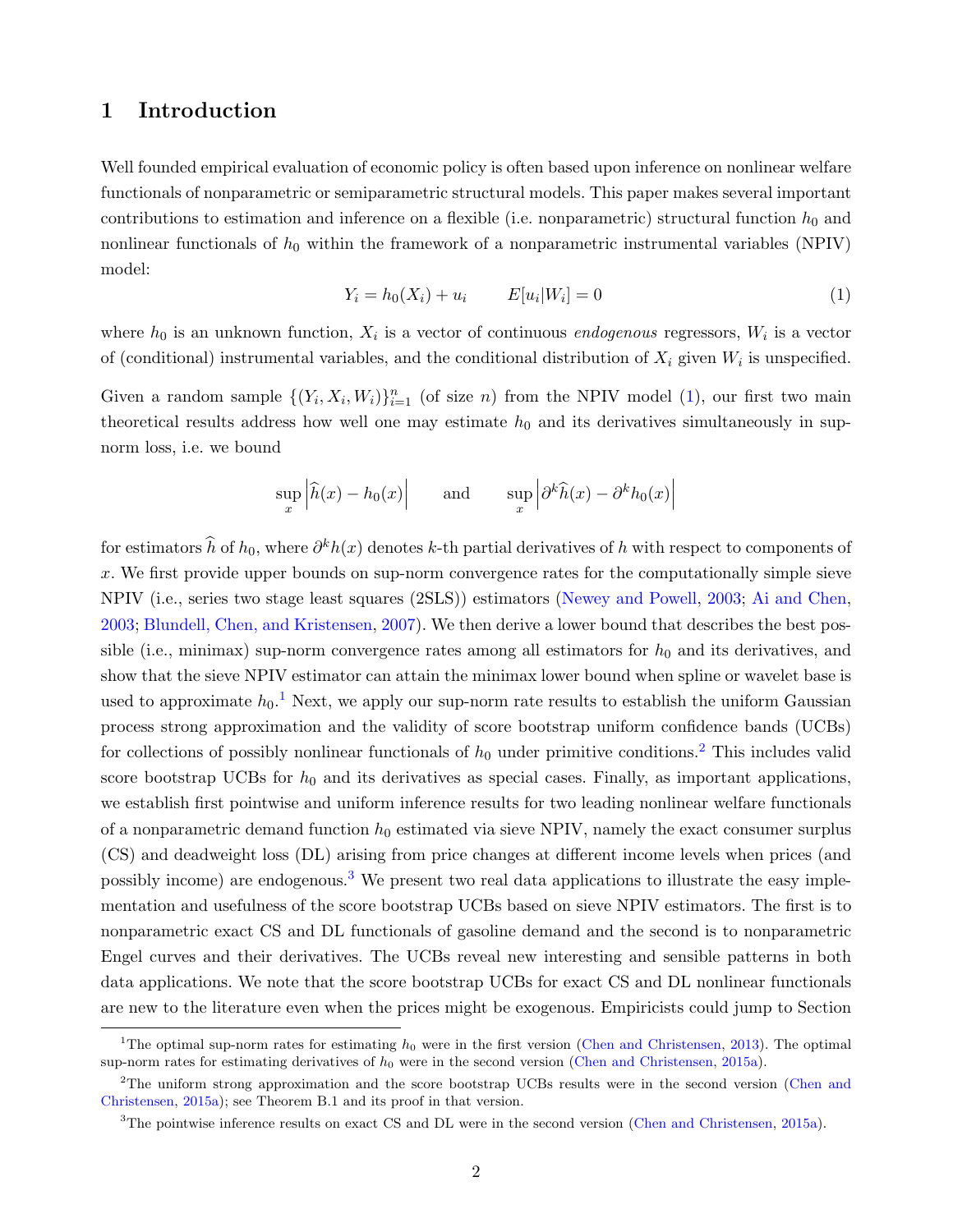### 1 Introduction

Well founded empirical evaluation of economic policy is often based upon inference on nonlinear welfare functionals of nonparametric or semiparametric structural models. This paper makes several important contributions to estimation and inference on a flexible (i.e. nonparametric) structural function  $h_0$  and nonlinear functionals of  $h_0$  within the framework of a nonparametric instrumental variables (NPIV) model:

<span id="page-2-0"></span>
$$
Y_i = h_0(X_i) + u_i \t E[u_i|W_i] = 0 \t (1)
$$

where  $h_0$  is an unknown function,  $X_i$  is a vector of continuous *endogenous* regressors,  $W_i$  is a vector of (conditional) instrumental variables, and the conditional distribution of  $X_i$  given  $W_i$  is unspecified.

Given a random sample  $\{(Y_i, X_i, W_i)\}_{i=1}^n$  (of size n) from the NPIV model [\(1\)](#page-2-0), our first two main theoretical results address how well one may estimate  $h_0$  and its derivatives simultaneously in supnorm loss, i.e. we bound

$$
\sup_x \left| \widehat{h}(x) - h_0(x) \right| \quad \text{and} \quad \sup_x \left| \partial^k \widehat{h}(x) - \partial^k h_0(x) \right|
$$

for estimators  $\hat{h}$  of  $h_0$ , where  $\partial^k h(x)$  denotes k-th partial derivatives of h with respect to components of  $x$ . We first provide upper bounds on sup-norm convergence rates for the computationally simple sieve NPIV (i.e., series two stage least squares (2SLS)) estimators [\(Newey and Powell,](#page-39-0) [2003;](#page-39-0) [Ai and Chen,](#page-37-2) [2003;](#page-37-2) [Blundell, Chen, and Kristensen,](#page-37-3) [2007\)](#page-37-3). We then derive a lower bound that describes the best possible (i.e., minimax) sup-norm convergence rates among all estimators for  $h_0$  and its derivatives, and show that the sieve NPIV estimator can attain the minimax lower bound when spline or wavelet base is used to approximate  $h_0$ .<sup>[1](#page-2-1)</sup> Next, we apply our sup-norm rate results to establish the uniform Gaussian process strong approximation and the validity of score bootstrap uniform confidence bands (UCBs) for collections of possibly nonlinear functionals of  $h_0$  under primitive conditions.<sup>[2](#page-2-2)</sup> This includes valid score bootstrap UCBs for  $h_0$  and its derivatives as special cases. Finally, as important applications, we establish first pointwise and uniform inference results for two leading nonlinear welfare functionals of a nonparametric demand function  $h_0$  estimated via sieve NPIV, namely the exact consumer surplus (CS) and deadweight loss (DL) arising from price changes at different income levels when prices (and possibly income) are endogenous.[3](#page-2-3) We present two real data applications to illustrate the easy implementation and usefulness of the score bootstrap UCBs based on sieve NPIV estimators. The first is to nonparametric exact CS and DL functionals of gasoline demand and the second is to nonparametric Engel curves and their derivatives. The UCBs reveal new interesting and sensible patterns in both data applications. We note that the score bootstrap UCBs for exact CS and DL nonlinear functionals are new to the literature even when the prices might be exogenous. Empiricists could jump to Section

<span id="page-2-1"></span><sup>&</sup>lt;sup>1</sup>The optimal sup-norm rates for estimating  $h_0$  were in the first version [\(Chen and Christensen,](#page-37-1) [2013\)](#page-37-1). The optimal sup-norm rates for estimating derivatives of  $h_0$  were in the second version [\(Chen and Christensen,](#page-37-0) [2015a\)](#page-37-0).

<span id="page-2-2"></span><sup>&</sup>lt;sup>2</sup>The uniform strong approximation and the score bootstrap UCBs results were in the second version [\(Chen and](#page-37-0) [Christensen,](#page-37-0) [2015a\)](#page-37-0); see Theorem B.1 and its proof in that version.

<span id="page-2-3"></span><sup>&</sup>lt;sup>3</sup>The pointwise inference results on exact CS and DL were in the second version [\(Chen and Christensen,](#page-37-0) [2015a\)](#page-37-0).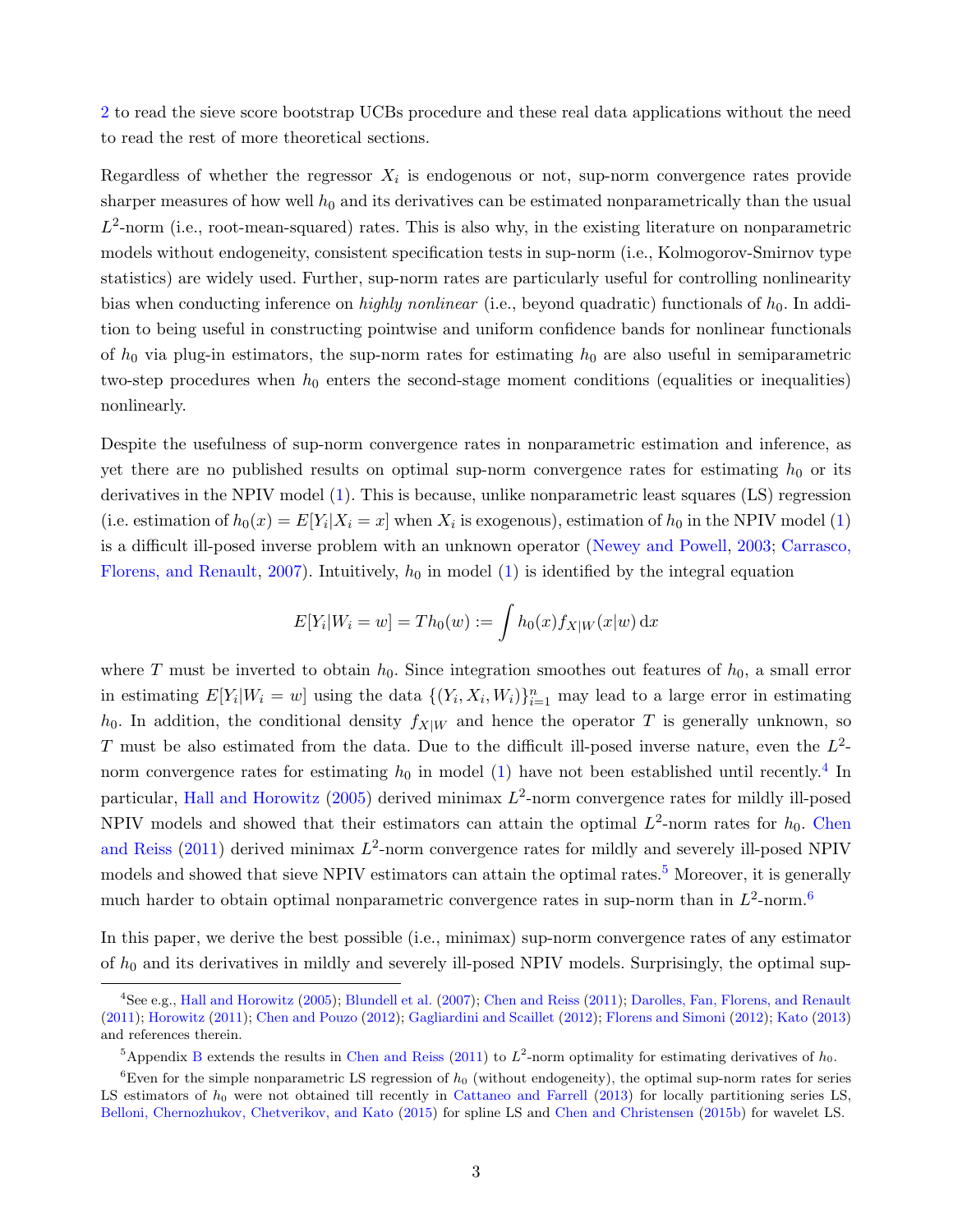[2](#page-6-0) to read the sieve score bootstrap UCBs procedure and these real data applications without the need to read the rest of more theoretical sections.

Regardless of whether the regressor  $X_i$  is endogenous or not, sup-norm convergence rates provide sharper measures of how well  $h_0$  and its derivatives can be estimated nonparametrically than the usual  $L^2$ -norm (i.e., root-mean-squared) rates. This is also why, in the existing literature on nonparametric models without endogeneity, consistent specification tests in sup-norm (i.e., Kolmogorov-Smirnov type statistics) are widely used. Further, sup-norm rates are particularly useful for controlling nonlinearity bias when conducting inference on *highly nonlinear* (i.e., beyond quadratic) functionals of  $h_0$ . In addition to being useful in constructing pointwise and uniform confidence bands for nonlinear functionals of  $h_0$  via plug-in estimators, the sup-norm rates for estimating  $h_0$  are also useful in semiparametric two-step procedures when  $h_0$  enters the second-stage moment conditions (equalities or inequalities) nonlinearly.

Despite the usefulness of sup-norm convergence rates in nonparametric estimation and inference, as yet there are no published results on optimal sup-norm convergence rates for estimating  $h_0$  or its derivatives in the NPIV model [\(1\)](#page-2-0). This is because, unlike nonparametric least squares (LS) regression (i.e. estimation of  $h_0(x) = E[Y_i | X_i = x]$  when  $X_i$  is exogenous), estimation of  $h_0$  in the NPIV model [\(1\)](#page-2-0) is a difficult ill-posed inverse problem with an unknown operator [\(Newey and Powell,](#page-39-0) [2003;](#page-39-0) [Carrasco,](#page-37-4) [Florens, and Renault,](#page-37-4) [2007\)](#page-37-4). Intuitively,  $h_0$  in model [\(1\)](#page-2-0) is identified by the integral equation

$$
E[Y_i|W_i = w] = Th_0(w) := \int h_0(x) f_{X|W}(x|w) dx
$$

where T must be inverted to obtain  $h_0$ . Since integration smoothes out features of  $h_0$ , a small error in estimating  $E[Y_i|W_i=w]$  using the data  $\{(Y_i, X_i, W_i)\}_{i=1}^n$  may lead to a large error in estimating  $h_0$ . In addition, the conditional density  $f_{X|W}$  and hence the operator T is generally unknown, so T must be also estimated from the data. Due to the difficult ill-posed inverse nature, even the  $L^2$ norm convergence rates for estimating  $h_0$  in model [\(1\)](#page-2-0) have not been established until recently.<sup>[4](#page-3-0)</sup> In particular, [Hall and Horowitz](#page-38-0) [\(2005\)](#page-38-0) derived minimax  $L^2$ -norm convergence rates for mildly ill-posed NPIV models and showed that their estimators can attain the optimal  $L^2$ -norm rates for  $h_0$ . [Chen](#page-38-1) [and Reiss](#page-38-1)  $(2011)$  derived minimax  $L^2$ -norm convergence rates for mildly and severely ill-posed NPIV models and showed that sieve NPIV estimators can attain the optimal rates.<sup>[5](#page-3-1)</sup> Moreover, it is generally much harder to obtain optimal nonparametric convergence rates in sup-norm than in  $L^2$ -norm.<sup>[6](#page-3-2)</sup>

In this paper, we derive the best possible (i.e., minimax) sup-norm convergence rates of any estimator of  $h_0$  and its derivatives in mildly and severely ill-posed NPIV models. Surprisingly, the optimal sup-

<span id="page-3-0"></span><sup>4</sup>See e.g., [Hall and Horowitz](#page-38-0) [\(2005\)](#page-38-0); [Blundell et al.](#page-37-3) [\(2007\)](#page-37-3); [Chen and Reiss](#page-38-1) [\(2011\)](#page-38-1); [Darolles, Fan, Florens, and Renault](#page-38-2) [\(2011\)](#page-38-2); [Horowitz](#page-38-3) [\(2011\)](#page-38-3); [Chen and Pouzo](#page-38-4) [\(2012\)](#page-38-4); [Gagliardini and Scaillet](#page-38-5) [\(2012\)](#page-38-5); [Florens and Simoni](#page-38-6) [\(2012\)](#page-38-6); [Kato](#page-39-1) [\(2013\)](#page-39-1) and references therein.

<span id="page-3-2"></span><span id="page-3-1"></span><sup>&</sup>lt;sup>5</sup>Appendix [B](#page-41-0) extends the results in [Chen and Reiss](#page-38-1) [\(2011\)](#page-38-1) to  $L^2$ -norm optimality for estimating derivatives of  $h_0$ .

<sup>&</sup>lt;sup>6</sup>Even for the simple nonparametric LS regression of  $h_0$  (without endogeneity), the optimal sup-norm rates for series LS estimators of  $h_0$  were not obtained till recently in [Cattaneo and Farrell](#page-37-5) [\(2013\)](#page-37-5) for locally partitioning series LS, [Belloni, Chernozhukov, Chetverikov, and Kato](#page-37-6) [\(2015\)](#page-37-6) for spline LS and [Chen and Christensen](#page-37-7) [\(2015b\)](#page-37-7) for wavelet LS.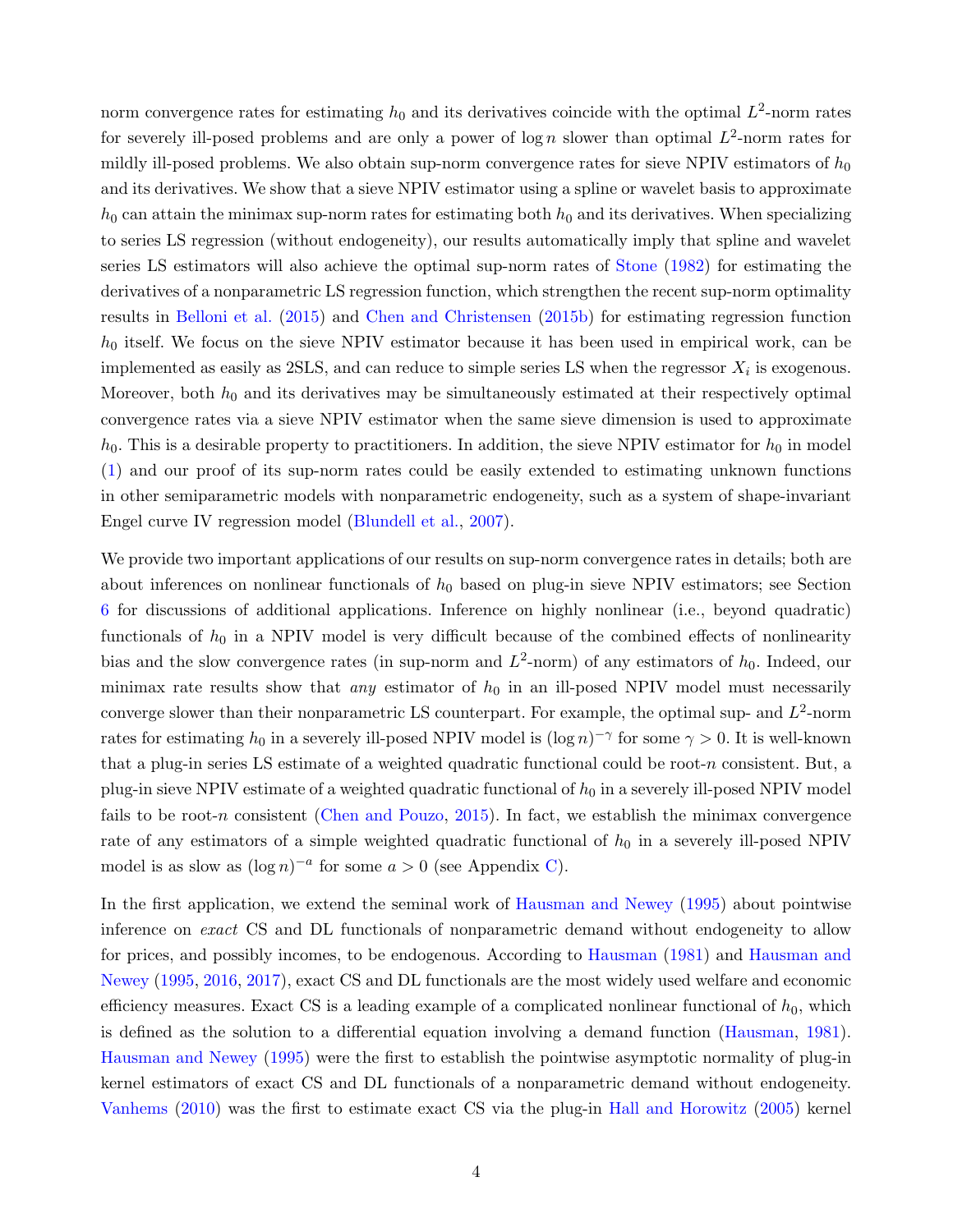norm convergence rates for estimating  $h_0$  and its derivatives coincide with the optimal  $L^2$ -norm rates for severely ill-posed problems and are only a power of  $\log n$  slower than optimal  $L^2$ -norm rates for mildly ill-posed problems. We also obtain sup-norm convergence rates for sieve NPIV estimators of  $h_0$ and its derivatives. We show that a sieve NPIV estimator using a spline or wavelet basis to approximate  $h_0$  can attain the minimax sup-norm rates for estimating both  $h_0$  and its derivatives. When specializing to series LS regression (without endogeneity), our results automatically imply that spline and wavelet series LS estimators will also achieve the optimal sup-norm rates of [Stone](#page-39-2) [\(1982\)](#page-39-2) for estimating the derivatives of a nonparametric LS regression function, which strengthen the recent sup-norm optimality results in [Belloni et al.](#page-37-6) [\(2015\)](#page-37-6) and [Chen and Christensen](#page-37-7) [\(2015b\)](#page-37-7) for estimating regression function  $h_0$  itself. We focus on the sieve NPIV estimator because it has been used in empirical work, can be implemented as easily as  $2SLS$ , and can reduce to simple series LS when the regressor  $X_i$  is exogenous. Moreover, both  $h_0$  and its derivatives may be simultaneously estimated at their respectively optimal convergence rates via a sieve NPIV estimator when the same sieve dimension is used to approximate  $h_0$ . This is a desirable property to practitioners. In addition, the sieve NPIV estimator for  $h_0$  in model [\(1\)](#page-2-0) and our proof of its sup-norm rates could be easily extended to estimating unknown functions in other semiparametric models with nonparametric endogeneity, such as a system of shape-invariant Engel curve IV regression model [\(Blundell et al.,](#page-37-3) [2007\)](#page-37-3).

We provide two important applications of our results on sup-norm convergence rates in details; both are about inferences on nonlinear functionals of  $h_0$  based on plug-in sieve NPIV estimators; see Section [6](#page-34-0) for discussions of additional applications. Inference on highly nonlinear (i.e., beyond quadratic) functionals of  $h_0$  in a NPIV model is very difficult because of the combined effects of nonlinearity bias and the slow convergence rates (in sup-norm and  $L^2$ -norm) of any estimators of  $h_0$ . Indeed, our minimax rate results show that *any* estimator of  $h_0$  in an ill-posed NPIV model must necessarily converge slower than their nonparametric LS counterpart. For example, the optimal sup- and  $L^2$ -norm rates for estimating  $h_0$  in a severely ill-posed NPIV model is  $(\log n)^{-\gamma}$  for some  $\gamma > 0$ . It is well-known that a plug-in series LS estimate of a weighted quadratic functional could be root-n consistent. But, a plug-in sieve NPIV estimate of a weighted quadratic functional of  $h_0$  in a severely ill-posed NPIV model fails to be root-n consistent [\(Chen and Pouzo,](#page-38-7) [2015\)](#page-38-7). In fact, we establish the minimax convergence rate of any estimators of a simple weighted quadratic functional of  $h_0$  in a severely ill-posed NPIV model is as slow as  $(\log n)^{-a}$  for some  $a > 0$  (see Appendix [C\)](#page-42-0).

In the first application, we extend the seminal work of [Hausman and Newey](#page-38-8) [\(1995\)](#page-38-8) about pointwise inference on exact CS and DL functionals of nonparametric demand without endogeneity to allow for prices, and possibly incomes, to be endogenous. According to [Hausman](#page-38-9) [\(1981\)](#page-38-9) and [Hausman and](#page-38-8) [Newey](#page-38-8) [\(1995,](#page-38-8) [2016,](#page-38-10) [2017\)](#page-38-11), exact CS and DL functionals are the most widely used welfare and economic efficiency measures. Exact CS is a leading example of a complicated nonlinear functional of  $h_0$ , which is defined as the solution to a differential equation involving a demand function [\(Hausman,](#page-38-9) [1981\)](#page-38-9). [Hausman and Newey](#page-38-8) [\(1995\)](#page-38-8) were the first to establish the pointwise asymptotic normality of plug-in kernel estimators of exact CS and DL functionals of a nonparametric demand without endogeneity. [Vanhems](#page-39-3) [\(2010\)](#page-39-3) was the first to estimate exact CS via the plug-in [Hall and Horowitz](#page-38-0) [\(2005\)](#page-38-0) kernel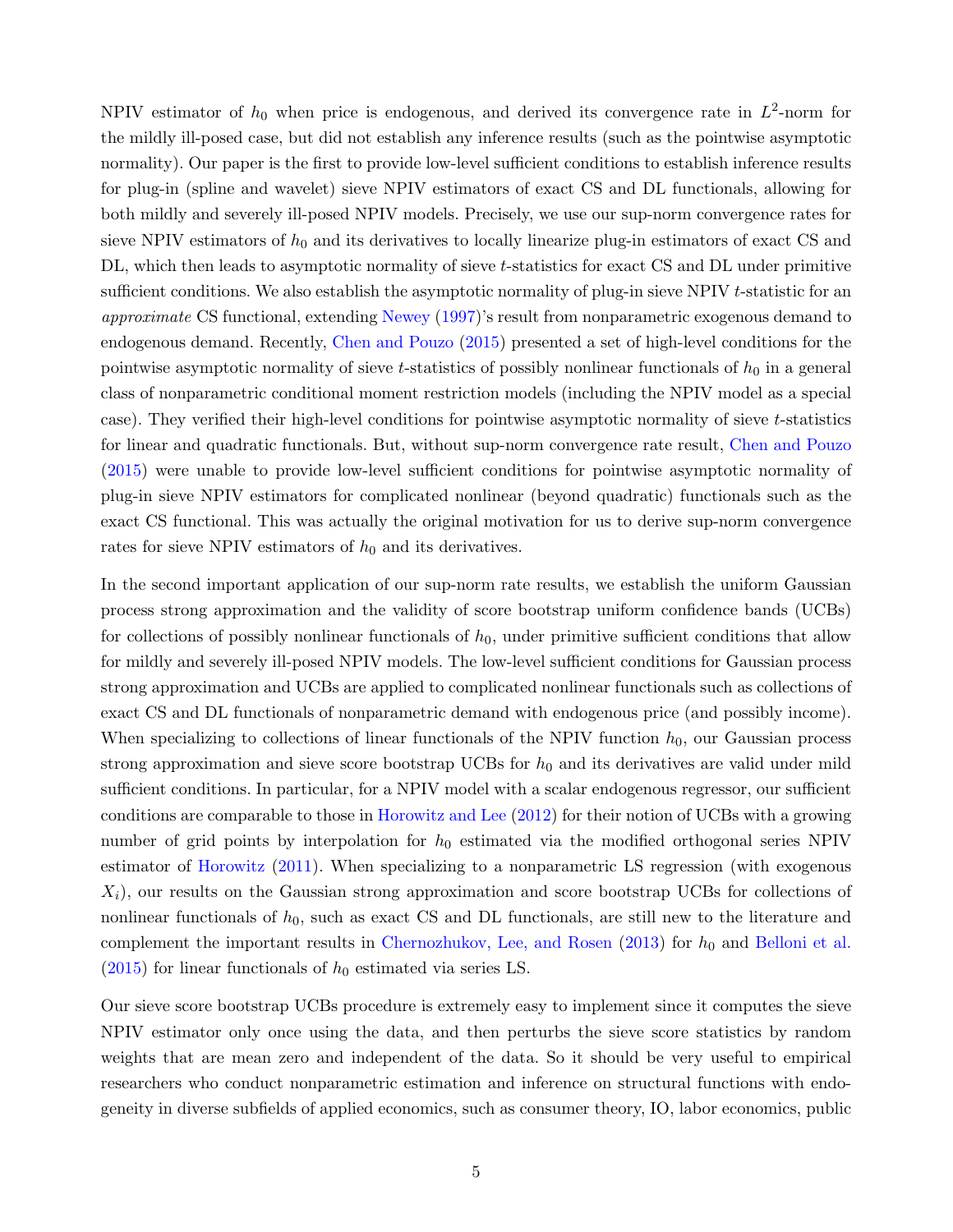NPIV estimator of  $h_0$  when price is endogenous, and derived its convergence rate in  $L^2$ -norm for the mildly ill-posed case, but did not establish any inference results (such as the pointwise asymptotic normality). Our paper is the first to provide low-level sufficient conditions to establish inference results for plug-in (spline and wavelet) sieve NPIV estimators of exact CS and DL functionals, allowing for both mildly and severely ill-posed NPIV models. Precisely, we use our sup-norm convergence rates for sieve NPIV estimators of  $h_0$  and its derivatives to locally linearize plug-in estimators of exact CS and DL, which then leads to asymptotic normality of sieve t-statistics for exact CS and DL under primitive sufficient conditions. We also establish the asymptotic normality of plug-in sieve NPIV t-statistic for an approximate CS functional, extending [Newey](#page-39-4) [\(1997\)](#page-39-4)'s result from nonparametric exogenous demand to endogenous demand. Recently, [Chen and Pouzo](#page-38-7) [\(2015\)](#page-38-7) presented a set of high-level conditions for the pointwise asymptotic normality of sieve t-statistics of possibly nonlinear functionals of  $h_0$  in a general class of nonparametric conditional moment restriction models (including the NPIV model as a special case). They verified their high-level conditions for pointwise asymptotic normality of sieve t-statistics for linear and quadratic functionals. But, without sup-norm convergence rate result, [Chen and Pouzo](#page-38-7) [\(2015\)](#page-38-7) were unable to provide low-level sufficient conditions for pointwise asymptotic normality of plug-in sieve NPIV estimators for complicated nonlinear (beyond quadratic) functionals such as the exact CS functional. This was actually the original motivation for us to derive sup-norm convergence rates for sieve NPIV estimators of  $h_0$  and its derivatives.

In the second important application of our sup-norm rate results, we establish the uniform Gaussian process strong approximation and the validity of score bootstrap uniform confidence bands (UCBs) for collections of possibly nonlinear functionals of  $h_0$ , under primitive sufficient conditions that allow for mildly and severely ill-posed NPIV models. The low-level sufficient conditions for Gaussian process strong approximation and UCBs are applied to complicated nonlinear functionals such as collections of exact CS and DL functionals of nonparametric demand with endogenous price (and possibly income). When specializing to collections of linear functionals of the NPIV function  $h_0$ , our Gaussian process strong approximation and sieve score bootstrap UCBs for  $h_0$  and its derivatives are valid under mild sufficient conditions. In particular, for a NPIV model with a scalar endogenous regressor, our sufficient conditions are comparable to those in [Horowitz and Lee](#page-39-5) [\(2012\)](#page-39-5) for their notion of UCBs with a growing number of grid points by interpolation for  $h_0$  estimated via the modified orthogonal series NPIV estimator of [Horowitz](#page-38-3) [\(2011\)](#page-38-3). When specializing to a nonparametric LS regression (with exogenous  $X_i$ , our results on the Gaussian strong approximation and score bootstrap UCBs for collections of nonlinear functionals of  $h_0$ , such as exact CS and DL functionals, are still new to the literature and complement the important results in [Chernozhukov, Lee, and Rosen](#page-38-12) [\(2013\)](#page-38-12) for  $h_0$  and [Belloni et al.](#page-37-6)  $(2015)$  for linear functionals of  $h_0$  estimated via series LS.

Our sieve score bootstrap UCBs procedure is extremely easy to implement since it computes the sieve NPIV estimator only once using the data, and then perturbs the sieve score statistics by random weights that are mean zero and independent of the data. So it should be very useful to empirical researchers who conduct nonparametric estimation and inference on structural functions with endogeneity in diverse subfields of applied economics, such as consumer theory, IO, labor economics, public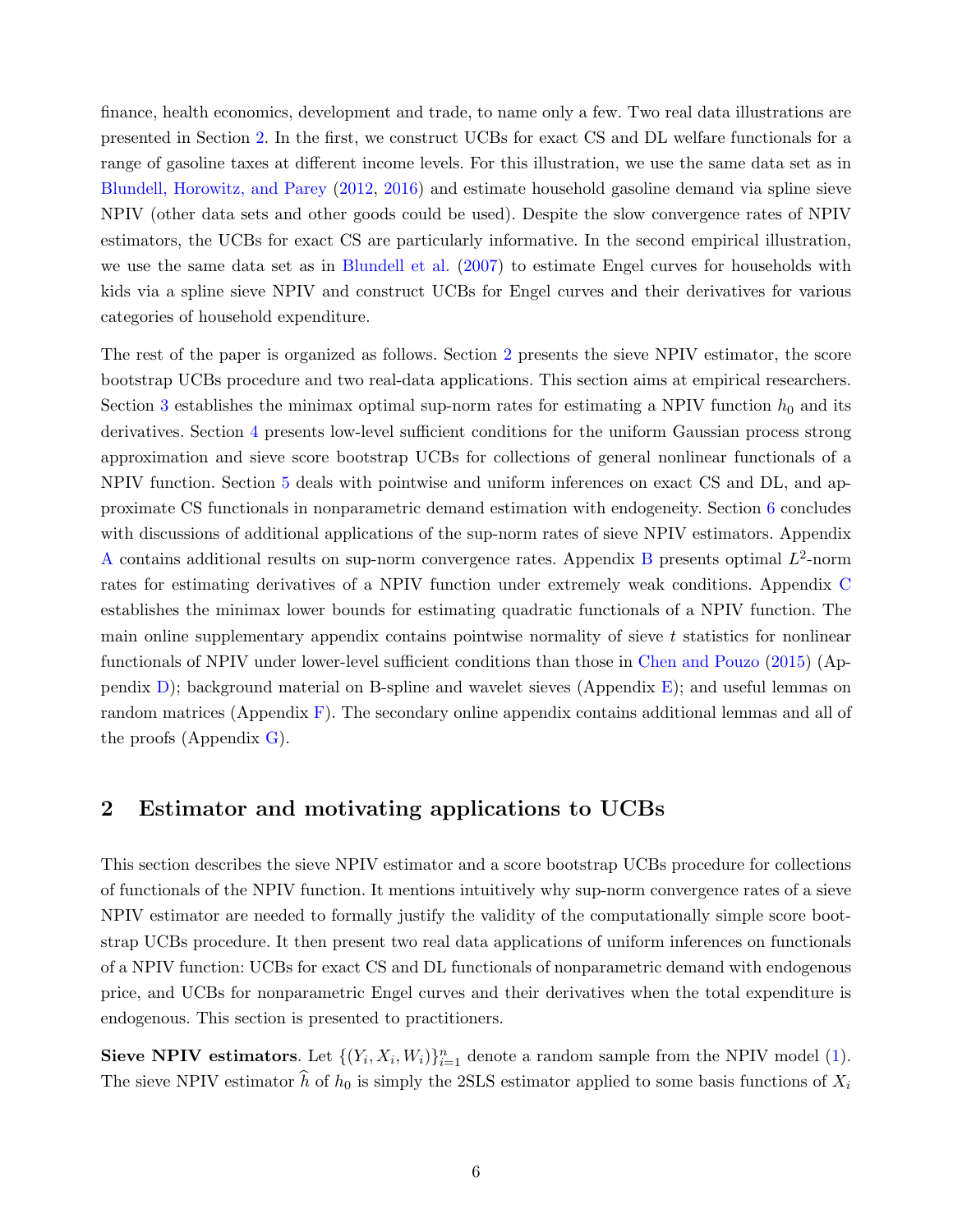finance, health economics, development and trade, to name only a few. Two real data illustrations are presented in Section [2.](#page-6-0) In the first, we construct UCBs for exact CS and DL welfare functionals for a range of gasoline taxes at different income levels. For this illustration, we use the same data set as in [Blundell, Horowitz, and Parey](#page-37-8) [\(2012,](#page-37-8) [2016\)](#page-37-9) and estimate household gasoline demand via spline sieve NPIV (other data sets and other goods could be used). Despite the slow convergence rates of NPIV estimators, the UCBs for exact CS are particularly informative. In the second empirical illustration, we use the same data set as in [Blundell et al.](#page-37-3) [\(2007\)](#page-37-3) to estimate Engel curves for households with kids via a spline sieve NPIV and construct UCBs for Engel curves and their derivatives for various categories of household expenditure.

The rest of the paper is organized as follows. Section [2](#page-6-0) presents the sieve NPIV estimator, the score bootstrap UCBs procedure and two real-data applications. This section aims at empirical researchers. Section [3](#page-13-0) establishes the minimax optimal sup-norm rates for estimating a NPIV function  $h_0$  and its derivatives. Section [4](#page-22-0) presents low-level sufficient conditions for the uniform Gaussian process strong approximation and sieve score bootstrap UCBs for collections of general nonlinear functionals of a NPIV function. Section [5](#page-27-0) deals with pointwise and uniform inferences on exact CS and DL, and approximate CS functionals in nonparametric demand estimation with endogeneity. Section [6](#page-34-0) concludes with discussions of additional applications of the sup-norm rates of sieve NPIV estimators. Appendix [A](#page-40-0) contains additional results on sup-norm convergence rates. Appendix [B](#page-41-0) presents optimal  $L^2$ -norm rates for estimating derivatives of a NPIV function under extremely weak conditions. Appendix [C](#page-42-0) establishes the minimax lower bounds for estimating quadratic functionals of a NPIV function. The main online supplementary appendix contains pointwise normality of sieve  $t$  statistics for nonlinear functionals of NPIV under lower-level sufficient conditions than those in [Chen and Pouzo](#page-38-7) [\(2015\)](#page-38-7) (Appendix [D\)](#page--1-0); background material on B-spline and wavelet sieves (Appendix [E\)](#page--1-1); and useful lemmas on random matrices (Appendix [F\)](#page--1-2). The secondary online appendix contains additional lemmas and all of the proofs (Appendix [G\)](#page--1-3).

### <span id="page-6-0"></span>2 Estimator and motivating applications to UCBs

This section describes the sieve NPIV estimator and a score bootstrap UCBs procedure for collections of functionals of the NPIV function. It mentions intuitively why sup-norm convergence rates of a sieve NPIV estimator are needed to formally justify the validity of the computationally simple score bootstrap UCBs procedure. It then present two real data applications of uniform inferences on functionals of a NPIV function: UCBs for exact CS and DL functionals of nonparametric demand with endogenous price, and UCBs for nonparametric Engel curves and their derivatives when the total expenditure is endogenous. This section is presented to practitioners.

Sieve NPIV estimators. Let  $\{(Y_i, X_i, W_i)\}_{i=1}^n$  denote a random sample from the NPIV model [\(1\)](#page-2-0). The sieve NPIV estimator  $\hat{h}$  of  $h_0$  is simply the 2SLS estimator applied to some basis functions of  $X_i$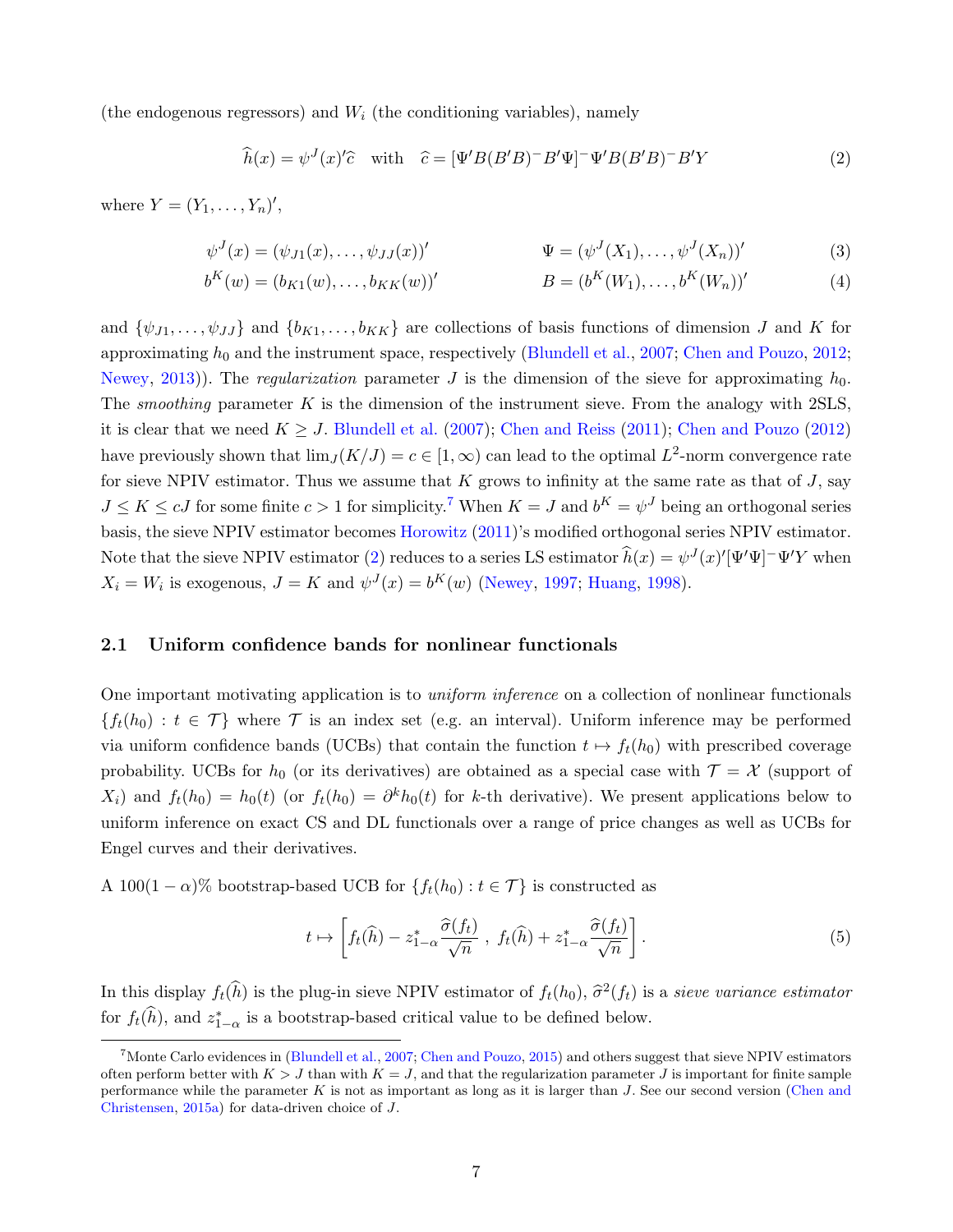(the endogenous regressors) and  $W_i$  (the conditioning variables), namely

<span id="page-7-4"></span><span id="page-7-3"></span><span id="page-7-1"></span>
$$
\widehat{h}(x) = \psi^{J}(x)'\widehat{c} \quad \text{with} \quad \widehat{c} = [\Psi^{'}B(B'B)^{-}B'\Psi]^{-}\Psi^{'}B(B'B)^{-}B'Y \tag{2}
$$

where  $Y = (Y_1, ..., Y_n)$ ',

$$
\psi^{J}(x) = (\psi_{J1}(x), \dots, \psi_{JJ}(x))'
$$
\n
$$
\Psi = (\psi^{J}(X_{1}), \dots, \psi^{J}(X_{n}))'
$$
\n(3)

$$
b^{K}(w) = (b_{K1}(w), \dots, b_{KK}(w))'
$$
  
 
$$
B = (b^{K}(W_{1}), \dots, b^{K}(W_{n}))'
$$
 (4)

and  $\{\psi_{J1}, \ldots, \psi_{JJ}\}\$  and  $\{b_{K1}, \ldots, b_{KK}\}\$  are collections of basis functions of dimension J and K for approximating  $h_0$  and the instrument space, respectively [\(Blundell et al.,](#page-37-3) [2007;](#page-37-3) [Chen and Pouzo,](#page-38-4) [2012;](#page-38-4) [Newey,](#page-39-6) [2013\)](#page-39-6)). The *regularization* parameter J is the dimension of the sieve for approximating  $h_0$ . The smoothing parameter  $K$  is the dimension of the instrument sieve. From the analogy with 2SLS, it is clear that we need  $K \geq J$ . [Blundell et al.](#page-37-3) [\(2007\)](#page-37-3); [Chen and Reiss](#page-38-1) [\(2011\)](#page-38-1); [Chen and Pouzo](#page-38-4) [\(2012\)](#page-38-4) have previously shown that  $\lim_{J} (K/J) = c \in [1, \infty)$  can lead to the optimal  $L^2$ -norm convergence rate for sieve NPIV estimator. Thus we assume that K grows to infinity at the same rate as that of  $J$ , say  $J \leq K \leq cJ$  for some finite  $c > 1$  for simplicity.<sup>[7](#page-7-0)</sup> When  $K = J$  and  $b^K = \psi^J$  being an orthogonal series basis, the sieve NPIV estimator becomes [Horowitz](#page-38-3) [\(2011\)](#page-38-3)'s modified orthogonal series NPIV estimator. Note that the sieve NPIV estimator [\(2\)](#page-7-1) reduces to a series LS estimator  $\hat{h}(x) = \psi^{J}(x)'[\Psi'\Psi]^{-} \Psi'Y$  when  $X_i = W_i$  is exogenous,  $J = K$  and  $\psi^J(x) = b^K(w)$  [\(Newey,](#page-39-4) [1997;](#page-39-4) [Huang,](#page-39-7) [1998\)](#page-39-7).

#### 2.1 Uniform confidence bands for nonlinear functionals

One important motivating application is to uniform inference on a collection of nonlinear functionals  ${f_t(h_0): t \in \mathcal{T}}$  where T is an index set (e.g. an interval). Uniform inference may be performed via uniform confidence bands (UCBs) that contain the function  $t \mapsto f_t(h_0)$  with prescribed coverage probability. UCBs for  $h_0$  (or its derivatives) are obtained as a special case with  $\mathcal{T} = \mathcal{X}$  (support of  $X_i$ ) and  $f_t(h_0) = h_0(t)$  (or  $f_t(h_0) = \partial^k h_0(t)$  for k-th derivative). We present applications below to uniform inference on exact CS and DL functionals over a range of price changes as well as UCBs for Engel curves and their derivatives.

A 100(1 –  $\alpha$ )% bootstrap-based UCB for  $\{f_t(h_0): t \in \mathcal{T}\}\$ is constructed as

<span id="page-7-2"></span>
$$
t \mapsto \left[ f_t(\widehat{h}) - z_{1-\alpha}^* \frac{\widehat{\sigma}(f_t)}{\sqrt{n}} \; , \; f_t(\widehat{h}) + z_{1-\alpha}^* \frac{\widehat{\sigma}(f_t)}{\sqrt{n}} \right]. \tag{5}
$$

In this display  $f_t(\hat{h})$  is the plug-in sieve NPIV estimator of  $f_t(h_0), \hat{\sigma}^2(f_t)$  is a sieve variance estimator for  $f_t(\hat{h})$ , and  $z_{1-\alpha}^*$  is a bootstrap-based critical value to be defined below.

<span id="page-7-0"></span><sup>&</sup>lt;sup>7</sup> Monte Carlo evidences in [\(Blundell et al.,](#page-37-3) [2007;](#page-37-3) [Chen and Pouzo,](#page-38-7) [2015\)](#page-38-7) and others suggest that sieve NPIV estimators often perform better with  $K > J$  than with  $K = J$ , and that the regularization parameter J is important for finite sample performance while the parameter K is not as important as long as it is larger than  $J$ . See our second version [\(Chen and](#page-37-0) [Christensen,](#page-37-0) [2015a\)](#page-37-0) for data-driven choice of J.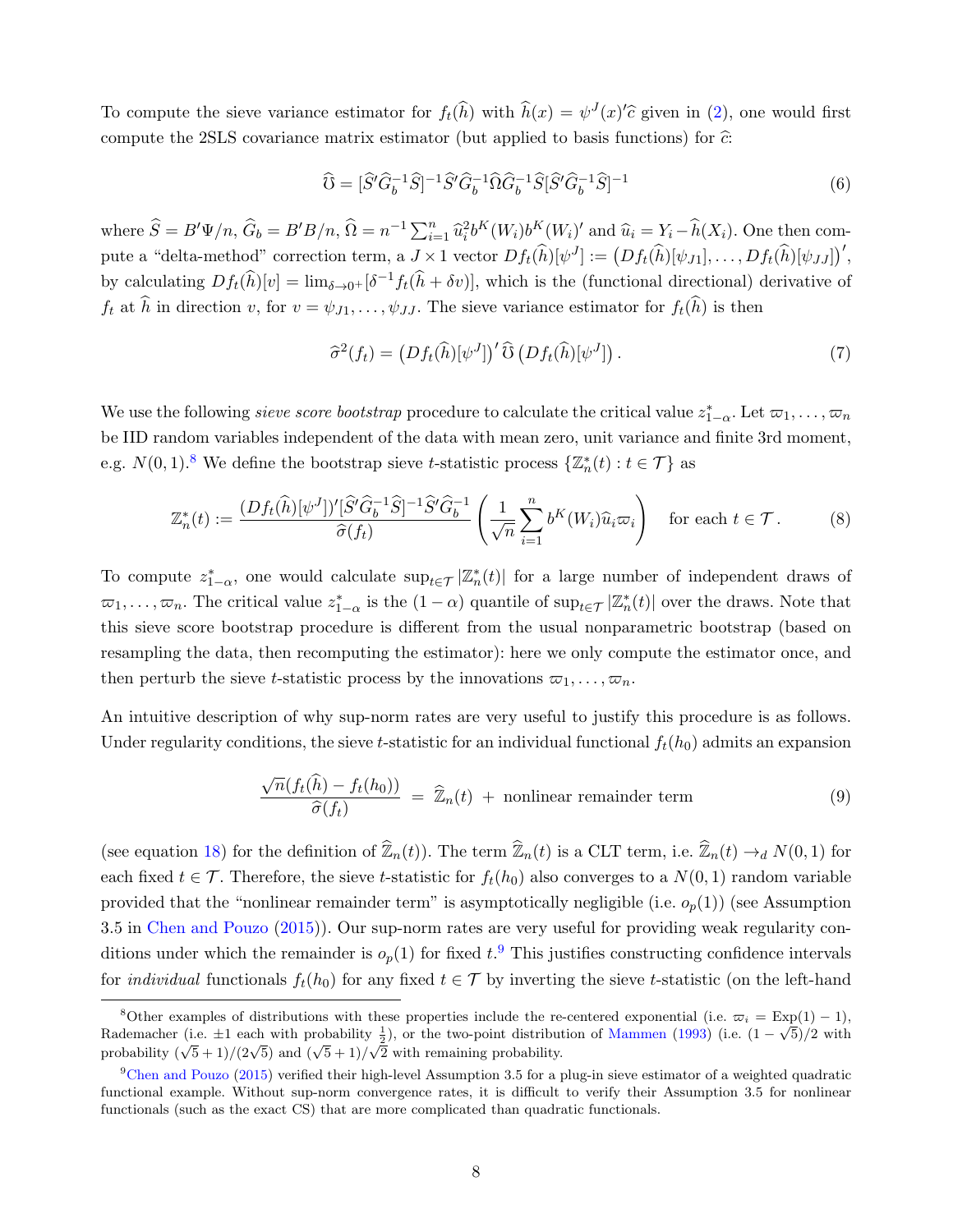To compute the sieve variance estimator for  $f_t(\hat{h})$  with  $\hat{h}(x) = \psi^J(x)$ ' $\hat{c}$  given in [\(2\)](#page-7-1), one would first compute the 2SLS covariance matrix estimator (but applied to basis functions) for  $\hat{c}$ :

$$
\widehat{U} = [\widehat{S}'\widehat{G}_b^{-1}\widehat{S}]^{-1}\widehat{S}'\widehat{G}_b^{-1}\widehat{\Omega}\widehat{G}_b^{-1}\widehat{S}[\widehat{S}'\widehat{G}_b^{-1}\widehat{S}]^{-1}
$$
\n(6)

where  $\widehat{S} = B'\Psi/n$ ,  $\widehat{G}_b = B'B/n$ ,  $\widehat{\Omega} = n^{-1} \sum_{i=1}^n \widehat{u}_i^2 b^K(W_i) b^K(W_i)'$  and  $\widehat{u}_i = Y_i - \widehat{h}(X_i)$ . One then compute a "delta-method" correction term, a  $J \times 1$  vector  $Df_t(\hat{h})[\psi^J] := (Df_t(\hat{h})[\psi_{J1}], \dots, Df_t(\hat{h})[\psi_{JJ}])'$ , by calculating  $Df_t(\hat{h})[v] = \lim_{\delta \to 0^+} [\delta^{-1}f_t(\hat{h} + \delta v)]$ , which is the (functional directional) derivative of  $f_t$  at  $\hat{h}$  in direction v, for  $v = \psi_{J1}, \ldots, \psi_{JJ}$ . The sieve variance estimator for  $f_t(\hat{h})$  is then

<span id="page-8-3"></span>
$$
\widehat{\sigma}^2(f_t) = \left(Df_t(\widehat{h})[\psi^J]\right)' \widehat{\mathcal{U}} \left(Df_t(\widehat{h})[\psi^J]\right). \tag{7}
$$

We use the following *sieve score bootstrap* procedure to calculate the critical value  $z_{1-\alpha}^*$ . Let  $\varpi_1, \ldots, \varpi_n$ be IID random variables independent of the data with mean zero, unit variance and finite 3rd moment, e.g.  $N(0, 1)$ .<sup>[8](#page-8-0)</sup> We define the bootstrap sieve t-statistic process  $\{\mathbb{Z}_n^*(t) : t \in \mathcal{T}\}\)$  as

<span id="page-8-4"></span>
$$
\mathbb{Z}_n^*(t) := \frac{(Df_t(\widehat{h})[\psi^J])'[\widehat{S}'\widehat{G}_b^{-1}\widehat{S}]^{-1}\widehat{S}'\widehat{G}_b^{-1}}{\widehat{\sigma}(f_t)} \left(\frac{1}{\sqrt{n}}\sum_{i=1}^n b^K(W_i)\widehat{u}_i\varpi_i\right) \quad \text{for each } t \in \mathcal{T}.
$$
 (8)

To compute  $z_{1-\alpha}^*$ , one would calculate  $\sup_{t\in\mathcal{T}}|\mathbb{Z}_n^*(t)|$  for a large number of independent draws of  $\varpi_1,\ldots,\varpi_n$ . The critical value  $z_{1-\alpha}^*$  is the  $(1-\alpha)$  quantile of  $\sup_{t\in\mathcal{T}}|\mathbb{Z}_n^*(t)|$  over the draws. Note that this sieve score bootstrap procedure is different from the usual nonparametric bootstrap (based on resampling the data, then recomputing the estimator): here we only compute the estimator once, and then perturb the sieve *t*-statistic process by the innovations  $\varpi_1, \ldots, \varpi_n$ .

An intuitive description of why sup-norm rates are very useful to justify this procedure is as follows. Under regularity conditions, the sieve t-statistic for an individual functional  $f_t(h_0)$  admits an expansion

<span id="page-8-2"></span>
$$
\frac{\sqrt{n}(f_t(\widehat{h}) - f_t(h_0))}{\widehat{\sigma}(f_t)} = \widehat{\mathbb{Z}}_n(t) + \text{nonlinear remainder term}
$$
\n(9)

(see equation [18\)](#page-25-0) for the definition of  $\widehat{\mathbb{Z}}_n(t)$ ). The term  $\widehat{\mathbb{Z}}_n(t)$  is a CLT term, i.e.  $\widehat{\mathbb{Z}}_n(t) \rightarrow_d N(0, 1)$  for each fixed  $t \in \mathcal{T}$ . Therefore, the sieve t-statistic for  $f_t(h_0)$  also converges to a  $N(0, 1)$  random variable provided that the "nonlinear remainder term" is asymptotically negligible (i.e.  $o_p(1)$ ) (see Assumption 3.5 in [Chen and Pouzo](#page-38-7) [\(2015\)](#page-38-7)). Our sup-norm rates are very useful for providing weak regularity conditions under which the remainder is  $o_p(1)$  for fixed  $t$ . This justifies constructing confidence intervals for *individual* functionals  $f_t(h_0)$  for any fixed  $t \in \mathcal{T}$  by inverting the sieve t-statistic (on the left-hand

<span id="page-8-0"></span><sup>&</sup>lt;sup>8</sup>Other examples of distributions with these properties include the re-centered exponential (i.e.  $\varpi_i = \text{Exp}(1) - 1$ ), Rademacher (i.e.  $\pm 1$  each with probability  $\frac{1}{2}$ ), or the two-point distribution of [Mammen](#page-39-8) [\(1993\)](#page-39-8) (i.e.  $(1 - \sqrt{5})/2$  with readermather (i.e.  $\pm 1$  each with probability  $\frac{1}{2}$ ), or the two-point distribution probability. ( $\sqrt{5} + 1$ )/( $2\sqrt{5}$ ) and ( $\sqrt{5} + 1$ )/ $\sqrt{2}$  with remaining probability.

<span id="page-8-1"></span> $9$ [Chen and Pouzo](#page-38-7) [\(2015\)](#page-38-7) verified their high-level Assumption 3.5 for a plug-in sieve estimator of a weighted quadratic functional example. Without sup-norm convergence rates, it is difficult to verify their Assumption 3.5 for nonlinear functionals (such as the exact CS) that are more complicated than quadratic functionals.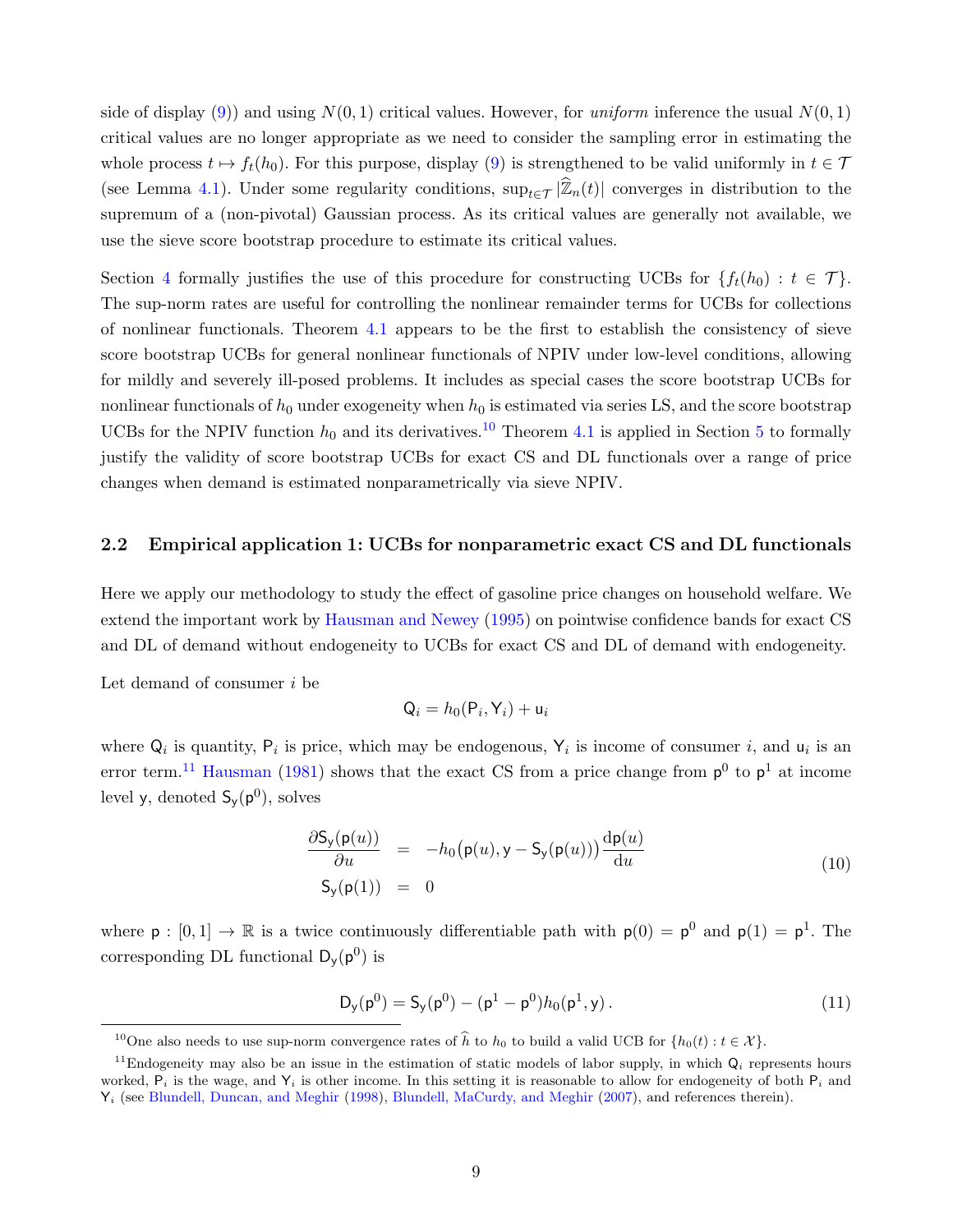side of display [\(9\)](#page-8-2)) and using  $N(0, 1)$  critical values. However, for *uniform* inference the usual  $N(0, 1)$ critical values are no longer appropriate as we need to consider the sampling error in estimating the whole process  $t \mapsto f_t(h_0)$ . For this purpose, display [\(9\)](#page-8-2) is strengthened to be valid uniformly in  $t \in \mathcal{T}$ (see Lemma [4.1\)](#page-25-1). Under some regularity conditions,  $\sup_{t\in\mathcal{T}}|\widehat{\mathbb{Z}}_n(t)|$  converges in distribution to the supremum of a (non-pivotal) Gaussian process. As its critical values are generally not available, we use the sieve score bootstrap procedure to estimate its critical values.

Section [4](#page-22-0) formally justifies the use of this procedure for constructing UCBs for  $\{f_t(h_0): t \in \mathcal{T}\}\$ . The sup-norm rates are useful for controlling the nonlinear remainder terms for UCBs for collections of nonlinear functionals. Theorem [4.1](#page-25-2) appears to be the first to establish the consistency of sieve score bootstrap UCBs for general nonlinear functionals of NPIV under low-level conditions, allowing for mildly and severely ill-posed problems. It includes as special cases the score bootstrap UCBs for nonlinear functionals of  $h_0$  under exogeneity when  $h_0$  is estimated via series LS, and the score bootstrap UCBs for the NPIV function  $h_0$  and its derivatives.<sup>[10](#page-9-0)</sup> Theorem [4.1](#page-25-2) is applied in Section [5](#page-27-0) to formally justify the validity of score bootstrap UCBs for exact CS and DL functionals over a range of price changes when demand is estimated nonparametrically via sieve NPIV.

### 2.2 Empirical application 1: UCBs for nonparametric exact CS and DL functionals

Here we apply our methodology to study the effect of gasoline price changes on household welfare. We extend the important work by [Hausman and Newey](#page-38-8) [\(1995\)](#page-38-8) on pointwise confidence bands for exact CS and DL of demand without endogeneity to UCBs for exact CS and DL of demand with endogeneity.

Let demand of consumer  $i$  be

$$
Q_i = h_0(P_i, Y_i) + u_i
$$

where  $Q_i$  is quantity,  $P_i$  is price, which may be endogenous,  $Y_i$  is income of consumer i, and  $u_i$  is an error term.<sup>[11](#page-9-1)</sup> [Hausman](#page-38-9) [\(1981\)](#page-38-9) shows that the exact CS from a price change from  $p^0$  to  $p^1$  at income level y, denoted  $S_y(p^0)$ , solves

<span id="page-9-2"></span>
$$
\frac{\partial \mathsf{S}_{\mathsf{y}}(\mathsf{p}(u))}{\partial u} = -h_0(\mathsf{p}(u), \mathsf{y} - \mathsf{S}_{\mathsf{y}}(\mathsf{p}(u))) \frac{\mathrm{d}\mathsf{p}(u)}{\mathrm{d}u}
$$
\n
$$
\mathsf{S}_{\mathsf{y}}(\mathsf{p}(1)) = 0 \tag{10}
$$

where  $p : [0, 1] \to \mathbb{R}$  is a twice continuously differentiable path with  $p(0) = p^0$  and  $p(1) = p^1$ . The corresponding DL functional  $D_y(p^0)$  is

<span id="page-9-3"></span>
$$
D_y(p^0) = S_y(p^0) - (p^1 - p^0)h_0(p^1, y).
$$
 (11)

<span id="page-9-1"></span><span id="page-9-0"></span><sup>&</sup>lt;sup>10</sup>One also needs to use sup-norm convergence rates of  $\hat{h}$  to  $h_0$  to build a valid UCB for  $\{h_0(t) : t \in \mathcal{X}\}\$ .

<sup>&</sup>lt;sup>11</sup>Endogeneity may also be an issue in the estimation of static models of labor supply, in which  $Q_i$  represents hours worked,  $P_i$  is the wage, and  $Y_i$  is other income. In this setting it is reasonable to allow for endogeneity of both  $P_i$  and  $Y_i$  (see [Blundell, Duncan, and Meghir](#page-37-10) [\(1998\)](#page-37-10), [Blundell, MaCurdy, and Meghir](#page-37-11) [\(2007\)](#page-37-11), and references therein).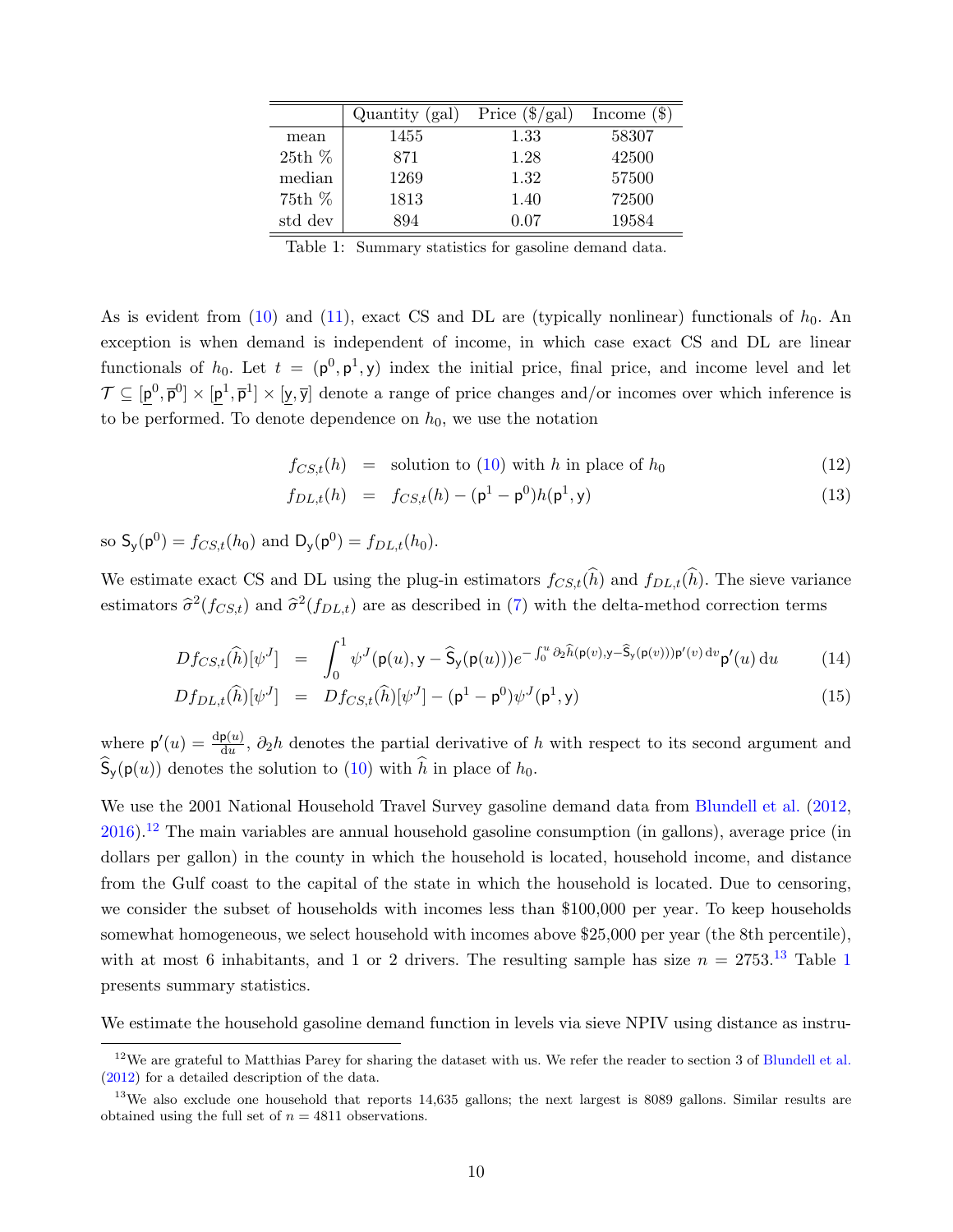<span id="page-10-2"></span>

|         | Quantity (gal) | Price $(\frac{6}{\text{gal}})$ | Income $(\$)$ |
|---------|----------------|--------------------------------|---------------|
| mean    | 1455           | 1.33                           | 58307         |
| 25th%   | 871            | 1.28                           | 42500         |
| median  | 1269           | 1.32                           | 57500         |
| 75th%   | 1813           | 1.40                           | 72500         |
| std dev | 894            | 0.07                           | 19584         |

Table 1: Summary statistics for gasoline demand data.

As is evident from  $(10)$  and  $(11)$ , exact CS and DL are (typically nonlinear) functionals of  $h_0$ . An exception is when demand is independent of income, in which case exact CS and DL are linear functionals of  $h_0$ . Let  $t = (p^0, p^1, y)$  index the initial price, final price, and income level and let  $\mathcal{T} \subseteq [\mathsf{p}^0, \overline{\mathsf{p}}^0] \times [\mathsf{p}^1, \overline{\mathsf{p}}^1] \times [\mathsf{y}, \overline{\mathsf{y}}]$  denote a range of price changes and/or incomes over which inference is to be performed. To denote dependence on  $h_0$ , we use the notation

<span id="page-10-3"></span>
$$
f_{CS,t}(h) = \text{ solution to (10) with } h \text{ in place of } h_0 \tag{12}
$$

$$
f_{DL,t}(h) = f_{CS,t}(h) - (\mathbf{p}^1 - \mathbf{p}^0)h(\mathbf{p}^1, \mathbf{y})
$$
\n(13)

so  $S_y(p^0) = f_{CS,t}(h_0)$  and  $D_y(p^0) = f_{DL,t}(h_0)$ .

We estimate exact CS and DL using the plug-in estimators  $f_{CS,t}(\widehat{h})$  and  $f_{DL,t}(\widehat{h})$ . The sieve variance estimators  $\hat{\sigma}^2(f_{CS,t})$  and  $\hat{\sigma}^2(f_{DL,t})$  are as described in [\(7\)](#page-8-3) with the delta-method correction terms

<span id="page-10-4"></span>
$$
Df_{CS,t}(\widehat{h})[\psi^J] = \int_0^1 \psi^J(\mathsf{p}(u), \mathsf{y} - \widehat{\mathsf{S}}_{\mathsf{y}}(\mathsf{p}(u))) e^{-\int_0^u \partial_2 \widehat{h}(\mathsf{p}(v), \mathsf{y} - \widehat{\mathsf{S}}_{\mathsf{y}}(\mathsf{p}(v))) \mathsf{p}'(v) dv} \mathsf{p}'(u) du \qquad (14)
$$

$$
Df_{DL,t}(\widehat{h})[\psi^J] = Df_{CS,t}(\widehat{h})[\psi^J] - (\mathsf{p}^1 - \mathsf{p}^0)\psi^J(\mathsf{p}^1, \mathsf{y})
$$
\n(15)

where  $p'(u) = \frac{dp(u)}{du}$ ,  $\partial_2 h$  denotes the partial derivative of h with respect to its second argument and  $\mathcal{S}_{\mathsf{v}}(\mathsf{p}(u))$  denotes the solution to [\(10\)](#page-9-2) with h in place of  $h_0$ .

We use the 2001 National Household Travel Survey gasoline demand data from [Blundell et al.](#page-37-8) [\(2012,](#page-37-8)  $2016$ ).<sup>[12](#page-10-0)</sup> The main variables are annual household gasoline consumption (in gallons), average price (in dollars per gallon) in the county in which the household is located, household income, and distance from the Gulf coast to the capital of the state in which the household is located. Due to censoring, we consider the subset of households with incomes less than \$100,000 per year. To keep households somewhat homogeneous, we select household with incomes above \$25,000 per year (the 8th percentile), with at most 6 inhabitants, and [1](#page-10-2) or 2 drivers. The resulting sample has size  $n = 2753^{13}$  $n = 2753^{13}$  $n = 2753^{13}$  Table 1 presents summary statistics.

We estimate the household gasoline demand function in levels via sieve NPIV using distance as instru-

<span id="page-10-0"></span> $12$ We are grateful to Matthias Parey for sharing the dataset with us. We refer the reader to section 3 of [Blundell et al.](#page-37-8) [\(2012\)](#page-37-8) for a detailed description of the data.

<span id="page-10-1"></span><sup>&</sup>lt;sup>13</sup>We also exclude one household that reports 14,635 gallons; the next largest is 8089 gallons. Similar results are obtained using the full set of  $n = 4811$  observations.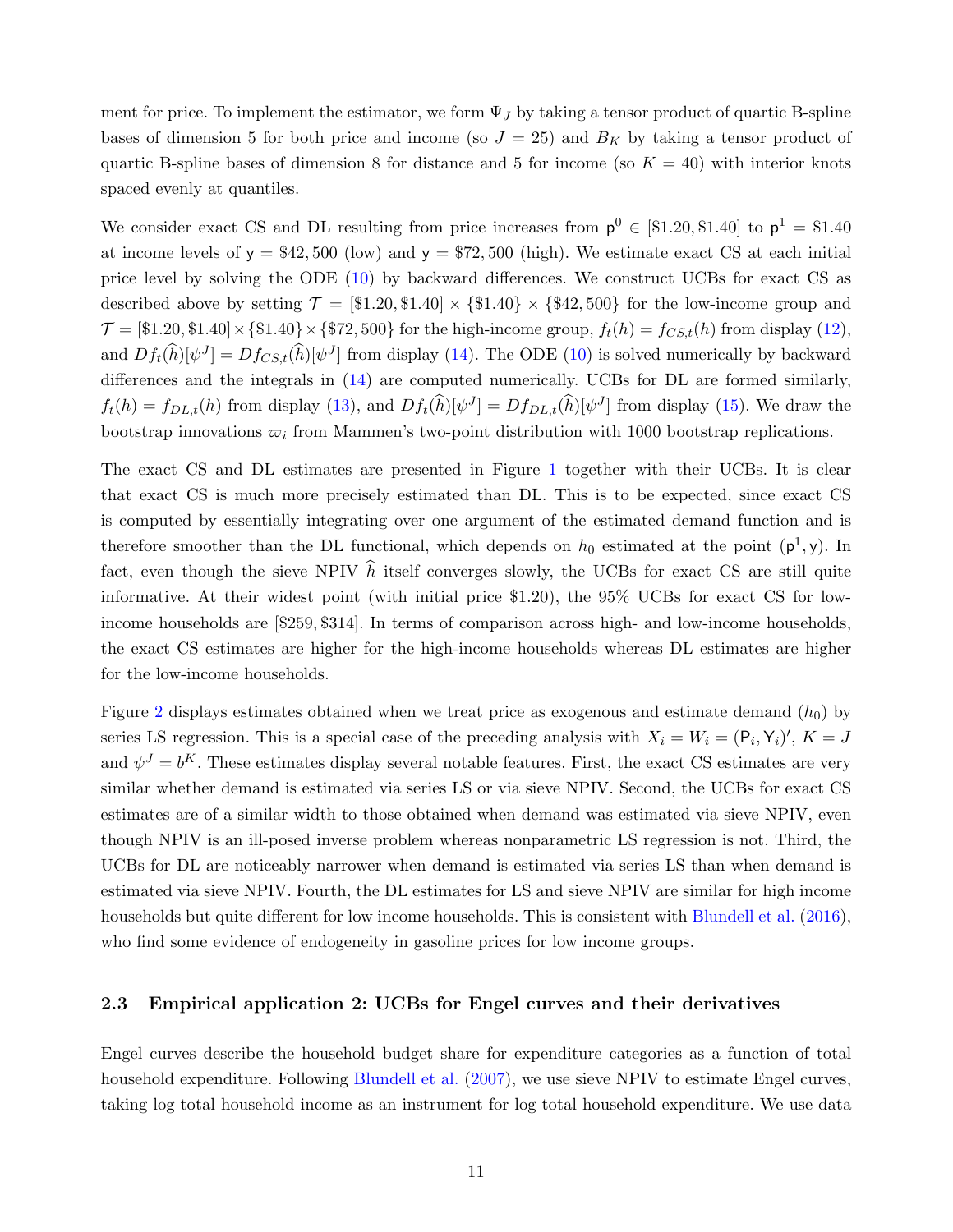ment for price. To implement the estimator, we form  $\Psi_J$  by taking a tensor product of quartic B-spline bases of dimension 5 for both price and income (so  $J = 25$ ) and  $B<sub>K</sub>$  by taking a tensor product of quartic B-spline bases of dimension 8 for distance and 5 for income (so  $K = 40$ ) with interior knots spaced evenly at quantiles.

We consider exact CS and DL resulting from price increases from  $p^0 \in [\$1.20, \$1.40]$  to  $p^1 = \$1.40$ at income levels of  $y = $42,500$  (low) and  $y = $72,500$  (high). We estimate exact CS at each initial price level by solving the ODE [\(10\)](#page-9-2) by backward differences. We construct UCBs for exact CS as described above by setting  $\mathcal{T} = [\$1.20, \$1.40] \times \{\$1.40\} \times \{\$42,500\}$  for the low-income group and  $\mathcal{T} = [\$1.20, \$1.40] \times \{\$1.40\} \times \{\$72,500\}$  for the high-income group,  $f_t(h) = f_{CS,t}(h)$  from display [\(12\)](#page-10-3), and  $Df_t(\hat{h})[\psi^J] = Df_{CS,t}(\hat{h})[\psi^J]$  from display [\(14\)](#page-10-4). The ODE [\(10\)](#page-9-2) is solved numerically by backward differences and the integrals in [\(14\)](#page-10-4) are computed numerically. UCBs for DL are formed similarly,  $f_t(h) = f_{DL,t}(h)$  from display [\(13\)](#page-10-3), and  $Df_t(\hat{h})[\psi^J] = Df_{DL,t}(\hat{h})[\psi^J]$  from display [\(15\)](#page-10-4). We draw the bootstrap innovations  $\varpi_i$  from Mammen's two-point distribution with 1000 bootstrap replications.

The exact CS and DL estimates are presented in Figure [1](#page-12-0) together with their UCBs. It is clear that exact CS is much more precisely estimated than DL. This is to be expected, since exact CS is computed by essentially integrating over one argument of the estimated demand function and is therefore smoother than the DL functional, which depends on  $h_0$  estimated at the point  $(\mathsf{p}^1,\mathsf{y})$ . In fact, even though the sieve NPIV  $\hat{h}$  itself converges slowly, the UCBs for exact CS are still quite informative. At their widest point (with initial price \$1.20), the 95% UCBs for exact CS for lowincome households are [\$259, \$314]. In terms of comparison across high- and low-income households, the exact CS estimates are higher for the high-income households whereas DL estimates are higher for the low-income households.

Figure [2](#page-12-1) displays estimates obtained when we treat price as exogenous and estimate demand  $(h_0)$  by series LS regression. This is a special case of the preceding analysis with  $X_i = W_i = (P_i, Y_i)'$ ,  $K = J$ and  $\psi^J = b^K$ . These estimates display several notable features. First, the exact CS estimates are very similar whether demand is estimated via series LS or via sieve NPIV. Second, the UCBs for exact CS estimates are of a similar width to those obtained when demand was estimated via sieve NPIV, even though NPIV is an ill-posed inverse problem whereas nonparametric LS regression is not. Third, the UCBs for DL are noticeably narrower when demand is estimated via series LS than when demand is estimated via sieve NPIV. Fourth, the DL estimates for LS and sieve NPIV are similar for high income households but quite different for low income households. This is consistent with [Blundell et al.](#page-37-9) [\(2016\)](#page-37-9), who find some evidence of endogeneity in gasoline prices for low income groups.

#### 2.3 Empirical application 2: UCBs for Engel curves and their derivatives

Engel curves describe the household budget share for expenditure categories as a function of total household expenditure. Following [Blundell et al.](#page-37-3) [\(2007\)](#page-37-3), we use sieve NPIV to estimate Engel curves, taking log total household income as an instrument for log total household expenditure. We use data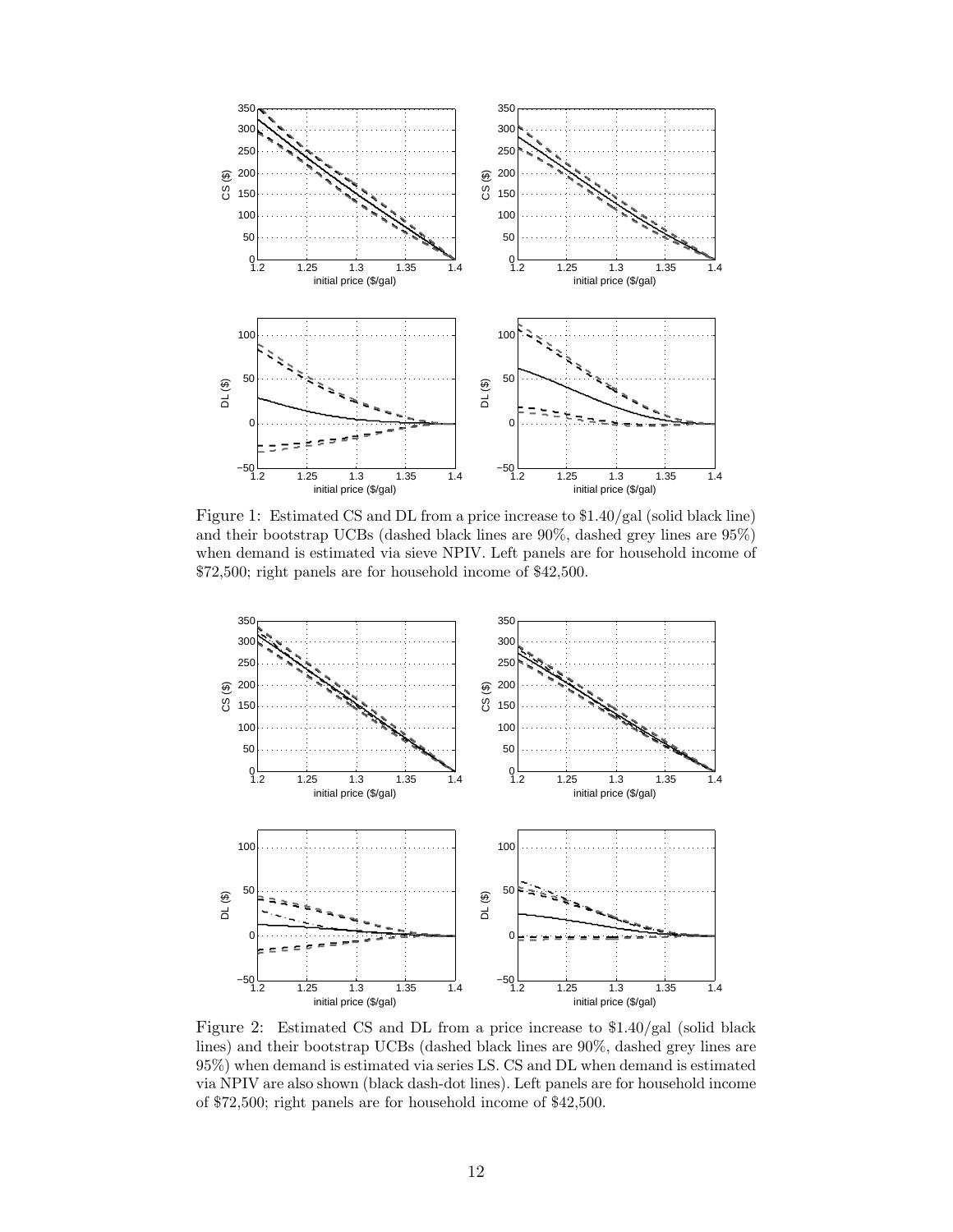<span id="page-12-0"></span>

Figure 1: Estimated CS and DL from a price increase to \$1.40/gal (solid black line) and their bootstrap UCBs (dashed black lines are 90%, dashed grey lines are 95%) when demand is estimated via sieve NPIV. Left panels are for household income of \$72,500; right panels are for household income of \$42,500.

<span id="page-12-1"></span>

Figure 2: Estimated CS and DL from a price increase to \$1.40/gal (solid black lines) and their bootstrap UCBs (dashed black lines are 90%, dashed grey lines are 95%) when demand is estimated via series LS. CS and DL when demand is estimated via NPIV are also shown (black dash-dot lines). Left panels are for household income of \$72,500; right panels are for household income of \$42,500.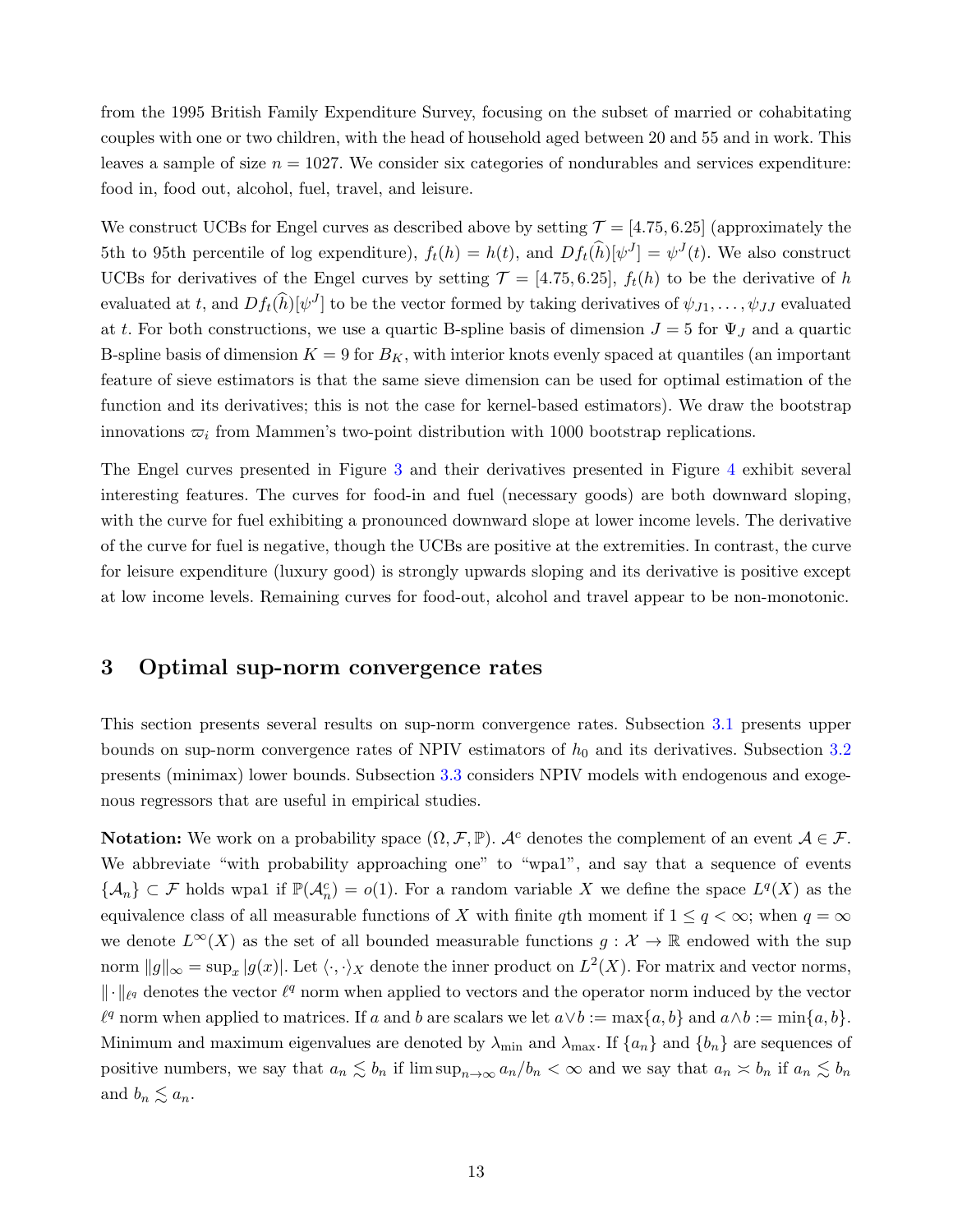from the 1995 British Family Expenditure Survey, focusing on the subset of married or cohabitating couples with one or two children, with the head of household aged between 20 and 55 and in work. This leaves a sample of size  $n = 1027$ . We consider six categories of nondurables and services expenditure: food in, food out, alcohol, fuel, travel, and leisure.

We construct UCBs for Engel curves as described above by setting  $\mathcal{T} = [4.75, 6.25]$  (approximately the 5th to 95th percentile of log expenditure),  $f_t(h) = h(t)$ , and  $Df_t(\hat{h})[\psi^J] = \psi^J(t)$ . We also construct UCBs for derivatives of the Engel curves by setting  $\mathcal{T} = [4.75, 6.25], f_t(h)$  to be the derivative of h evaluated at t, and  $Df_t(\hat{h})[\psi^J]$  to be the vector formed by taking derivatives of  $\psi_{J1}, \ldots, \psi_{JJ}$  evaluated at t. For both constructions, we use a quartic B-spline basis of dimension  $J = 5$  for  $\Psi_J$  and a quartic B-spline basis of dimension  $K = 9$  for  $B_K$ , with interior knots evenly spaced at quantiles (an important feature of sieve estimators is that the same sieve dimension can be used for optimal estimation of the function and its derivatives; this is not the case for kernel-based estimators). We draw the bootstrap innovations  $\varpi_i$  from Mammen's two-point distribution with 1000 bootstrap replications.

The Engel curves presented in Figure [3](#page-14-0) and their derivatives presented in Figure [4](#page-14-1) exhibit several interesting features. The curves for food-in and fuel (necessary goods) are both downward sloping, with the curve for fuel exhibiting a pronounced downward slope at lower income levels. The derivative of the curve for fuel is negative, though the UCBs are positive at the extremities. In contrast, the curve for leisure expenditure (luxury good) is strongly upwards sloping and its derivative is positive except at low income levels. Remaining curves for food-out, alcohol and travel appear to be non-monotonic.

## <span id="page-13-0"></span>3 Optimal sup-norm convergence rates

This section presents several results on sup-norm convergence rates. Subsection [3.1](#page-15-0) presents upper bounds on sup-norm convergence rates of NPIV estimators of  $h_0$  and its derivatives. Subsection [3.2](#page-19-0) presents (minimax) lower bounds. Subsection [3.3](#page-20-0) considers NPIV models with endogenous and exogenous regressors that are useful in empirical studies.

**Notation:** We work on a probability space  $(\Omega, \mathcal{F}, \mathbb{P})$ . A<sup>c</sup> denotes the complement of an event  $\mathcal{A} \in \mathcal{F}$ . We abbreviate "with probability approaching one" to "wpa1", and say that a sequence of events  $\{\mathcal{A}_n\} \subset \mathcal{F}$  holds wpa1 if  $\mathbb{P}(\mathcal{A}_n^c) = o(1)$ . For a random variable X we define the space  $L^q(X)$  as the equivalence class of all measurable functions of X with finite qth moment if  $1 \le q < \infty$ ; when  $q = \infty$ we denote  $L^{\infty}(X)$  as the set of all bounded measurable functions  $g: \mathcal{X} \to \mathbb{R}$  endowed with the sup norm  $||g||_{\infty} = \sup_x |g(x)|$ . Let  $\langle \cdot, \cdot \rangle_X$  denote the inner product on  $L^2(X)$ . For matrix and vector norms,  $\|\cdot\|_{\ell^q}$  denotes the vector  $\ell^q$  norm when applied to vectors and the operator norm induced by the vector  $\ell^q$  norm when applied to matrices. If a and b are scalars we let  $a \vee b := \max\{a, b\}$  and  $a \wedge b := \min\{a, b\}.$ Minimum and maximum eigenvalues are denoted by  $\lambda_{\min}$  and  $\lambda_{\max}$ . If  $\{a_n\}$  and  $\{b_n\}$  are sequences of positive numbers, we say that  $a_n \lesssim b_n$  if  $\limsup_{n\to\infty} a_n/b_n < \infty$  and we say that  $a_n \lesssim b_n$  if  $a_n \lesssim b_n$ and  $b_n \lesssim a_n$ .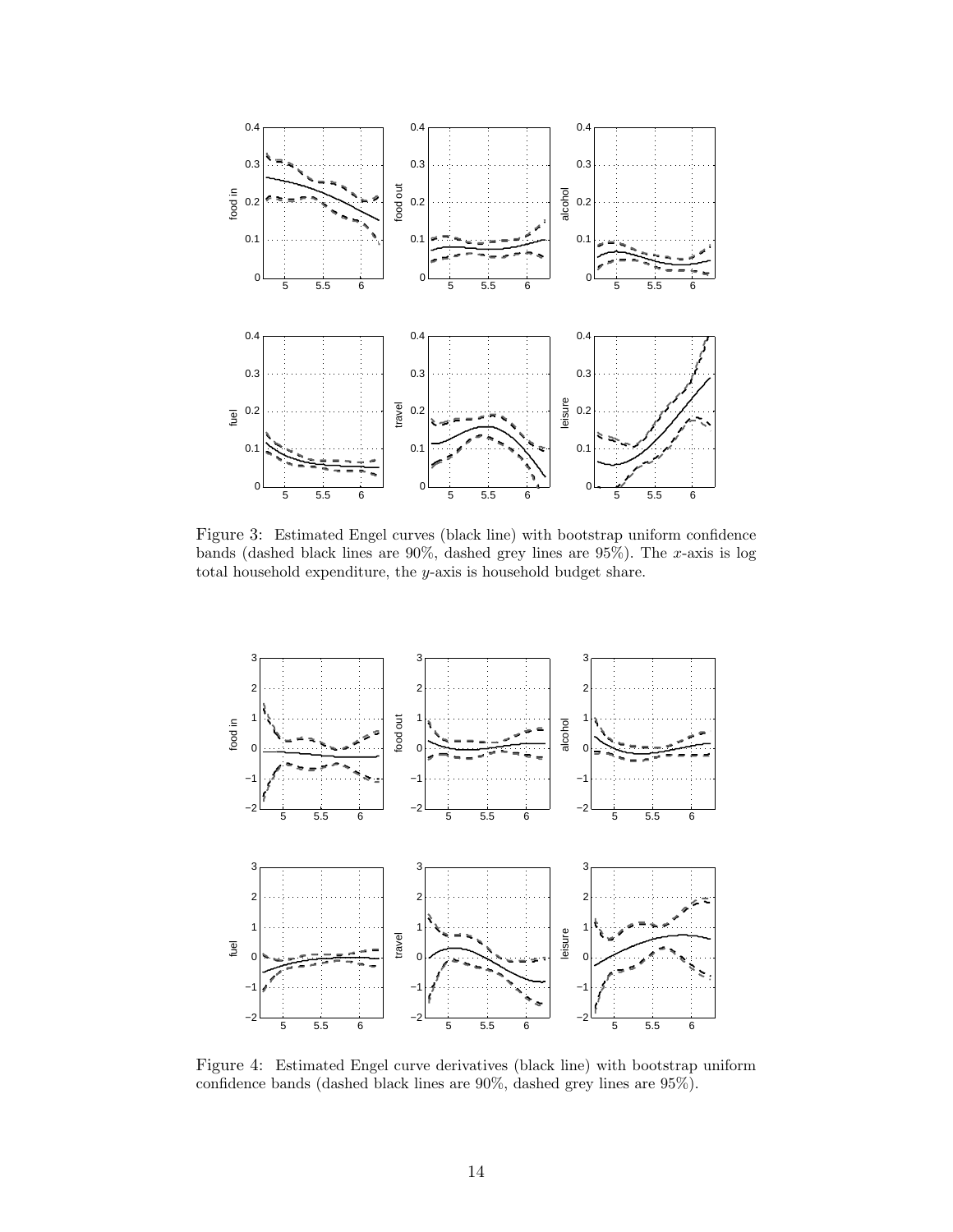<span id="page-14-0"></span>

Figure 3: Estimated Engel curves (black line) with bootstrap uniform confidence bands (dashed black lines are  $90\%$ , dashed grey lines are  $95\%$ ). The x-axis is log total household expenditure, the y-axis is household budget share.

<span id="page-14-1"></span>

Figure 4: Estimated Engel curve derivatives (black line) with bootstrap uniform confidence bands (dashed black lines are 90%, dashed grey lines are 95%).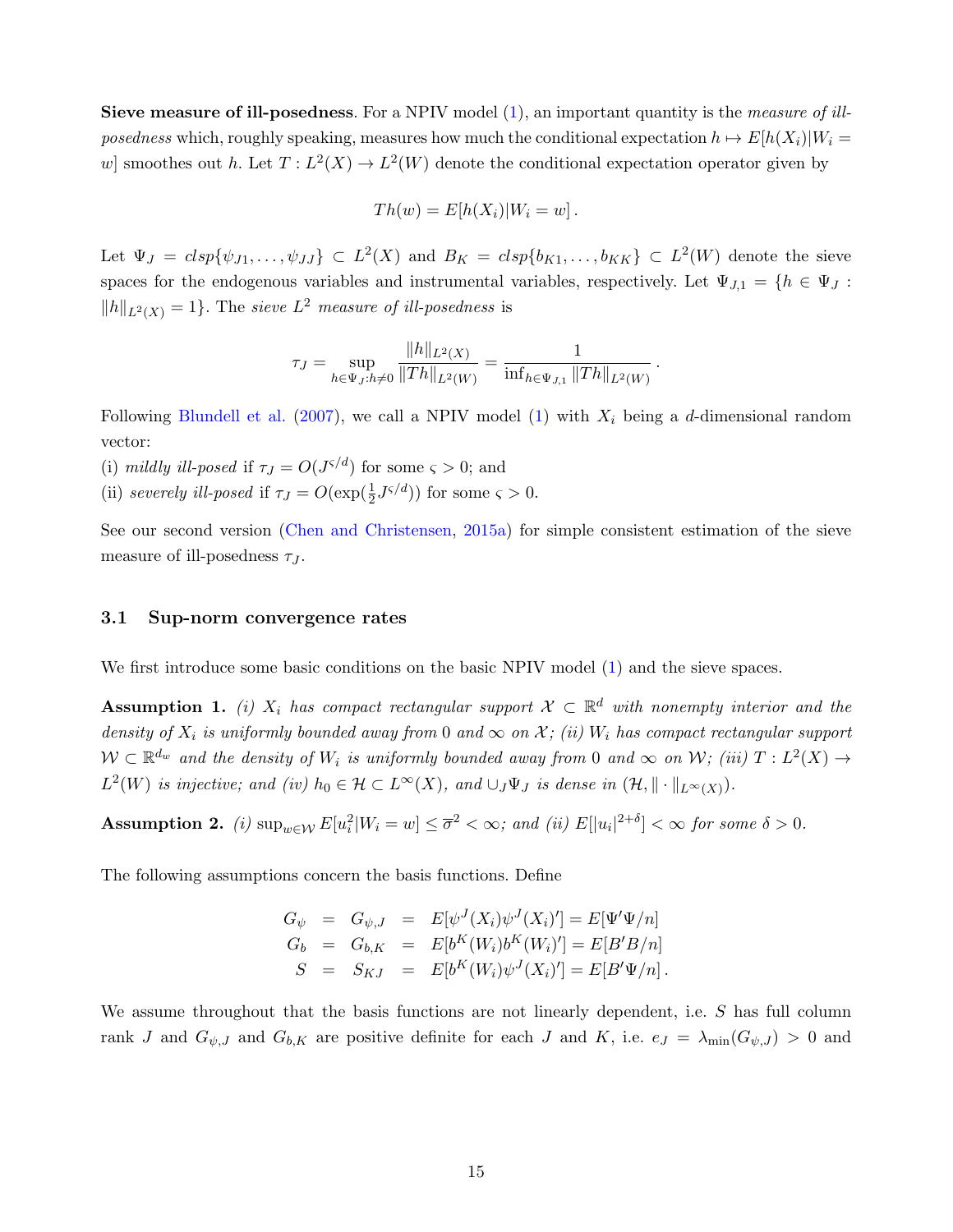Sieve measure of ill-posedness. For a NPIV model [\(1\)](#page-2-0), an important quantity is the *measure of ill*posedness which, roughly speaking, measures how much the conditional expectation  $h \mapsto E[h(X_i)|W_i =$ w smoothes out h. Let  $T: L^2(X) \to L^2(W)$  denote the conditional expectation operator given by

$$
Th(w) = E[h(X_i)|W_i = w].
$$

Let  $\Psi_J = clsp\{\psi_{J1}, \ldots, \psi_{JJ}\} \subset L^2(X)$  and  $B_K = clsp\{b_{K1}, \ldots, b_{KK}\} \subset L^2(W)$  denote the sieve spaces for the endogenous variables and instrumental variables, respectively. Let  $\Psi_{J,1} = \{h \in \Psi_J :$  $||h||_{L^2(X)} = 1$ . The sieve  $L^2$  measure of ill-posedness is

$$
\tau_J = \sup_{h \in \Psi_J: h \neq 0} \frac{\|h\|_{L^2(X)}}{\|Th\|_{L^2(W)}} = \frac{1}{\inf_{h \in \Psi_{J,1}} \|Th\|_{L^2(W)}}.
$$

Following [Blundell et al.](#page-37-3) [\(2007\)](#page-37-3), we call a NPIV model [\(1\)](#page-2-0) with  $X_i$  being a d-dimensional random vector:

- (i) mildly ill-posed if  $\tau_J = O(J^{\varsigma/d})$  for some  $\varsigma > 0$ ; and
- (ii) severely ill-posed if  $\tau_J = O(\exp(\frac{1}{2}J^{\varsigma/d}))$  for some  $\varsigma > 0$ .

See our second version [\(Chen and Christensen,](#page-37-0) [2015a\)](#page-37-0) for simple consistent estimation of the sieve measure of ill-posedness  $\tau_J$ .

#### <span id="page-15-0"></span>3.1 Sup-norm convergence rates

We first introduce some basic conditions on the basic NPIV model [\(1\)](#page-2-0) and the sieve spaces.

<span id="page-15-1"></span>**Assumption 1.** (i)  $X_i$  has compact rectangular support  $\mathcal{X} \subset \mathbb{R}^d$  with nonempty interior and the density of  $X_i$  is uniformly bounded away from 0 and  $\infty$  on  $\mathcal{X}$ ; (ii)  $W_i$  has compact rectangular support  $\mathcal{W} \subset \mathbb{R}^{d_w}$  and the density of  $W_i$  is uniformly bounded away from 0 and  $\infty$  on  $\mathcal{W}$ ; (iii)  $T: L^2(X) \to$  $L^2(W)$  is injective; and (iv)  $h_0 \in \mathcal{H} \subset L^{\infty}(X)$ , and  $\cup_J \Psi_J$  is dense in  $(\mathcal{H}, \|\cdot\|_{L^{\infty}(X)})$ .

<span id="page-15-2"></span>Assumption 2. (i)  $\sup_{w \in \mathcal{W}} E[u_i^2 | W_i = w] \leq \overline{\sigma}^2 < \infty$ ; and (ii)  $E[|u_i|^{2+\delta}] < \infty$  for some  $\delta > 0$ .

The following assumptions concern the basis functions. Define

$$
G_{\psi} = G_{\psi, J} = E[\psi^{J}(X_{i})\psi^{J}(X_{i})'] = E[\Psi'\Psi/n]
$$
  
\n
$$
G_{b} = G_{b,K} = E[b^{K}(W_{i})b^{K}(W_{i})'] = E[B'B/n]
$$
  
\n
$$
S = S_{KJ} = E[b^{K}(W_{i})\psi^{J}(X_{i})'] = E[B'\Psi/n].
$$

We assume throughout that the basis functions are not linearly dependent, i.e. S has full column rank J and  $G_{\psi,J}$  and  $G_{b,K}$  are positive definite for each J and K, i.e.  $e_J = \lambda_{\min}(G_{\psi,J}) > 0$  and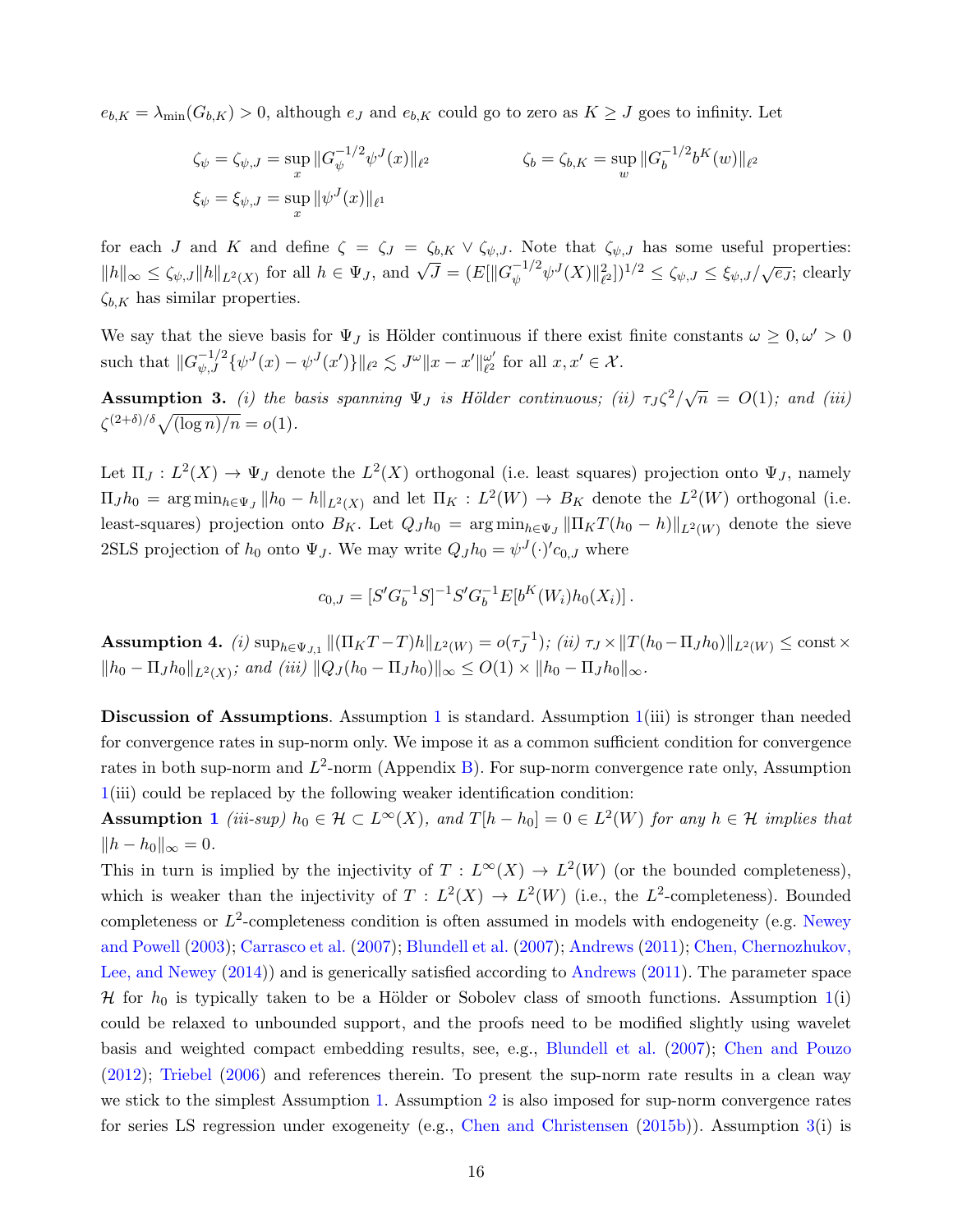$e_{b,K} = \lambda_{\min}(G_{b,K}) > 0$ , although  $e_J$  and  $e_{b,K}$  could go to zero as  $K \geq J$  goes to infinity. Let

$$
\zeta_{\psi} = \zeta_{\psi,J} = \sup_{x} ||G_{\psi}^{-1/2} \psi^{J}(x)||_{\ell^{2}}
$$
  

$$
\zeta_{b} = \zeta_{b,K} = \sup_{w} ||G_{b}^{-1/2} b^{K}(w)||_{\ell^{2}}
$$
  

$$
\zeta_{\psi} = \xi_{\psi,J} = \sup_{x} ||\psi^{J}(x)||_{\ell^{1}}
$$

for each J and K and define  $\zeta = \zeta_J = \zeta_{b,K} \vee \zeta_{\psi,J}$ . Note that  $\zeta_{\psi,J}$  has some useful properties:  $||h||_{\infty} \leq \zeta_{\psi,J} ||h||_{L^2(X)}$  for all  $h \in \Psi_J$ , and  $\sqrt{J} = (E[||G_{\psi}^{-1/2} \psi^J(X)||_{\ell^2}^2])^{1/2} \leq \zeta_{\psi,J} \leq \xi_{\psi,J}/\sqrt{e_J}$ ; clearly  $\zeta_{b,K}$  has similar properties.

We say that the sieve basis for  $\Psi_J$  is Hölder continuous if there exist finite constants  $\omega \geq 0, \omega' > 0$ such that  $||G_{\psi,J}^{-1/2}\{\psi^J(x) - \psi^J(x')\}||_{\ell^2} \lesssim J^{\omega} ||x - x'||_{\ell^2}^{\omega'}$  $_{\ell^2}^{\omega'}$  for all  $x, x' \in \mathcal{X}$ .

<span id="page-16-0"></span>**Assumption 3.** (i) the basis spanning  $\Psi_J$  is Hölder continuous; (ii)  $\tau_J \zeta^2/\sqrt{n} = O(1)$ ; and (iii)  $\zeta^{(2+\delta)/\delta}\sqrt{(\log n)/n} = o(1).$ 

Let  $\Pi_J: L^2(X) \to \Psi_J$  denote the  $L^2(X)$  orthogonal (i.e. least squares) projection onto  $\Psi_J$ , namely  $\Pi_J h_0 = \arg \min_{h \in \Psi_J} ||h_0 - h||_{L^2(X)}$  and let  $\Pi_K : L^2(W) \to B_K$  denote the  $L^2(W)$  orthogonal (i.e. least-squares) projection onto  $B_K$ . Let  $Q_J h_0 = \arg \min_{h \in \Psi_J} ||\Pi_K T(h_0 - h)||_{L^2(W)}$  denote the sieve 2SLS projection of  $h_0$  onto  $\Psi_J$ . We may write  $Q_J h_0 = \psi^J(\cdot)' c_{0,J}$  where

$$
c_{0,J} = [S'G_b^{-1}S]^{-1}S'G_b^{-1}E[b^K(W_i)h_0(X_i)]\,.
$$

<span id="page-16-1"></span>**Assumption 4.** (i)  $\sup_{h \in \Psi_{J,1}} ||(\Pi_K T - T)h||_{L^2(W)} = o(\tau_J^{-1})$  $J_J^{-1}$ ); (ii)  $\tau_J \times ||T(h_0 - \Pi_J h_0)||_{L^2(W)} \le \text{const} \times$  $||h_0 - \Pi_J h_0||_{L^2(X)}$ ; and (iii)  $||Q_J (h_0 - \Pi_J h_0)||_{\infty} \leq O(1) \times ||h_0 - \Pi_J h_0||_{\infty}$ .

Discussion of Assumptions. Assumption [1](#page-15-1) is standard. Assumption  $1(iii)$  $1(iii)$  is stronger than needed for convergence rates in sup-norm only. We impose it as a common sufficient condition for convergence rates in both sup-norm and  $L^2$ -norm (Appendix [B\)](#page-41-0). For sup-norm convergence rate only, Assumption  $1(iii)$  $1(iii)$  could be replaced by the following weaker identification condition:

**Assumption [1](#page-15-1)** (iii-sup)  $h_0 \in \mathcal{H} \subset L^{\infty}(X)$ , and  $T[h-h_0] = 0 \in L^2(W)$  for any  $h \in \mathcal{H}$  implies that  $||h - h_0||_{\infty} = 0.$ 

This in turn is implied by the injectivity of  $T : L^{\infty}(X) \to L^2(W)$  (or the bounded completeness), which is weaker than the injectivity of  $T : L^2(X) \to L^2(W)$  (i.e., the L<sup>2</sup>-completeness). Bounded completeness or  $L^2$ -completeness condition is often assumed in models with endogeneity (e.g. [Newey](#page-39-0) [and Powell](#page-39-0) [\(2003\)](#page-39-0); [Carrasco et al.](#page-37-4) [\(2007\)](#page-37-4); [Blundell et al.](#page-37-3) [\(2007\)](#page-37-3); [Andrews](#page-37-12) [\(2011\)](#page-37-12); [Chen, Chernozhukov,](#page-37-13) [Lee, and Newey](#page-37-13) [\(2014\)](#page-37-13)) and is generically satisfied according to [Andrews](#page-37-12) [\(2011\)](#page-37-12). The parameter space H for  $h_0$  is typically taken to be a Hölder or Sobolev class of smooth functions. Assumption [1\(](#page-15-1)i) could be relaxed to unbounded support, and the proofs need to be modified slightly using wavelet basis and weighted compact embedding results, see, e.g., [Blundell et al.](#page-37-3) [\(2007\)](#page-37-3); [Chen and Pouzo](#page-38-4) [\(2012\)](#page-38-4); [Triebel](#page-39-9) [\(2006\)](#page-39-9) and references therein. To present the sup-norm rate results in a clean way we stick to the simplest Assumption [1.](#page-15-1) Assumption [2](#page-15-2) is also imposed for sup-norm convergence rates for series LS regression under exogeneity (e.g., [Chen and Christensen](#page-37-7) [\(2015b\)](#page-37-7)). Assumption [3\(](#page-16-0)i) is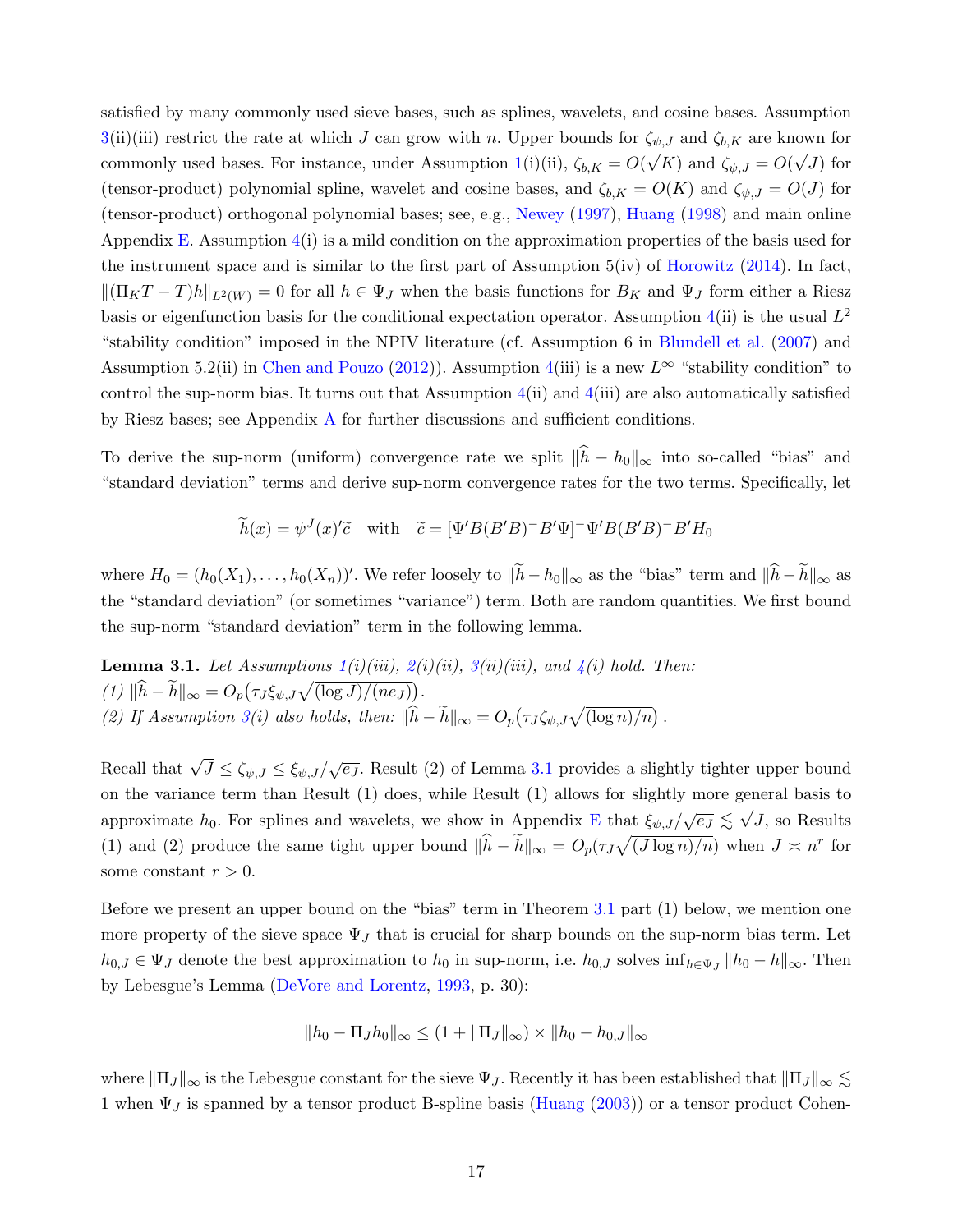satisfied by many commonly used sieve bases, such as splines, wavelets, and cosine bases. Assumption [3\(](#page-16-0)ii)(iii) restrict the rate at which J can grow with n. Upper bounds for  $\zeta_{\psi,J}$  and  $\zeta_{b,K}$  are known for commonly used bases. For instance, under Assumption [1\(](#page-15-1)i)(ii),  $\zeta_{b,K} = O(\sqrt{K})$  and  $\zeta_{\psi,J} = O(\sqrt{J})$  for (tensor-product) polynomial spline, wavelet and cosine bases, and  $\zeta_{b,K} = O(K)$  and  $\zeta_{\psi,J} = O(J)$  for (tensor-product) orthogonal polynomial bases; see, e.g., [Newey](#page-39-4) [\(1997\)](#page-39-4), [Huang](#page-39-7) [\(1998\)](#page-39-7) and main online Appendix [E.](#page--1-1) Assumption  $4(i)$  $4(i)$  is a mild condition on the approximation properties of the basis used for the instrument space and is similar to the first part of Assumption  $5(iv)$  of [Horowitz](#page-39-10) [\(2014\)](#page-39-10). In fact,  $\|(\Pi_K T - T)h\|_{L^2(W)} = 0$  for all  $h \in \Psi_J$  when the basis functions for  $B_K$  and  $\Psi_J$  form either a Riesz basis or eigenfunction basis for the conditional expectation operator. Assumption [4\(](#page-16-1)ii) is the usual  $L^2$ "stability condition" imposed in the NPIV literature (cf. Assumption 6 in [Blundell et al.](#page-37-3) [\(2007\)](#page-37-3) and Assumption 5.2(ii) in [Chen and Pouzo](#page-38-4) [\(2012\)](#page-38-4)). Assumption [4\(](#page-16-1)iii) is a new  $L^{\infty}$  "stability condition" to control the sup-norm bias. It turns out that Assumption  $4(ii)$  $4(ii)$  and  $4(iii)$  are also automatically satisfied by Riesz bases; see Appendix [A](#page-40-0) for further discussions and sufficient conditions.

To derive the sup-norm (uniform) convergence rate we split  $\|\hat{h} - h_0\|_{\infty}$  into so-called "bias" and "standard deviation" terms and derive sup-norm convergence rates for the two terms. Specifically, let

$$
\widetilde{h}(x) = \psi^{J}(x)'\widetilde{c} \quad \text{with} \quad \widetilde{c} = [\Psi^{'}B(B'B)^{-}B'\Psi]^{-}\Psi^{'}B(B'B)^{-}B'H_{0}
$$

where  $H_0 = (h_0(X_1), \ldots, h_0(X_n))'$ . We refer loosely to  $\|\tilde{h} - h_0\|_{\infty}$  as the "bias" term and  $\|\hat{h} - \tilde{h}\|_{\infty}$  as the "standard deviation" (or sometimes "variance") term. Both are random quantities. We first bound the sup-norm "standard deviation" term in the following lemma.

<span id="page-17-0"></span>**Lemma 3.1.** Let Assumptions  $1(i)(iii)$  $1(i)(iii)$ ,  $2(i)(ii)$  $2(i)(ii)$ ,  $3(ii)(iii)$  $3(ii)(iii)$ , and  $4(i)$  $4(i)$  hold. Then: (1)  $\|\hat{h} - \tilde{h}\|_{\infty} = O_p(\tau_J \xi_{\psi, J} \sqrt{(\log J)/(ne_J)})$ . (2) If Assumption [3\(](#page-16-0)i) also holds, then:  $\|\widehat{h} - \widetilde{h}\|_{\infty} = O_p(\tau_J \zeta_{\psi, J} \sqrt{\log n / n})$ .

Recall that  $\sqrt{J} \leq \zeta_{\psi,J} \leq \zeta_{\psi,J}/\sqrt{e_J}$ . Result (2) of Lemma [3.1](#page-17-0) provides a slightly tighter upper bound on the variance term than Result (1) does, while Result (1) allows for slightly more general basis to approximate  $h_0$ . For splines and wavelets, we show in Appendix [E](#page--1-1) that  $\xi_{\psi,J}/\sqrt{e_J} \lesssim \sqrt{J}$ , so Results (1) and (2) produce the same tight upper bound  $\|\hat{h} - \tilde{h}\|_{\infty} = O_p(\tau_J \sqrt{(J \log n)/n})$  when  $J \approx n^r$  for some constant  $r > 0$ .

Before we present an upper bound on the "bias" term in Theorem [3.1](#page-18-0) part (1) below, we mention one more property of the sieve space  $\Psi_J$  that is crucial for sharp bounds on the sup-norm bias term. Let  $h_{0,J} \in \Psi_J$  denote the best approximation to  $h_0$  in sup-norm, i.e.  $h_{0,J}$  solves  $\inf_{h \in \Psi_J} ||h_0 - h||_{\infty}$ . Then by Lebesgue's Lemma [\(DeVore and Lorentz,](#page-38-13) [1993,](#page-38-13) p. 30):

$$
||h_0 - \Pi_J h_0||_{\infty} \le (1 + ||\Pi_J||_{\infty}) \times ||h_0 - h_{0,J}||_{\infty}
$$

where  $\|\Pi_J\|_{\infty}$  is the Lebesgue constant for the sieve  $\Psi_J$ . Recently it has been established that  $\|\Pi_J\|_{\infty} \lesssim$ 1 when  $\Psi_J$  is spanned by a tensor product B-spline basis [\(Huang](#page-39-11) [\(2003\)](#page-39-11)) or a tensor product Cohen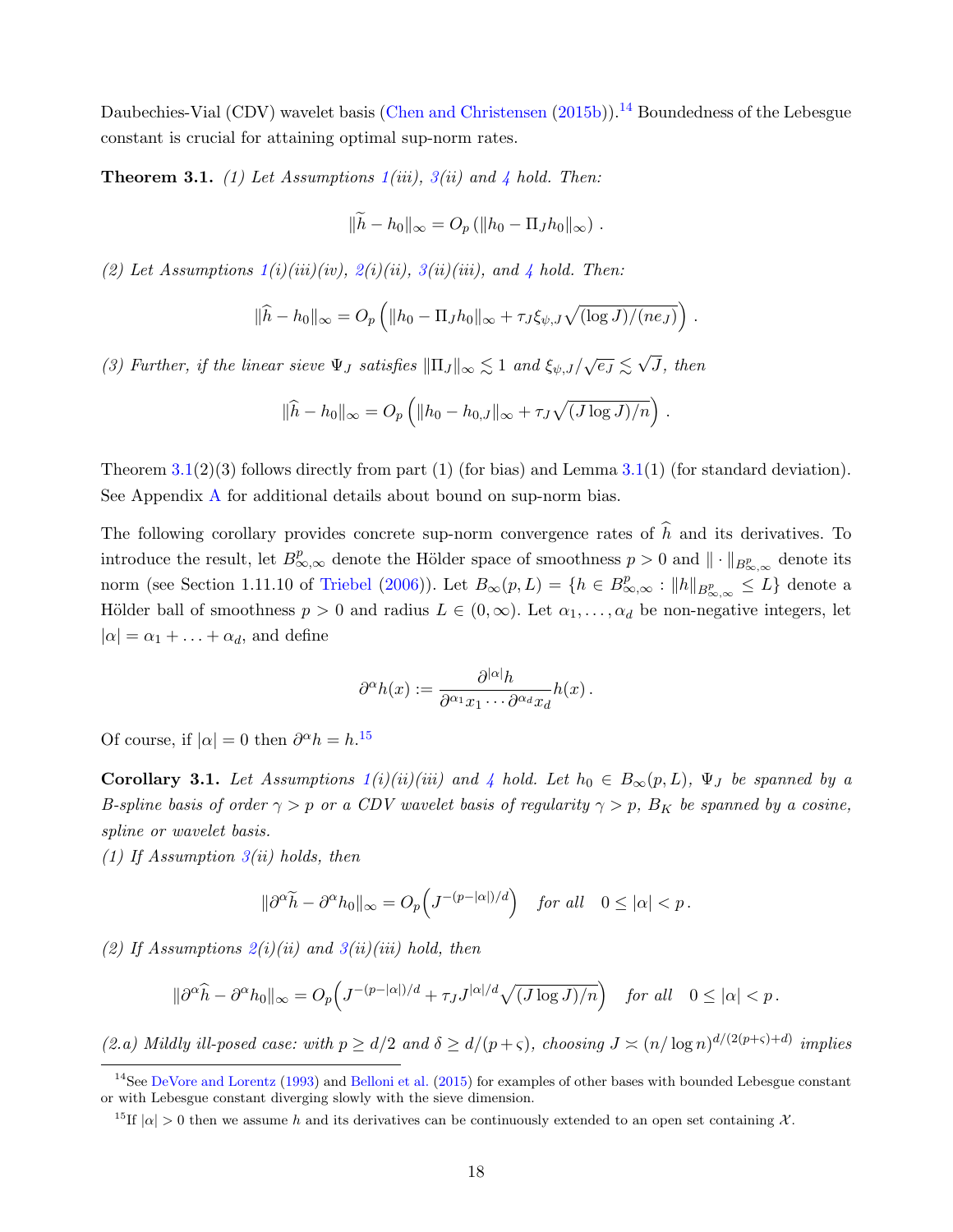Daubechies-Vial (CDV) wavelet basis [\(Chen and Christensen](#page-37-7) [\(2015b\)](#page-37-7)).<sup>[14](#page-18-1)</sup> Boundedness of the Lebesgue constant is crucial for attaining optimal sup-norm rates.

<span id="page-18-0"></span>**Theorem 3.1.** (1) Let Assumptions  $1(iii)$  $1(iii)$ ,  $3(ii)$  $3(ii)$  and  $4$  hold. Then:

$$
\|\tilde{h} - h_0\|_{\infty} = O_p (\|h_0 - \Pi_J h_0\|_{\infty}) .
$$

(2) Let Assumptions  $1(i)(iii)(iv), 2(i)(ii), 3(ii)(iii),$  $1(i)(iii)(iv), 2(i)(ii), 3(ii)(iii),$  $1(i)(iii)(iv), 2(i)(ii), 3(ii)(iii),$  $1(i)(iii)(iv), 2(i)(ii), 3(ii)(iii),$  $1(i)(iii)(iv), 2(i)(ii), 3(ii)(iii),$  $1(i)(iii)(iv), 2(i)(ii), 3(ii)(iii),$  and [4](#page-16-1) hold. Then:

$$
\|\widehat{h}-h_0\|_{\infty}=O_p\left(\|h_0-\Pi_J h_0\|_{\infty}+\tau_J \xi_{\psi,J}\sqrt{(\log J)/(ne_J)}\right).
$$

(3) Further, if the linear sieve  $\Psi_J$  satisfies  $\|\Pi_J\|_{\infty} \lesssim 1$  and  $\xi_{\psi,J}/\sqrt{e_J} \lesssim \sqrt{2}$ J, then

$$
\|\widehat{h} - h_0\|_{\infty} = O_p\left(\|h_0 - h_{0,J}\|_{\infty} + \tau_J\sqrt{(J\log J)/n}\right).
$$

Theorem  $3.1(2)(3)$  $3.1(2)(3)$  follows directly from part (1) (for bias) and Lemma  $3.1(1)$  (for standard deviation). See Appendix [A](#page-40-0) for additional details about bound on sup-norm bias.

The following corollary provides concrete sup-norm convergence rates of  $\hat{h}$  and its derivatives. To introduce the result, let  $B^p_{\infty,\infty}$  denote the Hölder space of smoothness  $p > 0$  and  $\|\cdot\|_{B^p_{\infty,\infty}}$  denote its norm (see Section 1.11.10 of [Triebel](#page-39-9) [\(2006\)](#page-39-9)). Let  $B_{\infty}(p, L) = \{h \in B_{\infty,\infty}^p : ||h||_{B_{\infty,\infty}^p} \leq L\}$  denote a Hölder ball of smoothness  $p > 0$  and radius  $L \in (0, \infty)$ . Let  $\alpha_1, \ldots, \alpha_d$  be non-negative integers, let  $|\alpha| = \alpha_1 + \ldots + \alpha_d$ , and define

$$
\partial^{\alpha}h(x) := \frac{\partial^{|\alpha|}h}{\partial^{\alpha_1}x_1\cdots\partial^{\alpha_d}x_d}h(x) .
$$

Of course, if  $|\alpha| = 0$  then  $\partial^{\alpha} h = h^{15}$  $\partial^{\alpha} h = h^{15}$  $\partial^{\alpha} h = h^{15}$ .

<span id="page-18-3"></span>**Corollary 3.1.** Let Assumptions  $1(i)(ii)(iii)$  $1(i)(ii)(iii)$  and [4](#page-16-1) hold. Let  $h_0 \in B_\infty(p, L)$ ,  $\Psi_J$  be spanned by a B-spline basis of order  $\gamma > p$  or a CDV wavelet basis of regularity  $\gamma > p$ , B<sub>K</sub> be spanned by a cosine, spline or wavelet basis.

(1) If Assumption  $3(ii)$  $3(ii)$  holds, then

$$
\|\partial^{\alpha}\widetilde{h} - \partial^{\alpha}h_0\|_{\infty} = O_p\Big(J^{-(p-|\alpha|)/d}\Big) \quad \text{for all} \quad 0 \leq |\alpha| < p\,.
$$

(2) If Assumptions  $2(i)(ii)$  $2(i)(ii)$  and  $3(ii)(iii)$  $3(ii)(iii)$  hold, then

$$
\|\partial^{\alpha}\widehat{h} - \partial^{\alpha}h_0\|_{\infty} = O_p\Big(J^{-(p-|\alpha|)/d} + \tau_J J^{|\alpha|/d}\sqrt{(J\log J)/n}\Big) \quad \text{for all} \quad 0 \le |\alpha| < p\,.
$$

(2.a) Mildly ill-posed case: with  $p \ge d/2$  and  $\delta \ge d/(p+\varsigma)$ , choosing  $J \asymp (n/\log n)^{d/(2(p+\varsigma)+d)}$  implies

<span id="page-18-1"></span> $14$ See [DeVore and Lorentz](#page-38-13) [\(1993\)](#page-38-13) and [Belloni et al.](#page-37-6) [\(2015\)](#page-37-6) for examples of other bases with bounded Lebesgue constant or with Lebesgue constant diverging slowly with the sieve dimension.

<span id="page-18-2"></span><sup>&</sup>lt;sup>15</sup>If  $|\alpha| > 0$  then we assume h and its derivatives can be continuously extended to an open set containing X.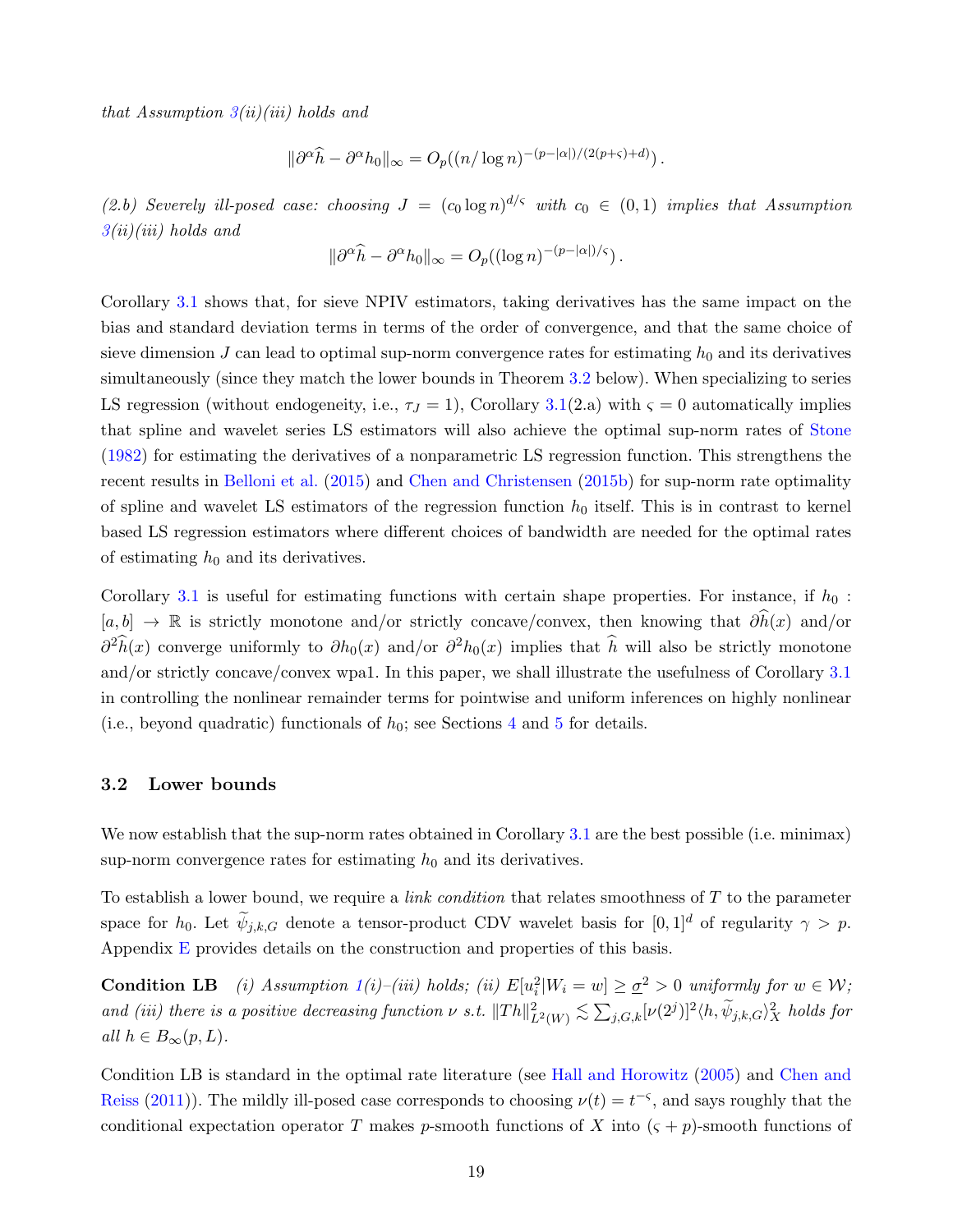that Assumption  $3(ii)(iii)$  $3(ii)(iii)$  holds and

$$
\|\partial^{\alpha}\widehat{h} - \partial^{\alpha}h_0\|_{\infty} = O_p((n/\log n)^{-(p-|\alpha|)/(2(p+\varsigma)+d)}).
$$

(2.b) Severely ill-posed case: choosing  $J = (c_0 \log n)^{d/\varsigma}$  with  $c_0 \in (0,1)$  implies that Assumption  $3(ii)(iii)$  $3(ii)(iii)$  holds and

$$
\|\partial^{\alpha}\widehat{h} - \partial^{\alpha}h_0\|_{\infty} = O_p((\log n)^{-(p-|\alpha|)/\varsigma}).
$$

Corollary [3.1](#page-18-3) shows that, for sieve NPIV estimators, taking derivatives has the same impact on the bias and standard deviation terms in terms of the order of convergence, and that the same choice of sieve dimension  $J$  can lead to optimal sup-norm convergence rates for estimating  $h_0$  and its derivatives simultaneously (since they match the lower bounds in Theorem [3.2](#page-20-1) below). When specializing to series LS regression (without endogeneity, i.e.,  $\tau_J = 1$ ), Corollary [3.1\(](#page-18-3)2.a) with  $\zeta = 0$  automatically implies that spline and wavelet series LS estimators will also achieve the optimal sup-norm rates of [Stone](#page-39-2) [\(1982\)](#page-39-2) for estimating the derivatives of a nonparametric LS regression function. This strengthens the recent results in [Belloni et al.](#page-37-6) [\(2015\)](#page-37-6) and [Chen and Christensen](#page-37-7) [\(2015b\)](#page-37-7) for sup-norm rate optimality of spline and wavelet LS estimators of the regression function  $h_0$  itself. This is in contrast to kernel based LS regression estimators where different choices of bandwidth are needed for the optimal rates of estimating  $h_0$  and its derivatives.

Corollary [3.1](#page-18-3) is useful for estimating functions with certain shape properties. For instance, if  $h_0$ :  $[a, b] \rightarrow \mathbb{R}$  is strictly monotone and/or strictly concave/convex, then knowing that  $\partial \hat{h}(x)$  and/or  $\partial^2 \hat{h}(x)$  converge uniformly to  $\partial h_0(x)$  and/or  $\partial^2 h_0(x)$  implies that  $\hat{h}$  will also be strictly monotone and/or strictly concave/convex wpa1. In this paper, we shall illustrate the usefulness of Corollary [3.1](#page-18-3) in controlling the nonlinear remainder terms for pointwise and uniform inferences on highly nonlinear (i.e., beyond quadratic) functionals of  $h_0$ ; see Sections [4](#page-22-0) and [5](#page-27-0) for details.

#### <span id="page-19-0"></span>3.2 Lower bounds

We now establish that the sup-norm rates obtained in Corollary [3.1](#page-18-3) are the best possible (i.e. minimax) sup-norm convergence rates for estimating  $h_0$  and its derivatives.

To establish a lower bound, we require a *link condition* that relates smoothness of  $T$  to the parameter space for  $h_0$ . Let  $\widetilde{\psi}_{j,k,G}$  denote a tensor-product CDV wavelet basis for  $[0,1]^d$  of regularity  $\gamma > p$ . Appendix  $E$  provides details on the construction and properties of this basis.

**Condition LB** (i) Assumption  $1(i)$  $1(i)$ –(iii) holds; (ii)  $E[u_i^2|W_i = w] \ge \underline{\sigma}^2 > 0$  uniformly for  $w \in W$ ; and (iii) there is a positive decreasing function  $\nu$  s.t.  $||Th||_{L^2(W)}^2 \lesssim \sum_{j,G,k} [\nu(2^j)]^2 \langle h, \widetilde{\psi}_{j,k,G} \rangle_X^2$  holds for all  $h \in B_{\infty}(p, L)$ .

Condition LB is standard in the optimal rate literature (see [Hall and Horowitz](#page-38-0) [\(2005\)](#page-38-0) and [Chen and](#page-38-1) [Reiss](#page-38-1) [\(2011\)](#page-38-1)). The mildly ill-posed case corresponds to choosing  $\nu(t) = t^{-\varsigma}$ , and says roughly that the conditional expectation operator T makes p-smooth functions of X into  $(\varsigma + p)$ -smooth functions of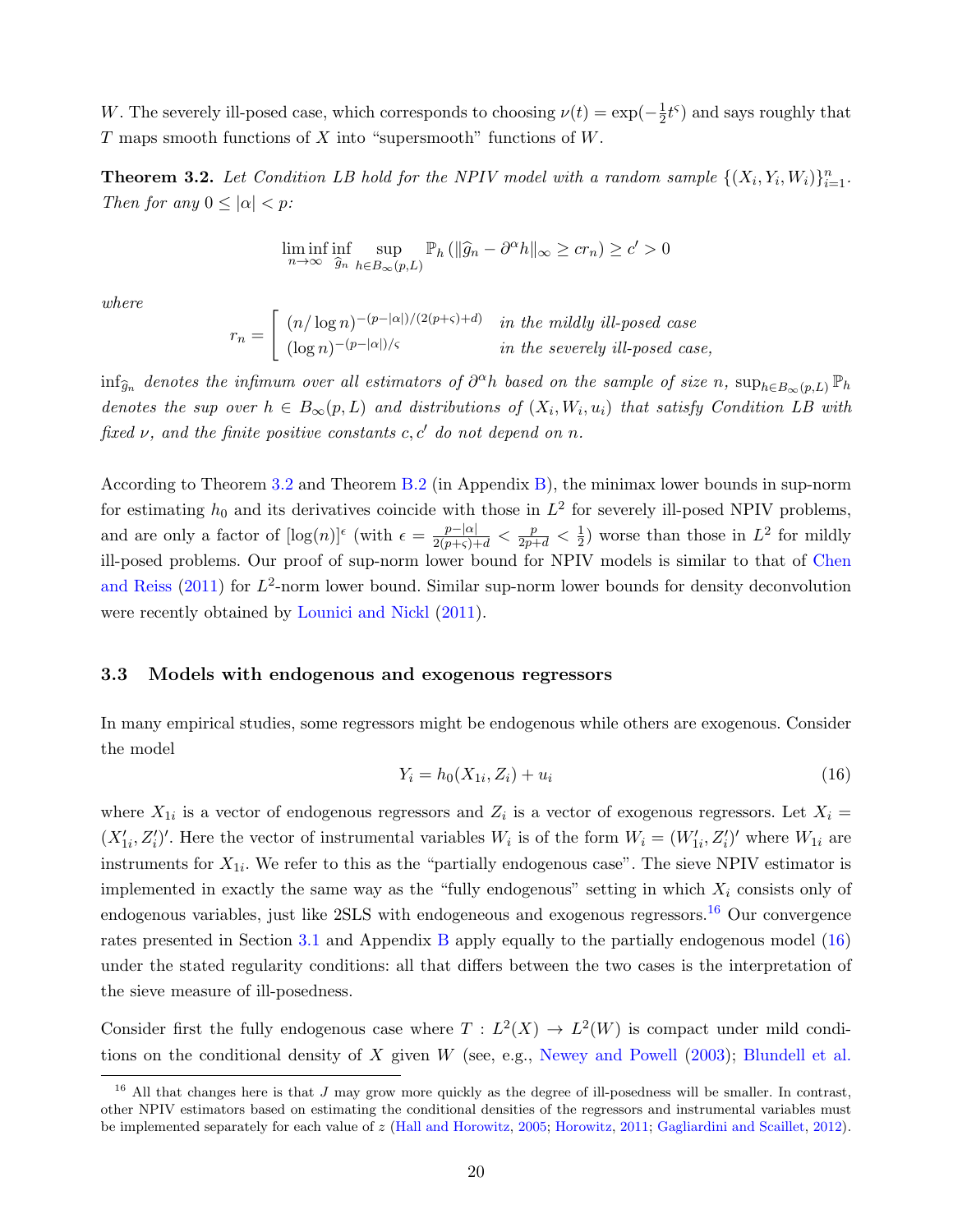W. The severely ill-posed case, which corresponds to choosing  $\nu(t) = \exp(-\frac{1}{2})$  $\frac{1}{2}t^{\varsigma}$ ) and says roughly that T maps smooth functions of X into "supersmooth" functions of  $W$ .

<span id="page-20-1"></span>**Theorem 3.2.** Let Condition LB hold for the NPIV model with a random sample  $\{(X_i, Y_i, W_i)\}_{i=1}^n$ . Then for any  $0 \leq |\alpha| < p$ :

$$
\liminf_{n \to \infty} \inf_{\hat{g}_n} \sup_{h \in B_{\infty}(p,L)} \mathbb{P}_h \left( \| \hat{g}_n - \partial^{\alpha} h \|_{\infty} \geq c r_n \right) \geq c' > 0
$$

where

$$
r_n = \begin{bmatrix} (n/\log n)^{-(p-|\alpha|)/(2(p+\varsigma)+d)} & \text{in the mildly ill-posed case} \\ (\log n)^{-(p-|\alpha|)/\varsigma} & \text{in the severely ill-posed case,} \end{bmatrix}
$$

 $\inf_{\widehat{g}_n}$  denotes the infimum over all estimators of  $\partial^{\alpha}h$  based on the sample of size n,  $\sup_{h \in B_{\infty}(p,L)} \mathbb{P}_h$ denotes the sup over  $h \in B_{\infty}(p, L)$  and distributions of  $(X_i, W_i, u_i)$  that satisfy Condition LB with fixed  $\nu$ , and the finite positive constants c, c' do not depend on n.

According to Theorem [3.2](#page-20-1) and Theorem [B.2](#page-42-1) (in Appendix [B\)](#page-41-0), the minimax lower bounds in sup-norm for estimating  $h_0$  and its derivatives coincide with those in  $L^2$  for severely ill-posed NPIV problems, and are only a factor of  $[\log(n)]^{\epsilon}$  (with  $\epsilon = \frac{p-|\alpha|}{2(p+\varsigma)+d} < \frac{p}{2p+d} < \frac{1}{2}$  $\frac{1}{2}$ ) worse than those in  $L^2$  for mildly ill-posed problems. Our proof of sup-norm lower bound for NPIV models is similar to that of [Chen](#page-38-1) [and Reiss](#page-38-1)  $(2011)$  for  $L^2$ -norm lower bound. Similar sup-norm lower bounds for density deconvolution were recently obtained by [Lounici and Nickl](#page-39-12) [\(2011\)](#page-39-12).

#### <span id="page-20-0"></span>3.3 Models with endogenous and exogenous regressors

In many empirical studies, some regressors might be endogenous while others are exogenous. Consider the model

<span id="page-20-3"></span>
$$
Y_i = h_0(X_{1i}, Z_i) + u_i \tag{16}
$$

where  $X_{1i}$  is a vector of endogenous regressors and  $Z_i$  is a vector of exogenous regressors. Let  $X_i =$  $(X'_{1i}, Z'_i)'$ . Here the vector of instrumental variables  $W_i$  is of the form  $W_i = (W'_{1i}, Z'_i)'$  where  $W_{1i}$  are instruments for  $X_{1i}$ . We refer to this as the "partially endogenous case". The sieve NPIV estimator is implemented in exactly the same way as the "fully endogenous" setting in which  $X_i$  consists only of endogenous variables, just like 2SLS with endogeneous and exogenous regressors.<sup>[16](#page-20-2)</sup> Our convergence rates presented in Section [3.1](#page-15-0) and Appendix [B](#page-41-0) apply equally to the partially endogenous model [\(16\)](#page-20-3) under the stated regularity conditions: all that differs between the two cases is the interpretation of the sieve measure of ill-posedness.

Consider first the fully endogenous case where  $T : L^2(X) \to L^2(W)$  is compact under mild conditions on the conditional density of  $X$  given  $W$  (see, e.g., [Newey and Powell](#page-39-0) [\(2003\)](#page-39-0); [Blundell et al.](#page-37-3)

<span id="page-20-2"></span><sup>&</sup>lt;sup>16</sup> All that changes here is that J may grow more quickly as the degree of ill-posedness will be smaller. In contrast, other NPIV estimators based on estimating the conditional densities of the regressors and instrumental variables must be implemented separately for each value of z [\(Hall and Horowitz,](#page-38-0) [2005;](#page-38-0) [Horowitz,](#page-38-3) [2011;](#page-38-3) [Gagliardini and Scaillet,](#page-38-5) [2012\)](#page-38-5).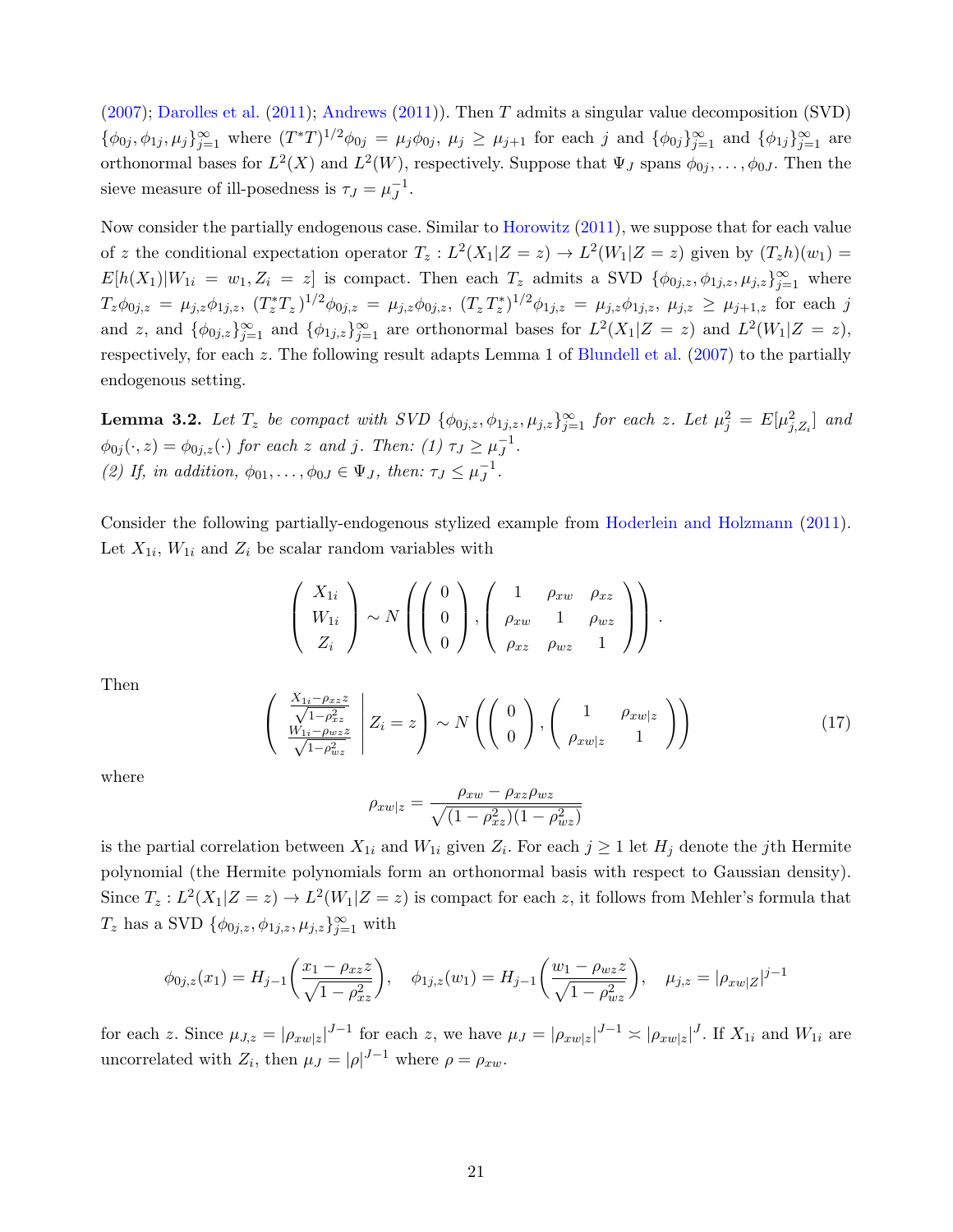[\(2007\)](#page-37-3); [Darolles et al.](#page-38-2) [\(2011\)](#page-38-2); [Andrews](#page-37-12) [\(2011\)](#page-37-12)). Then T admits a singular value decomposition (SVD)  $\{\phi_{0j}, \phi_{1j}, \mu_j\}_{j=1}^{\infty}$  where  $(T^*T)^{1/2}\phi_{0j} = \mu_j\phi_{0j}, \mu_j \geq \mu_{j+1}$  for each j and  $\{\phi_{0j}\}_{j=1}^{\infty}$  and  $\{\phi_{1j}\}_{j=1}^{\infty}$  are orthonormal bases for  $L^2(X)$  and  $L^2(W)$ , respectively. Suppose that  $\Psi_J$  spans  $\phi_{0j}, \ldots, \phi_{0J}$ . Then the sieve measure of ill-posedness is  $\tau_J = \mu_J^{-1}$  $\overline{J}^1$ .

Now consider the partially endogenous case. Similar to [Horowitz](#page-38-3) [\(2011\)](#page-38-3), we suppose that for each value of z the conditional expectation operator  $T_z: L^2(X_1|Z=z) \to L^2(W_1|Z=z)$  given by  $(T_zh)(w_1) =$  $E[h(X_1)|W_{1i} = w_1, Z_i = z]$  is compact. Then each  $T_z$  admits a SVD  $\{\phi_{0j,z}, \phi_{1j,z}, \mu_{j,z}\}_{j=1}^{\infty}$  where  $T_z\phi_{0j,z} = \mu_{j,z}\phi_{1j,z}, (T_z^*T_z)^{1/2}\phi_{0j,z} = \mu_{j,z}\phi_{0j,z}, (T_z^*T_z^*)^{1/2}\phi_{1j,z} = \mu_{j,z}\phi_{1j,z}, \mu_{j,z} \ge \mu_{j+1,z}$  for each j and z, and  $\{\phi_{0j,z}\}_{j=1}^{\infty}$  and  $\{\phi_{1j,z}\}_{j=1}^{\infty}$  are orthonormal bases for  $L^2(X_1|Z=z)$  and  $L^2(W_1|Z=z)$ , respectively, for each z. The following result adapts Lemma 1 of [Blundell et al.](#page-37-3) [\(2007\)](#page-37-3) to the partially endogenous setting.

**Lemma 3.2.** Let  $T_z$  be compact with SVD  $\{\phi_{0j,z}, \phi_{1j,z}, \mu_{j,z}\}_{j=1}^{\infty}$  for each z. Let  $\mu_j^2 = E[\mu_{j,Z_i}^2]$  and  $\phi_{0j}(\cdot,z) = \phi_{0j,z}(\cdot)$  for each z and j. Then: (1)  $\tau_J \ge \mu_J^{-1}$  $J^1$ . (2) If, in addition,  $\phi_{01}, \ldots, \phi_{0J} \in \Psi_J$ , then:  $\tau_J \leq \mu_J^{-1}$  $J^1$ .

Consider the following partially-endogenous stylized example from [Hoderlein and Holzmann](#page-38-14) [\(2011\)](#page-38-14). Let  $X_{1i}$ ,  $W_{1i}$  and  $Z_i$  be scalar random variables with

$$
\left(\begin{array}{c} X_{1i} \\ W_{1i} \\ Z_i \end{array}\right) \sim N\left(\left(\begin{array}{c} 0 \\ 0 \\ 0 \end{array}\right), \left(\begin{array}{ccc} 1 & \rho_{xw} & \rho_{xz} \\ \rho_{xw} & 1 & \rho_{wz} \\ \rho_{xz} & \rho_{wz} & 1 \end{array}\right)\right).
$$

Then

$$
\begin{pmatrix} \frac{X_{1i} - \rho_{xz}z}{\sqrt{1 - \rho_{xz}^2}} \\ \frac{W_{1i} - \rho_{wz}z}{\sqrt{1 - \rho_{wz}^2}} \end{pmatrix} Z_i = z \qquad \sim N \left( \begin{pmatrix} 0 \\ 0 \end{pmatrix}, \begin{pmatrix} 1 & \rho_{xw|z} \\ \rho_{xw|z} & 1 \end{pmatrix} \right)
$$
 (17)

where

$$
\rho_{xw|z} = \frac{\rho_{xw} - \rho_{xz}\rho_{wz}}{\sqrt{(1 - \rho_{xz}^2)(1 - \rho_{wz}^2)}}
$$

is the partial correlation between  $X_{1i}$  and  $W_{1i}$  given  $Z_i$ . For each  $j \geq 1$  let  $H_j$  denote the jth Hermite polynomial (the Hermite polynomials form an orthonormal basis with respect to Gaussian density). Since  $T_z: L^2(X_1|Z=z) \to L^2(W_1|Z=z)$  is compact for each z, it follows from Mehler's formula that  $T_z$  has a SVD  $\{\phi_{0j,z}, \phi_{1j,z}, \mu_{j,z}\}_{j=1}^{\infty}$  with

$$
\phi_{0j,z}(x_1) = H_{j-1}\left(\frac{x_1 - \rho_{xz}z}{\sqrt{1 - \rho_{xz}^2}}\right), \quad \phi_{1j,z}(w_1) = H_{j-1}\left(\frac{w_1 - \rho_{wz}z}{\sqrt{1 - \rho_{wz}^2}}\right), \quad \mu_{j,z} = |\rho_{xw|Z}|^{j-1}
$$

for each z. Since  $\mu_{J,z} = |\rho_{xw|z}|^{J-1}$  for each z, we have  $\mu_J = |\rho_{xw|z}|^{J-1} \approx |\rho_{xw|z}|^J$ . If  $X_{1i}$  and  $W_{1i}$  are uncorrelated with  $Z_i$ , then  $\mu_J = |\rho|^{J-1}$  where  $\rho = \rho_{xw}$ .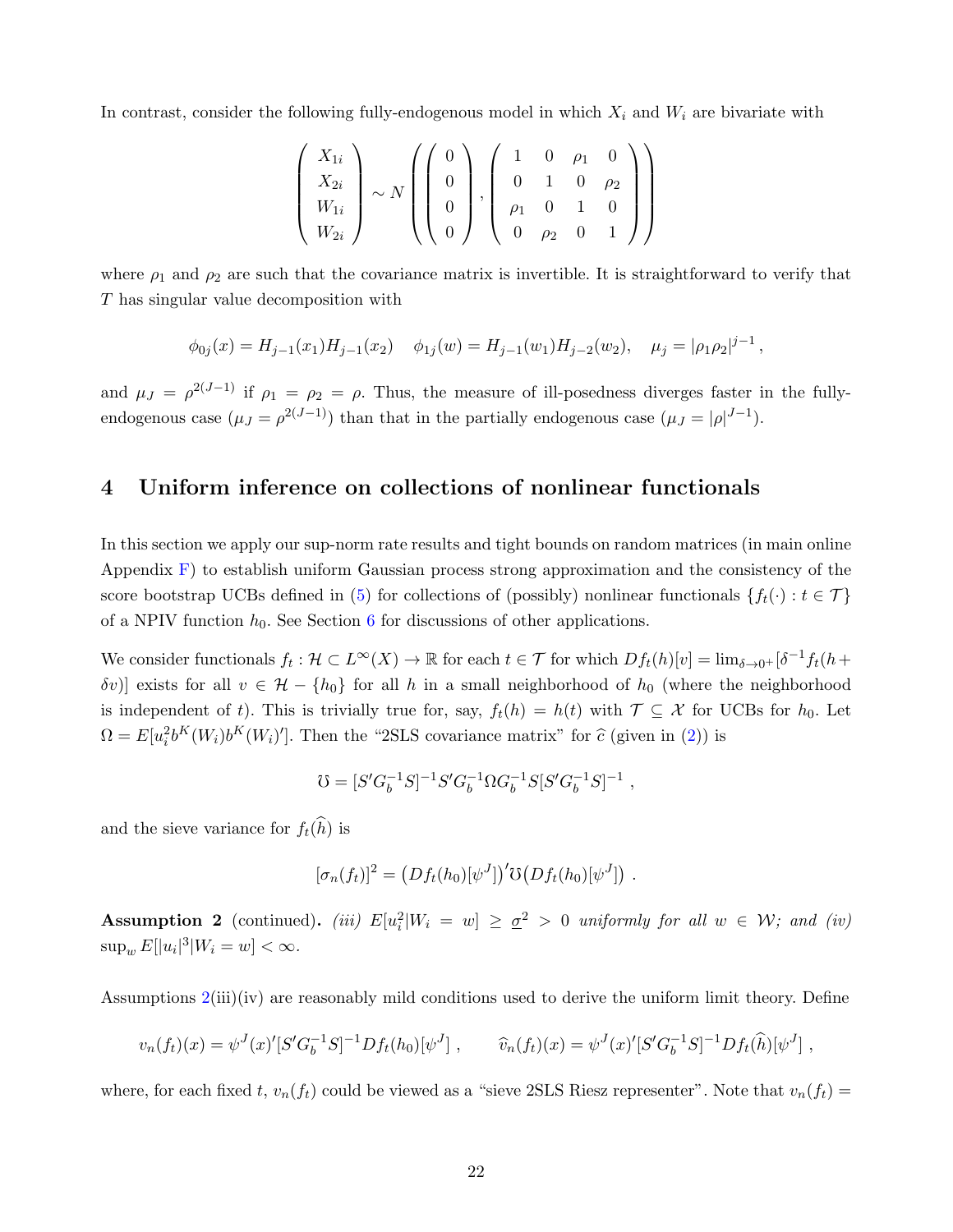In contrast, consider the following fully-endogenous model in which  $X_i$  and  $W_i$  are bivariate with

$$
\left(\begin{array}{c} X_{1i} \\ X_{2i} \\ W_{1i} \\ W_{2i} \end{array}\right) \sim N \left(\left(\begin{array}{c} 0 \\ 0 \\ 0 \\ 0 \end{array}\right), \left(\begin{array}{cccc} 1 & 0 & \rho_1 & 0 \\ 0 & 1 & 0 & \rho_2 \\ \rho_1 & 0 & 1 & 0 \\ 0 & \rho_2 & 0 & 1 \end{array}\right)\right)
$$

where  $\rho_1$  and  $\rho_2$  are such that the covariance matrix is invertible. It is straightforward to verify that T has singular value decomposition with

$$
\phi_{0j}(x) = H_{j-1}(x_1)H_{j-1}(x_2) \quad \phi_{1j}(w) = H_{j-1}(w_1)H_{j-2}(w_2), \quad \mu_j = |\rho_1 \rho_2|^{j-1},
$$

and  $\mu_J = \rho^{2(J-1)}$  if  $\rho_1 = \rho_2 = \rho$ . Thus, the measure of ill-posedness diverges faster in the fullyendogenous case  $(\mu_J = \rho^{2(J-1)})$  than that in the partially endogenous case  $(\mu_J = |\rho|^{J-1})$ .

### <span id="page-22-0"></span>4 Uniform inference on collections of nonlinear functionals

In this section we apply our sup-norm rate results and tight bounds on random matrices (in main online Appendix [F\)](#page--1-2) to establish uniform Gaussian process strong approximation and the consistency of the score bootstrap UCBs defined in [\(5\)](#page-7-2) for collections of (possibly) nonlinear functionals  $\{f_t(\cdot): t \in \mathcal{T}\}\$ of a NPIV function  $h_0$ . See Section [6](#page-34-0) for discussions of other applications.

We consider functionals  $f_t: \mathcal{H} \subset L^{\infty}(X) \to \mathbb{R}$  for each  $t \in \mathcal{T}$  for which  $Df_t(h)[v] = \lim_{\delta \to 0^+} [\delta^{-1}f_t(h +$ δv)] exists for all v ∈ H − {h<sub>0</sub>} for all h in a small neighborhood of h<sub>0</sub> (where the neighborhood is independent of t). This is trivially true for, say,  $f_t(h) = h(t)$  with  $\mathcal{T} \subseteq \mathcal{X}$  for UCBs for  $h_0$ . Let  $\Omega = E[u_i^2 b^K(W_i) b^K(W_i)']$ . Then the "2SLS covariance matrix" for  $\hat{c}$  (given in [\(2\)](#page-7-1)) is

$$
\mho = [S' G_b^{-1} S]^{-1} S' G_b^{-1} \Omega G_b^{-1} S [S' G_b^{-1} S]^{-1} \ ,
$$

and the sieve variance for  $f_t(\widehat{h})$  is

$$
[\sigma_n(f_t)]^2 = (Df_t(h_0)[\psi^J])' \Im(Df_t(h_0)[\psi^J]) .
$$

**Assumption 2** (continued). (iii)  $E[u_i^2|W_i = w] \geq \underline{\sigma}^2 > 0$  uniformly for all  $w \in W$ ; and (iv)  $\sup_w E[|u_i|^3|W_i=w] < \infty.$ 

Assumptions [2\(](#page-15-2)iii)(iv) are reasonably mild conditions used to derive the uniform limit theory. Define

$$
v_n(f_t)(x) = \psi^J(x)'[S'G_b^{-1}S]^{-1}Df_t(h_0)[\psi^J], \qquad \widehat{v}_n(f_t)(x) = \psi^J(x)'[S'G_b^{-1}S]^{-1}Df_t(\widehat{h})[\psi^J],
$$

where, for each fixed t,  $v_n(f_t)$  could be viewed as a "sieve 2SLS Riesz representer". Note that  $v_n(f_t)$  =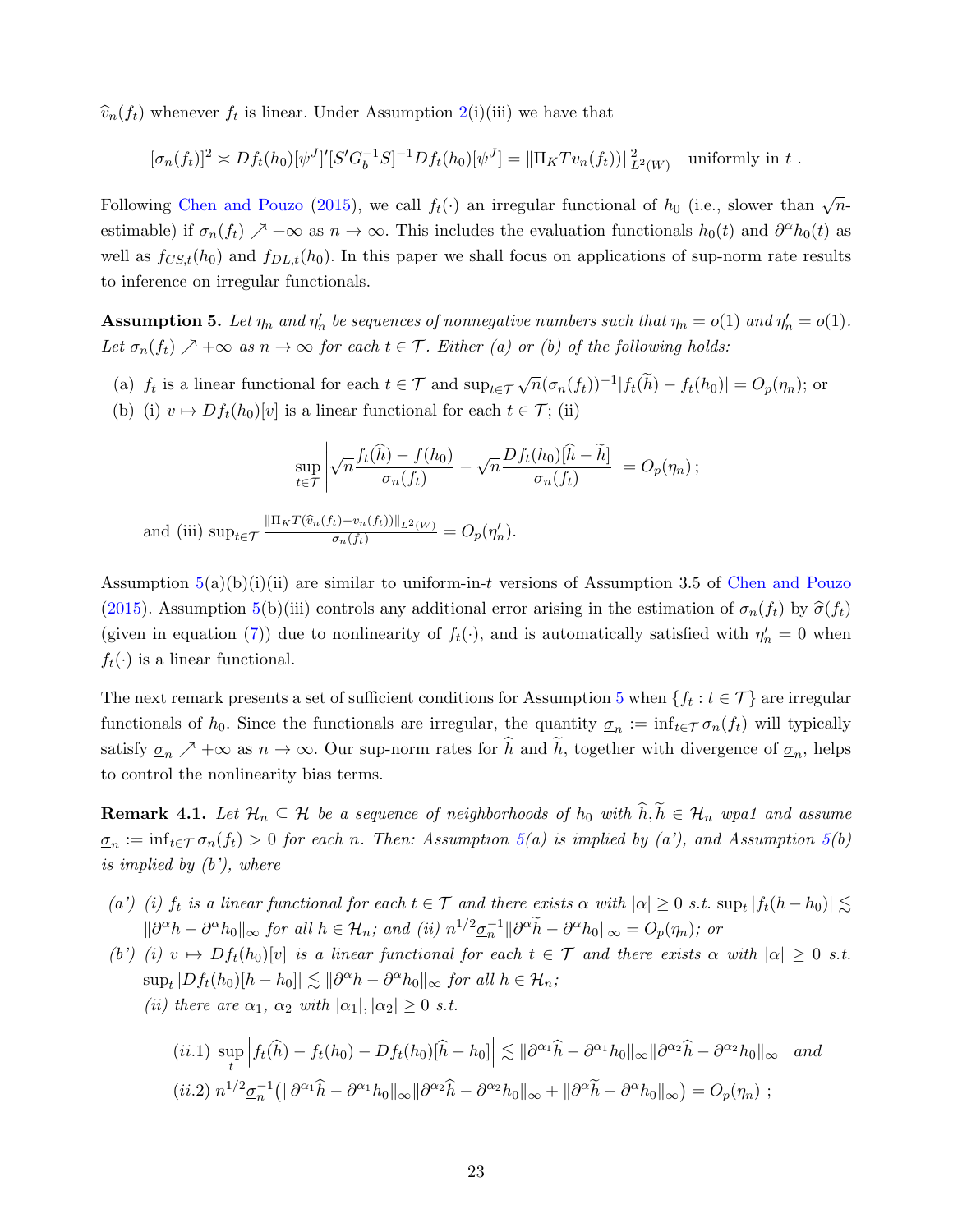$\widehat{v}_n(f_t)$  whenever  $f_t$  is linear. Under Assumption [2\(](#page-15-2)i)(iii) we have that

$$
[\sigma_n(f_t)]^2 \asymp Df_t(h_0)[\psi^J]'[S'G_b^{-1}S]^{-1}Df_t(h_0)[\psi^J] = ||\Pi_K T v_n(f_t)||^2_{L^2(W)}
$$
 uniformly in t.

Following [Chen and Pouzo](#page-38-7) [\(2015\)](#page-38-7), we call  $f_t(\cdot)$  an irregular functional of  $h_0$  (i.e., slower than  $\sqrt{n}$ estimable) if  $\sigma_n(f_t) \nearrow +\infty$  as  $n \to \infty$ . This includes the evaluation functionals  $h_0(t)$  and  $\partial^{\alpha}h_0(t)$  as well as  $f_{CS,t}(h_0)$  and  $f_{DL,t}(h_0)$ . In this paper we shall focus on applications of sup-norm rate results to inference on irregular functionals.

<span id="page-23-0"></span>**Assumption 5.** Let  $\eta_n$  and  $\eta'_n$  be sequences of nonnegative numbers such that  $\eta_n = o(1)$  and  $\eta'_n = o(1)$ . Let  $\sigma_n(f_t) \nearrow +\infty$  as  $n \to \infty$  for each  $t \in \mathcal{T}$ . Either (a) or (b) of the following holds:

- (a)  $f_t$  is a linear functional for each  $t \in \mathcal{T}$  and  $\sup_{t \in \mathcal{T}} \sqrt{n} (\sigma_n(f_t))^{-1} |f_t(\tilde{h}) f_t(h_0)| = O_p(\eta_n)$ ; or
- (b) (i)  $v \mapsto Df_t(h_0)[v]$  is a linear functional for each  $t \in \mathcal{T}$ ; (ii)

$$
\sup_{t \in \mathcal{T}} \left| \sqrt{n} \frac{f_t(\widehat{h}) - f(h_0)}{\sigma_n(f_t)} - \sqrt{n} \frac{Df_t(h_0)[\widehat{h} - \widetilde{h}]}{\sigma_n(f_t)} \right| = O_p(\eta_n) ;
$$
  
and (iii) 
$$
\sup_{t \in \mathcal{T}} \frac{\|\Pi_K T(\widehat{v}_n(f_t) - v_n(f_t))\|_{L^2(W)}}{\sigma_n(f_t)} = O_p(\eta'_n).
$$

Assumption  $5(a)(b)(i)(ii)$  $5(a)(b)(i)(ii)$  are similar to uniform-in-t versions of Assumption 3.5 of [Chen and Pouzo](#page-38-7) [\(2015\)](#page-38-7). Assumption [5\(](#page-23-0)b)(iii) controls any additional error arising in the estimation of  $\sigma_n(f_t)$  by  $\hat{\sigma}(f_t)$ (given in equation [\(7\)](#page-8-3)) due to nonlinearity of  $f_t(\cdot)$ , and is automatically satisfied with  $\eta'_n = 0$  when  $f_t(\cdot)$  is a linear functional.

The next remark presents a set of sufficient conditions for Assumption [5](#page-23-0) when  $\{f_t: t \in \mathcal{T}\}\$ are irregular functionals of  $h_0$ . Since the functionals are irregular, the quantity  $\sigma_n := \inf_{t \in \mathcal{T}} \sigma_n(f_t)$  will typically satisfy  $\underline{\sigma}_n \nearrow +\infty$  as  $n \to \infty$ . Our sup-norm rates for h and h, together with divergence of  $\underline{\sigma}_n$ , helps to control the nonlinearity bias terms.

<span id="page-23-1"></span>**Remark 4.1.** Let  $\mathcal{H}_n \subseteq \mathcal{H}$  be a sequence of neighborhoods of  $h_0$  with  $\hat{h}, \tilde{h} \in \mathcal{H}_n$  wpa1 and assume  $\underline{\sigma}_n := \inf_{t \in \mathcal{T}} \sigma_n(f_t) > 0$  for each n. Then: Assumption [5\(](#page-23-0)a) is implied by (a'), and Assumption 5(b) is implied by  $(b')$ , where

- (a') (i)  $f_t$  is a linear functional for each  $t \in \mathcal{T}$  and there exists  $\alpha$  with  $|\alpha| \geq 0$  s.t.  $\sup_t |f_t(h-h_0)| \lesssim$  $\|\partial^{\alpha}h - \partial^{\alpha}h_0\|_{\infty}$  for all  $h \in \mathcal{H}_n$ ; and (ii)  $n^{1/2}\underline{\sigma}_n^{-1} \|\partial^{\alpha}\tilde{h} - \partial^{\alpha}h_0\|_{\infty} = O_p(\eta_n)$ ; or
- (b') (i)  $v \mapsto Df_t(h_0)[v]$  is a linear functional for each  $t \in \mathcal{T}$  and there exists  $\alpha$  with  $|\alpha| \geq 0$  s.t.  $\sup_t |Df_t(h_0)[h-h_0]| \lesssim ||\partial^{\alpha}h - \partial^{\alpha}h_0||_{\infty}$  for all  $h \in \mathcal{H}_n$ ; (ii) there are  $\alpha_1$ ,  $\alpha_2$  with  $|\alpha_1|, |\alpha_2| \geq 0$  s.t.

$$
(ii.1) \sup_{t} \left| f_{t}(\hat{h}) - f_{t}(h_{0}) - D f_{t}(h_{0})[\hat{h} - h_{0}] \right| \lesssim ||\partial^{\alpha_{1}}\hat{h} - \partial^{\alpha_{1}}h_{0}||_{\infty} ||\partial^{\alpha_{2}}\hat{h} - \partial^{\alpha_{2}}h_{0}||_{\infty} \quad and
$$
  

$$
(ii.2) \; n^{1/2} \underline{\sigma}_{n}^{-1} (||\partial^{\alpha_{1}}\hat{h} - \partial^{\alpha_{1}}h_{0}||_{\infty} ||\partial^{\alpha_{2}}\hat{h} - \partial^{\alpha_{2}}h_{0}||_{\infty} + ||\partial^{\alpha}\tilde{h} - \partial^{\alpha}h_{0}||_{\infty}) = O_{p}(\eta_{n}) ;
$$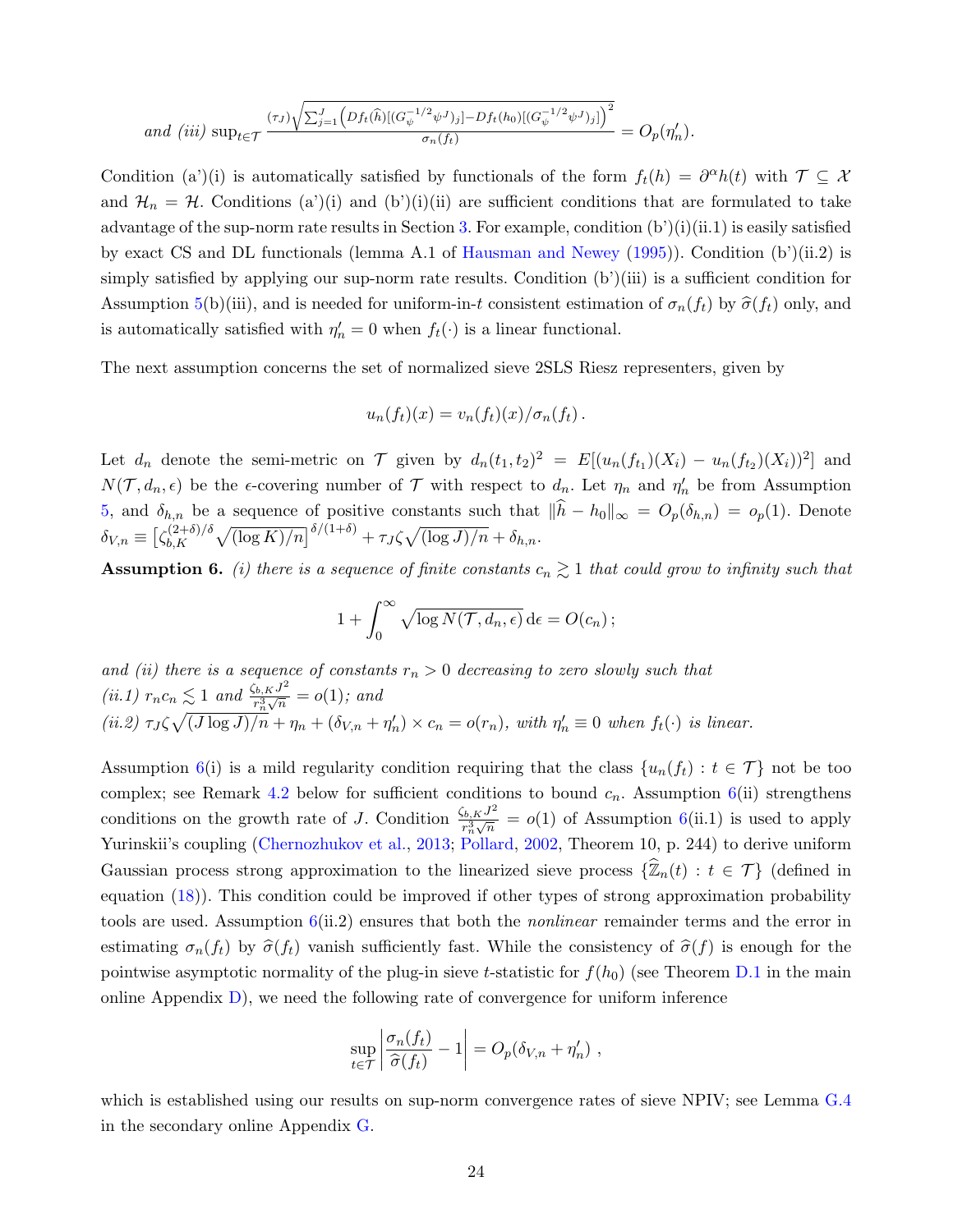$$
and (iii) \ \sup_{t \in \mathcal{T}} \frac{(\tau_J)\sqrt{\sum_{j=1}^J \left(Df_t(\widehat{h})[(G_{\psi}^{-1/2}\psi^J)_j] - Df_t(h_0)[(G_{\psi}^{-1/2}\psi^J)_j] \right)^2}}{\sigma_n(f_t)} = O_p(\eta'_n).
$$

Condition (a')(i) is automatically satisfied by functionals of the form  $f_t(h) = \partial^{\alpha}h(t)$  with  $\mathcal{T} \subseteq \mathcal{X}$ and  $\mathcal{H}_n = \mathcal{H}$ . Conditions (a')(i) and (b')(i)(ii) are sufficient conditions that are formulated to take advantage of the sup-norm rate results in Section [3.](#page-13-0) For example, condition  $(b)(i)(ii.1)$  is easily satisfied by exact CS and DL functionals (lemma A.1 of [Hausman and Newey](#page-38-8) [\(1995\)](#page-38-8)). Condition (b')(ii.2) is simply satisfied by applying our sup-norm rate results. Condition (b')(iii) is a sufficient condition for Assumption [5\(](#page-23-0)b)(iii), and is needed for uniform-in-t consistent estimation of  $\sigma_n(f_t)$  by  $\hat{\sigma}(f_t)$  only, and is automatically satisfied with  $\eta'_n = 0$  when  $f_t(\cdot)$  is a linear functional.

The next assumption concerns the set of normalized sieve 2SLS Riesz representers, given by

$$
u_n(f_t)(x) = v_n(f_t)(x) / \sigma_n(f_t).
$$

Let  $d_n$  denote the semi-metric on T given by  $d_n(t_1,t_2)^2 = E[(u_n(f_{t_1})(X_i) - u_n(f_{t_2})(X_i))^2]$  and  $N(\mathcal{T}, d_n, \epsilon)$  be the  $\epsilon$ -covering number of  $\mathcal T$  with respect to  $d_n$ . Let  $\eta_n$  and  $\eta'_n$  be from Assumption [5,](#page-23-0) and  $\delta_{h,n}$  be a sequence of positive constants such that  $||h - h_0||_{\infty} = O_p(\delta_{h,n}) = o_p(1)$ . Denote  $\delta_{V,n} \equiv \bigl[ \zeta_{b,K}^{(2+\delta)/\delta} \bigr]$  $\int_{b,K}^{(2+\delta)/\delta} \sqrt{(\log K)/n} \right)^{\delta/(1+\delta)} + \tau_J \zeta \sqrt{(\log J)/n} + \delta_{h,n}.$ 

<span id="page-24-0"></span>**Assumption 6.** (i) there is a sequence of finite constants  $c_n \geq 1$  that could grow to infinity such that

$$
1 + \int_0^\infty \sqrt{\log N(\mathcal{T}, d_n, \epsilon)} \, \mathrm{d}\epsilon = O(c_n) \, ;
$$

and (ii) there is a sequence of constants  $r_n > 0$  decreasing to zero slowly such that (ii.1)  $r_n c_n \lesssim 1$  and  $\frac{\zeta_{b,K} J^2}{r^3 \sqrt{n}}$  $\frac{b}{r_n^3\sqrt{n}}=o(1)$ ; and (ii.2)  $\tau_J \zeta \sqrt{(J \log J)/n} + \eta_n + (\delta_{V,n} + \eta'_n) \times c_n = o(r_n)$ , with  $\eta'_n \equiv 0$  when  $f_t(\cdot)$  is linear.

Assumption [6\(](#page-24-0)i) is a mild regularity condition requiring that the class  $\{u_n(f_t): t \in \mathcal{T}\}\)$  not be too complex; see Remark [4.2](#page-25-3) below for sufficient conditions to bound  $c_n$ . Assumption [6\(](#page-24-0)ii) strengthens conditions on the growth rate of J. Condition  $\frac{\zeta_{b,K}J^2}{\pi^3\sqrt{n}}$  $\frac{\partial h_i K^j}{\partial n_i \sqrt{n}} = o(1)$  of Assumption [6\(](#page-24-0)ii.1) is used to apply Yurinskii's coupling [\(Chernozhukov et al.,](#page-38-12) [2013;](#page-38-12) [Pollard,](#page-39-13) [2002,](#page-39-13) Theorem 10, p. 244) to derive uniform Gaussian process strong approximation to the linearized sieve process  $\{\widehat{\mathbb{Z}}_n(t) : t \in \mathcal{T}\}\$  (defined in equation [\(18\)](#page-25-0)). This condition could be improved if other types of strong approximation probability tools are used. Assumption  $6(ii.2)$  $6(ii.2)$  ensures that both the *nonlinear* remainder terms and the error in estimating  $\sigma_n(f_t)$  by  $\hat{\sigma}(f_t)$  vanish sufficiently fast. While the consistency of  $\hat{\sigma}(f)$  is enough for the pointwise asymptotic normality of the plug-in sieve t-statistic for  $f(h_0)$  (see Theorem [D.1](#page--1-4) in the main online Appendix  $D$ ), we need the following rate of convergence for uniform inference

$$
\sup_{t \in \mathcal{T}} \left| \frac{\sigma_n(f_t)}{\widehat{\sigma}(f_t)} - 1 \right| = O_p(\delta_{V,n} + \eta'_n) ,
$$

which is established using our results on sup-norm convergence rates of sieve NPIV; see Lemma [G.4](#page--1-5) in the secondary online Appendix [G.](#page--1-3)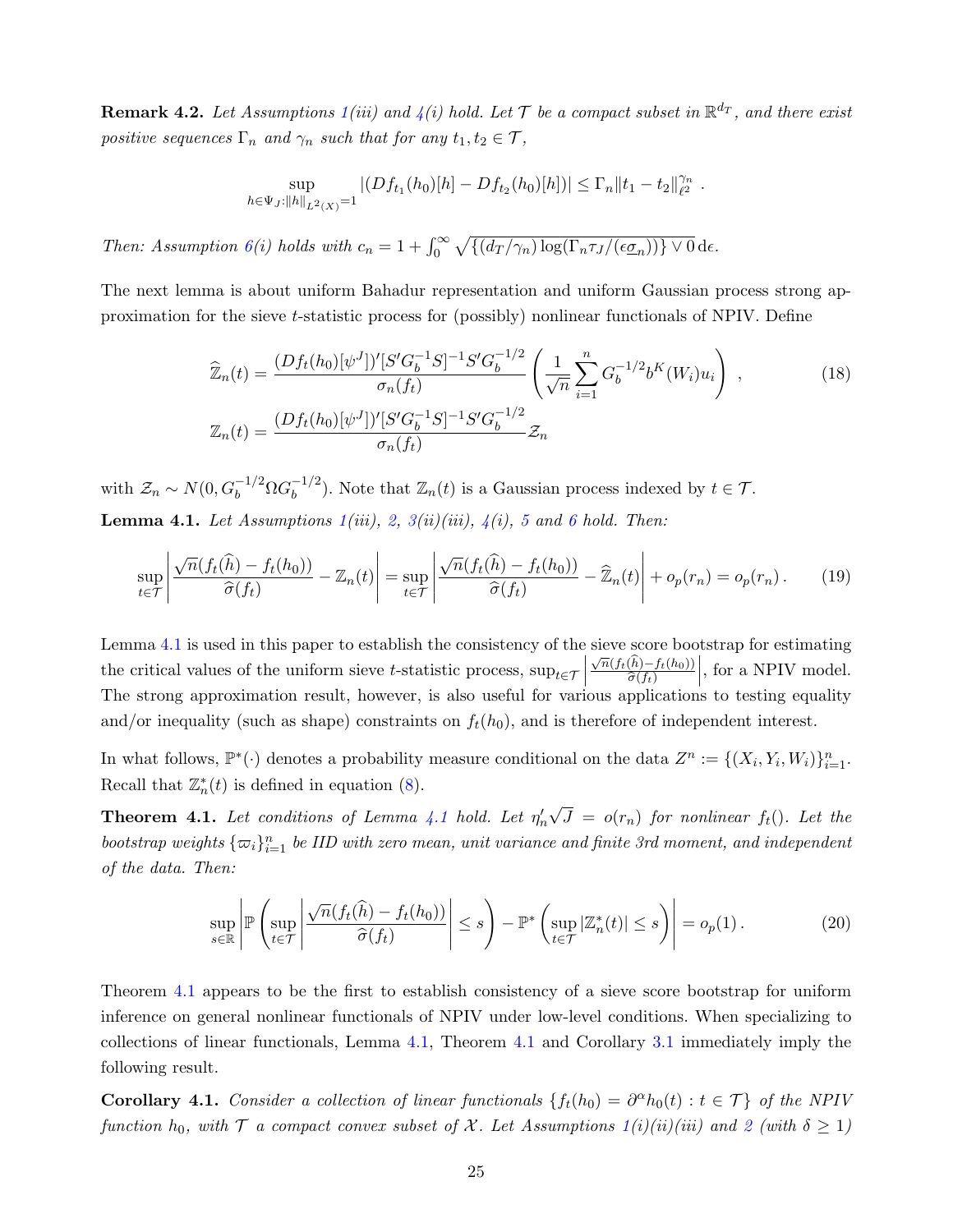<span id="page-25-3"></span>**Remark 4.2.** Let Assumptions  $1(iii)$  $1(iii)$  and  $4(i)$  $4(i)$  hold. Let  $\mathcal T$  be a compact subset in  $\mathbb R^{d_T}$ , and there exist positive sequences  $\Gamma_n$  and  $\gamma_n$  such that for any  $t_1, t_2 \in \mathcal{T}$ ,

<span id="page-25-0"></span>
$$
\sup_{h \in \Psi_J: ||h||_{L^2(X)}=1} |(Df_{t_1}(h_0)[h]-Df_{t_2}(h_0)[h])| \leq \Gamma_n ||t_1-t_2||_{\ell^2}^{\gamma_n}.
$$

Then: Assumption  $6(i)$  $6(i)$  holds with  $c_n = 1 + \int_0^\infty \sqrt{\{(d_T/\gamma_n) \log(\Gamma_n \tau_J/(\epsilon \underline{\sigma}_n))\} \vee 0} d\epsilon$ .

The next lemma is about uniform Bahadur representation and uniform Gaussian process strong approximation for the sieve t-statistic process for (possibly) nonlinear functionals of NPIV. Define

$$
\widehat{\mathbb{Z}}_n(t) = \frac{(Df_t(h_0)[\psi^J])'[S'G_b^{-1}S]^{-1}S'G_b^{-1/2}}{\sigma_n(f_t)} \left(\frac{1}{\sqrt{n}} \sum_{i=1}^n G_b^{-1/2}b^K(W_i)u_i\right) ,\tag{18}
$$
\n
$$
\mathbb{Z}_n(t) = \frac{(Df_t(h_0)[\psi^J])'[S'G_b^{-1}S]^{-1}S'G_b^{-1/2}}{\sigma_n(f_t)} \mathbb{Z}_n
$$

<span id="page-25-1"></span>with  $\mathcal{Z}_n \sim N(0, G_b^{-1/2} \Omega G_b^{-1/2})$  $b<sup>-1/2</sup>$ ). Note that  $\mathbb{Z}_n(t)$  is a Gaussian process indexed by  $t \in \mathcal{T}$ . **Lemma 4.1.** Let Assumptions  $1(iii)$  $1(iii)$ ,  $2$ ,  $3(ii)(iii)$  $3(ii)(iii)$ ,  $4(i)$  $4(i)$ ,  $5$  and  $6$  hold. Then:

<span id="page-25-4"></span>
$$
\sup_{t \in \mathcal{T}} \left| \frac{\sqrt{n}(f_t(\widehat{h}) - f_t(h_0))}{\widehat{\sigma}(f_t)} - \mathbb{Z}_n(t) \right| = \sup_{t \in \mathcal{T}} \left| \frac{\sqrt{n}(f_t(\widehat{h}) - f_t(h_0))}{\widehat{\sigma}(f_t)} - \widehat{\mathbb{Z}}_n(t) \right| + o_p(r_n) = o_p(r_n). \tag{19}
$$

Lemma [4.1](#page-25-1) is used in this paper to establish the consistency of the sieve score bootstrap for estimating the critical values of the uniform sieve t-statistic process,  $\sup_{t \in \mathcal{T}}$  $\frac{\sqrt{n}(f_t(\hat{h})-f_t(h_0))}{\hat{\gamma}(f_t(\hat{h}))}$  $\widehat{\sigma}(f_t)$  $\vert$ , for a NPIV model. The strong approximation result, however, is also useful for various applications to testing equality and/or inequality (such as shape) constraints on  $f_t(h_0)$ , and is therefore of independent interest.

In what follows,  $\mathbb{P}^*(\cdot)$  denotes a probability measure conditional on the data  $Z^n := \{(X_i, Y_i, W_i)\}_{i=1}^n$ . Recall that  $\mathbb{Z}_n^*(t)$  is defined in equation [\(8\)](#page-8-4).

<span id="page-25-2"></span>**Theorem [4.1](#page-25-1).** Let conditions of Lemma 4.1 hold. Let  $\eta'_n$ √  $J = o(r_n)$  for nonlinear  $f_t()$ . Let the bootstrap weights  $\{\varpi_i\}_{i=1}^n$  be IID with zero mean, unit variance and finite 3rd moment, and independent of the data. Then:

<span id="page-25-5"></span>
$$
\sup_{s \in \mathbb{R}} \left| \mathbb{P}\left(\sup_{t \in \mathcal{T}} \left| \frac{\sqrt{n}(f_t(\widehat{h}) - f_t(h_0))}{\widehat{\sigma}(f_t)} \right| \le s \right) - \mathbb{P}^*\left(\sup_{t \in \mathcal{T}} |\mathbb{Z}_n^*(t)| \le s \right) \right| = o_p(1).
$$
 (20)

Theorem [4.1](#page-25-2) appears to be the first to establish consistency of a sieve score bootstrap for uniform inference on general nonlinear functionals of NPIV under low-level conditions. When specializing to collections of linear functionals, Lemma [4.1,](#page-25-1) Theorem [4.1](#page-25-2) and Corollary [3.1](#page-18-3) immediately imply the following result.

<span id="page-25-6"></span>Corollary 4.1. Consider a collection of linear functionals  $\{f_t(h_0) = \partial^\alpha h_0(t) : t \in \mathcal{T}\}\$  of the NPIV function h<sub>0</sub>, with  $\mathcal T$  a compact convex subset of  $\mathcal X$ . Let Assumptions  $1(i)(ii)(iii)$  $1(i)(ii)(iii)$  and [2](#page-15-2) (with  $\delta \geq 1$ )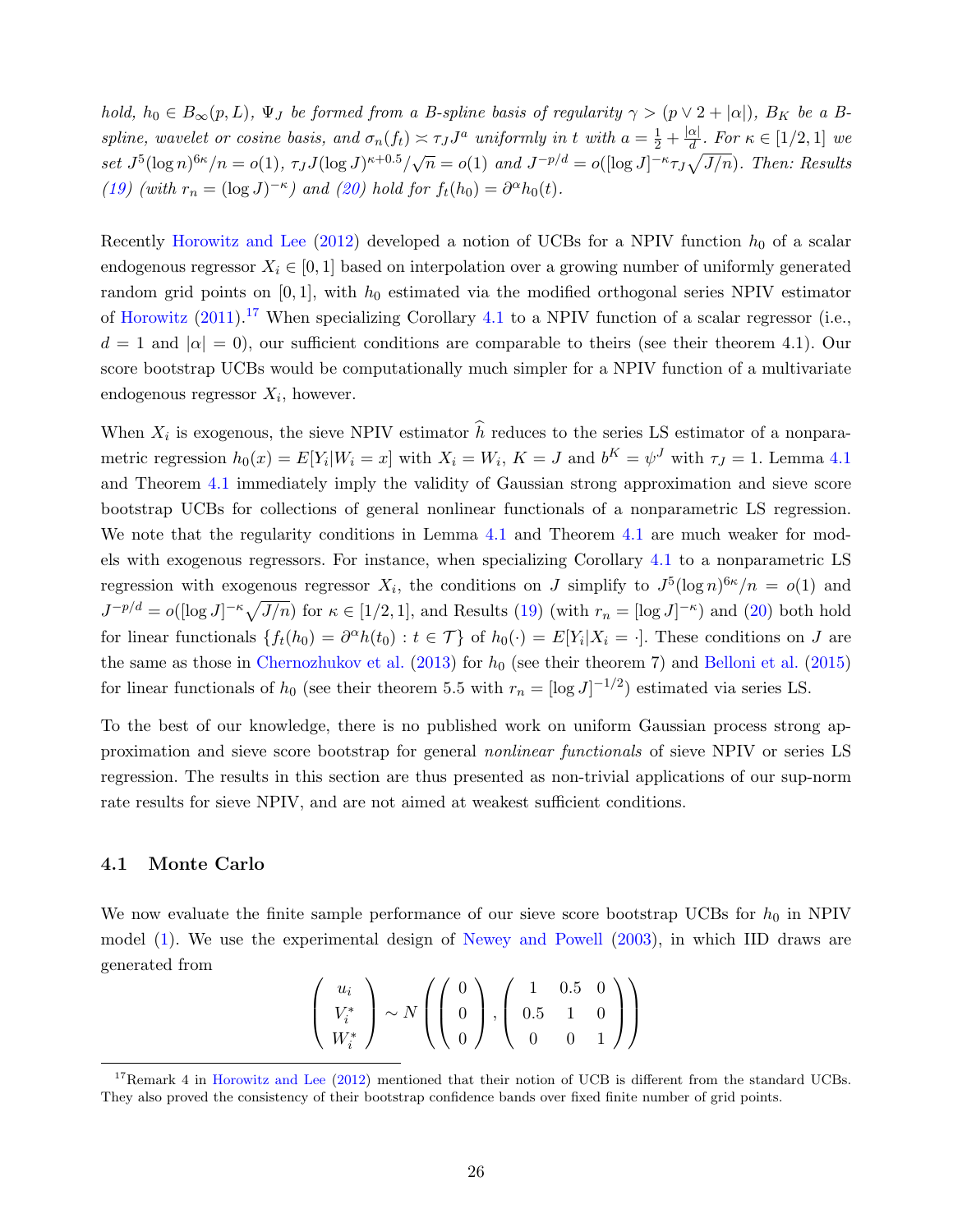hold,  $h_0 \in B_\infty(p, L)$ ,  $\Psi_J$  be formed from a B-spline basis of regularity  $\gamma > (p \vee 2 + |\alpha|)$ ,  $B_K$  be a Bspline, wavelet or cosine basis, and  $\sigma_n(f_t) \asymp \tau_J J^a$  uniformly in t with  $a = \frac{1}{2} + \frac{|\alpha|}{d}$  $\frac{\alpha_1}{d}$ . For  $\kappa \in [1/2, 1]$  we set  $J^5(\log n)^{6\kappa}/n = o(1), \tau_J J(\log J)^{\kappa+0.5}/\sqrt{n} = o(1)$  and  $J^{-p/d} = o([\log J]^{-\kappa} \tau_J \sqrt{J/n}).$  Then: Results [\(19\)](#page-25-4) (with  $r_n = (\log J)^{-\kappa}$ ) and [\(20\)](#page-25-5) hold for  $f_t(h_0) = \partial^{\alpha}h_0(t)$ .

Recently [Horowitz and Lee](#page-39-5) [\(2012\)](#page-39-5) developed a notion of UCBs for a NPIV function  $h_0$  of a scalar endogenous regressor  $X_i \in [0, 1]$  based on interpolation over a growing number of uniformly generated random grid points on  $[0, 1]$ , with  $h_0$  estimated via the modified orthogonal series NPIV estimator of [Horowitz](#page-38-3)  $(2011).^{17}$  $(2011).^{17}$  $(2011).^{17}$  $(2011).^{17}$  When specializing Corollary [4.1](#page-25-6) to a NPIV function of a scalar regressor (i.e.,  $d = 1$  and  $|\alpha| = 0$ , our sufficient conditions are comparable to theirs (see their theorem 4.1). Our score bootstrap UCBs would be computationally much simpler for a NPIV function of a multivariate endogenous regressor  $X_i$ , however.

When  $X_i$  is exogenous, the sieve NPIV estimator h reduces to the series LS estimator of a nonparametric regression  $h_0(x) = E[Y_i|W_i = x]$  with  $X_i = W_i$ ,  $K = J$  and  $b^K = \psi^J$  with  $\tau_J = 1$ . Lemma [4.1](#page-25-1) and Theorem [4.1](#page-25-2) immediately imply the validity of Gaussian strong approximation and sieve score bootstrap UCBs for collections of general nonlinear functionals of a nonparametric LS regression. We note that the regularity conditions in Lemma [4.1](#page-25-2) and Theorem 4.1 are much weaker for models with exogenous regressors. For instance, when specializing Corollary [4.1](#page-25-6) to a nonparametric LS regression with exogenous regressor  $X_i$ , the conditions on J simplify to  $J^5(\log n)^{6\kappa}/n = o(1)$  and  $J^{-p/d} = o(\log J)^{-\kappa} \sqrt{J/n}$  for  $\kappa \in [1/2, 1]$ , and Results [\(19\)](#page-25-4) (with  $r_n = [\log J]^{-\kappa}$ ) and [\(20\)](#page-25-5) both hold for linear functionals  $\{f_t(h_0) = \partial^{\alpha}h(t_0) : t \in \mathcal{T}\}\$  of  $h_0(\cdot) = E[Y_i|X_i = \cdot]$ . These conditions on J are the same as those in [Chernozhukov et al.](#page-38-12)  $(2013)$  for  $h_0$  (see their theorem 7) and [Belloni et al.](#page-37-6)  $(2015)$ for linear functionals of  $h_0$  (see their theorem 5.5 with  $r_n = [\log J]^{-1/2}$ ) estimated via series LS.

To the best of our knowledge, there is no published work on uniform Gaussian process strong approximation and sieve score bootstrap for general nonlinear functionals of sieve NPIV or series LS regression. The results in this section are thus presented as non-trivial applications of our sup-norm rate results for sieve NPIV, and are not aimed at weakest sufficient conditions.

#### 4.1 Monte Carlo

We now evaluate the finite sample performance of our sieve score bootstrap UCBs for  $h_0$  in NPIV model [\(1\)](#page-2-0). We use the experimental design of [Newey and Powell](#page-39-0) [\(2003\)](#page-39-0), in which IID draws are generated from

$$
\left(\begin{array}{c}u_i\\V_i^*\\W_i^*\end{array}\right)\sim N\left(\left(\begin{array}{c}0\\0\\0\end{array}\right),\left(\begin{array}{ccc}1&0.5&0\\0.5&1&0\\0&0&1\end{array}\right)\right)
$$

<span id="page-26-0"></span><sup>&</sup>lt;sup>17</sup>Remark 4 in [Horowitz and Lee](#page-39-5)  $(2012)$  mentioned that their notion of UCB is different from the standard UCBs. They also proved the consistency of their bootstrap confidence bands over fixed finite number of grid points.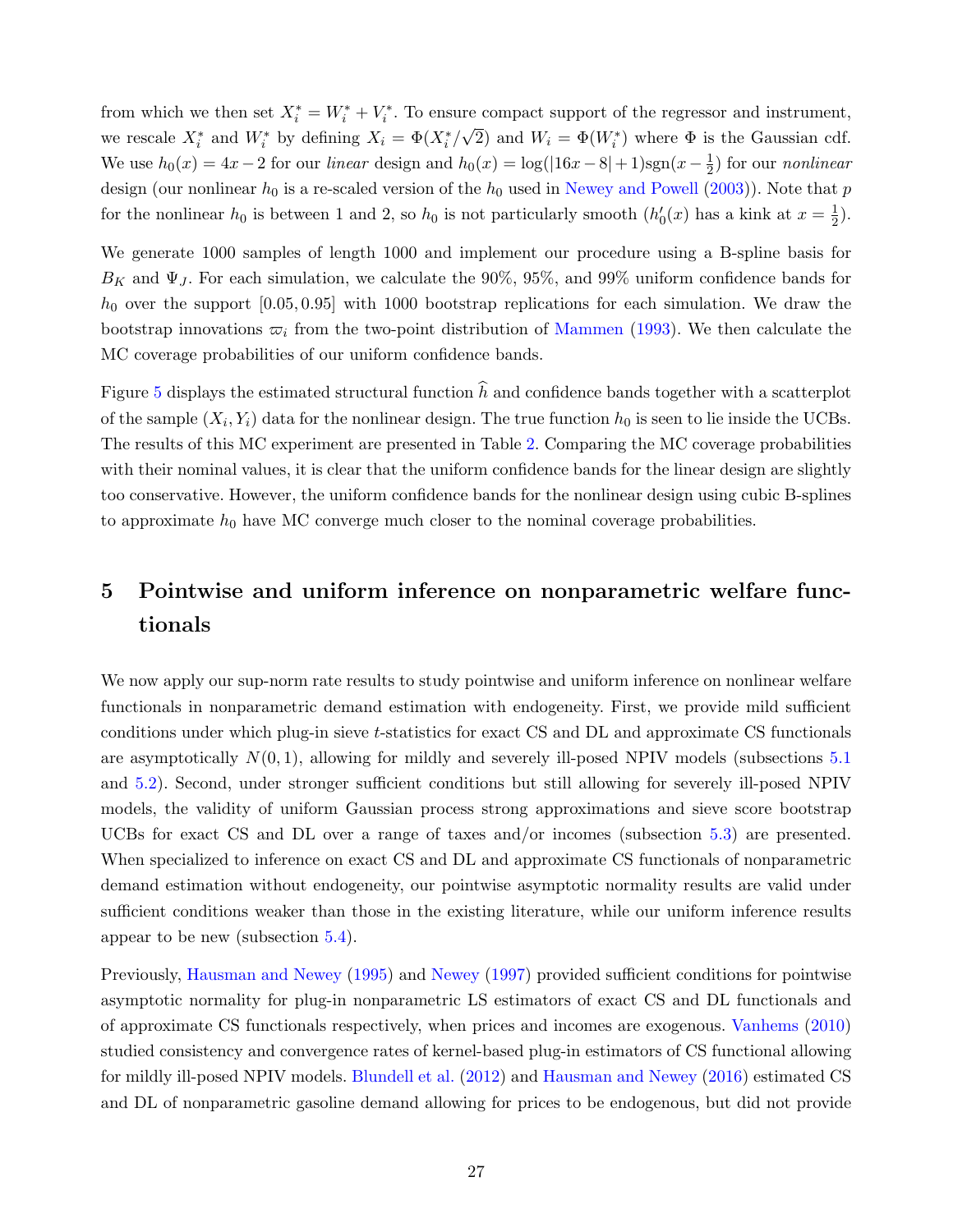from which we then set  $X_i^* = W_i^* + V_i^*$ . To ensure compact support of the regressor and instrument, we rescale  $X_i^*$  and  $W_i^*$  by defining  $X_i = \Phi(X_i^*/\sqrt{2})$  and  $W_i = \Phi(W_i^*)$  where  $\Phi$  is the Gaussian cdf. We use  $h_0(x) = 4x - 2$  for our linear design and  $h_0(x) = \log(|16x - 8| + 1)\text{sgn}(x - \frac{1}{2})$  $(\frac{1}{2})$  for our *nonlinear* design (our nonlinear  $h_0$  is a re-scaled version of the  $h_0$  used in [Newey and Powell](#page-39-0) [\(2003\)](#page-39-0)). Note that p for the nonlinear  $h_0$  is between 1 and 2, so  $h_0$  is not particularly smooth  $(h'_0(x)$  has a kink at  $x = \frac{1}{2}$  $(\frac{1}{2})$ .

We generate 1000 samples of length 1000 and implement our procedure using a B-spline basis for  $B_K$  and  $\Psi_J$ . For each simulation, we calculate the 90%, 95%, and 99% uniform confidence bands for  $h_0$  over the support  $[0.05, 0.95]$  with 1000 bootstrap replications for each simulation. We draw the bootstrap innovations  $\varpi_i$  from the two-point distribution of [Mammen](#page-39-8) [\(1993\)](#page-39-8). We then calculate the MC coverage probabilities of our uniform confidence bands.

Figure [5](#page-28-0) displays the estimated structural function  $\hat{h}$  and confidence bands together with a scatterplot of the sample  $(X_i, Y_i)$  data for the nonlinear design. The true function  $h_0$  is seen to lie inside the UCBs. The results of this MC experiment are presented in Table [2.](#page-28-1) Comparing the MC coverage probabilities with their nominal values, it is clear that the uniform confidence bands for the linear design are slightly too conservative. However, the uniform confidence bands for the nonlinear design using cubic B-splines to approximate  $h_0$  have MC converge much closer to the nominal coverage probabilities.

## <span id="page-27-0"></span>5 Pointwise and uniform inference on nonparametric welfare functionals

We now apply our sup-norm rate results to study pointwise and uniform inference on nonlinear welfare functionals in nonparametric demand estimation with endogeneity. First, we provide mild sufficient conditions under which plug-in sieve t-statistics for exact CS and DL and approximate CS functionals are asymptotically  $N(0, 1)$ , allowing for mildly and severely ill-posed NPIV models (subsections [5.1](#page-29-0)) and [5.2\)](#page-31-0). Second, under stronger sufficient conditions but still allowing for severely ill-posed NPIV models, the validity of uniform Gaussian process strong approximations and sieve score bootstrap UCBs for exact CS and DL over a range of taxes and/or incomes (subsection [5.3\)](#page-32-0) are presented. When specialized to inference on exact CS and DL and approximate CS functionals of nonparametric demand estimation without endogeneity, our pointwise asymptotic normality results are valid under sufficient conditions weaker than those in the existing literature, while our uniform inference results appear to be new (subsection [5.4\)](#page-33-0).

Previously, [Hausman and Newey](#page-38-8) [\(1995\)](#page-38-8) and [Newey](#page-39-4) [\(1997\)](#page-39-4) provided sufficient conditions for pointwise asymptotic normality for plug-in nonparametric LS estimators of exact CS and DL functionals and of approximate CS functionals respectively, when prices and incomes are exogenous. [Vanhems](#page-39-3) [\(2010\)](#page-39-3) studied consistency and convergence rates of kernel-based plug-in estimators of CS functional allowing for mildly ill-posed NPIV models. [Blundell et al.](#page-37-8) [\(2012\)](#page-37-8) and [Hausman and Newey](#page-38-10) [\(2016\)](#page-38-10) estimated CS and DL of nonparametric gasoline demand allowing for prices to be endogenous, but did not provide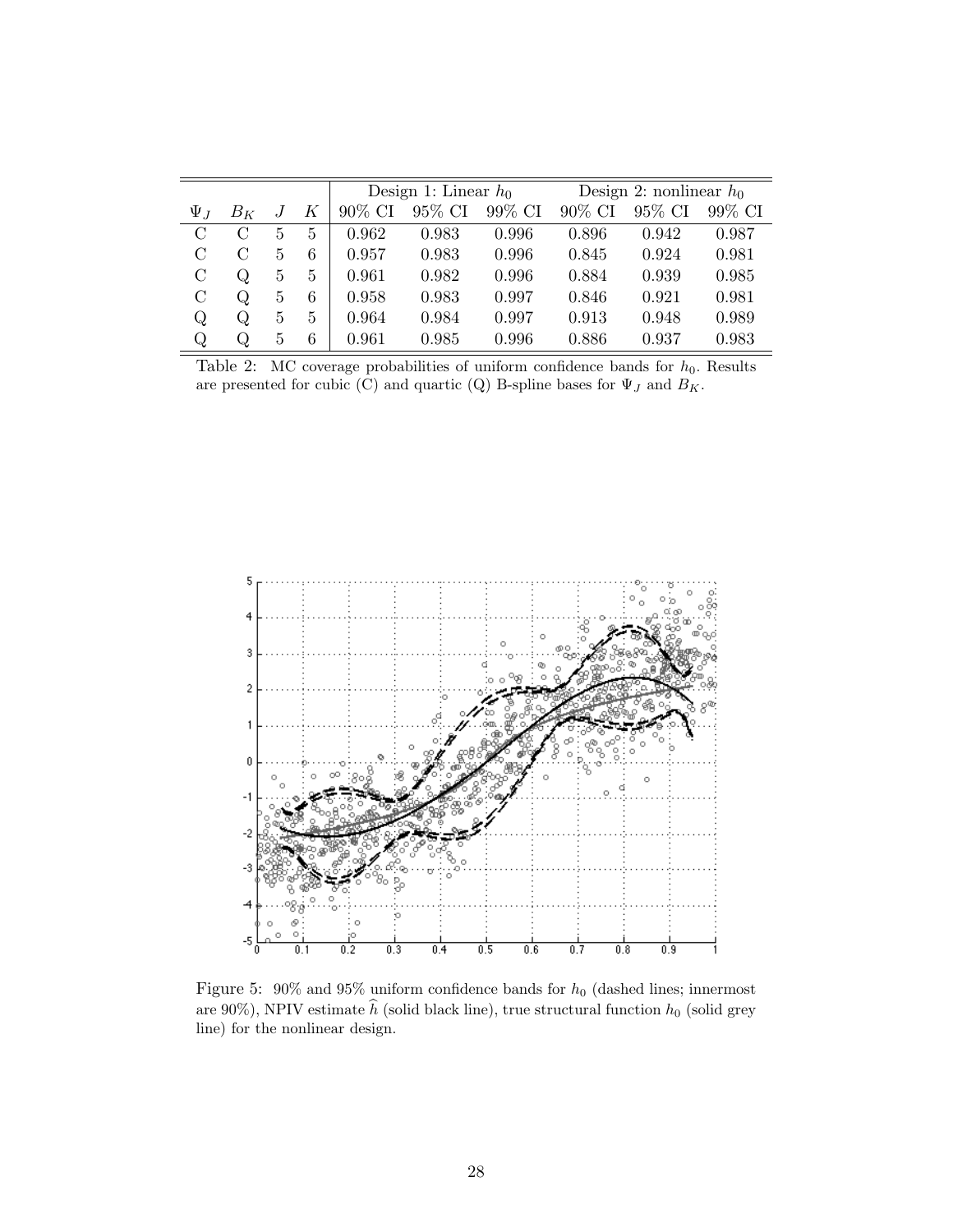<span id="page-28-1"></span>

|               |       |   |                | Design 1: Linear $h_0$ |        |        | Design 2: nonlinear $h_0$ |        |        |
|---------------|-------|---|----------------|------------------------|--------|--------|---------------------------|--------|--------|
| $\Psi_J$      | $B_K$ | J | К              | 90% CI                 | 95% CI | 99% CI | 90% CI                    | 95% CI | 99% CI |
| $\mathcal{C}$ | C     | 5 | $\overline{5}$ | 0.962                  | 0.983  | 0.996  | 0.896                     | 0.942  | 0.987  |
| $\mathcal{C}$ | C     | 5 | 6              | 0.957                  | 0.983  | 0.996  | 0.845                     | 0.924  | 0.981  |
| $\mathcal{C}$ | Q     | 5 | 5              | 0.961                  | 0.982  | 0.996  | 0.884                     | 0.939  | 0.985  |
| $\mathcal{C}$ | Q     | 5 | 6              | 0.958                  | 0.983  | 0.997  | 0.846                     | 0.921  | 0.981  |
| Q             | Q     | 5 | 5              | 0.964                  | 0.984  | 0.997  | 0.913                     | 0.948  | 0.989  |
| Q             | Q     | 5 | 6              | 0.961                  | 0.985  | 0.996  | 0.886                     | 0.937  | 0.983  |

Table 2: MC coverage probabilities of uniform confidence bands for  $h_0$ . Results are presented for cubic (C) and quartic (Q) B-spline bases for  $\Psi_J$  and  $B_K$ .

<span id="page-28-0"></span>

Figure 5:  $90\%$  and  $95\%$  uniform confidence bands for  $h_0$  (dashed lines; innermost are 90%), NPIV estimate  $\widehat{h}$  (solid black line), true structural function  $h_0$  (solid grey line) for the nonlinear design.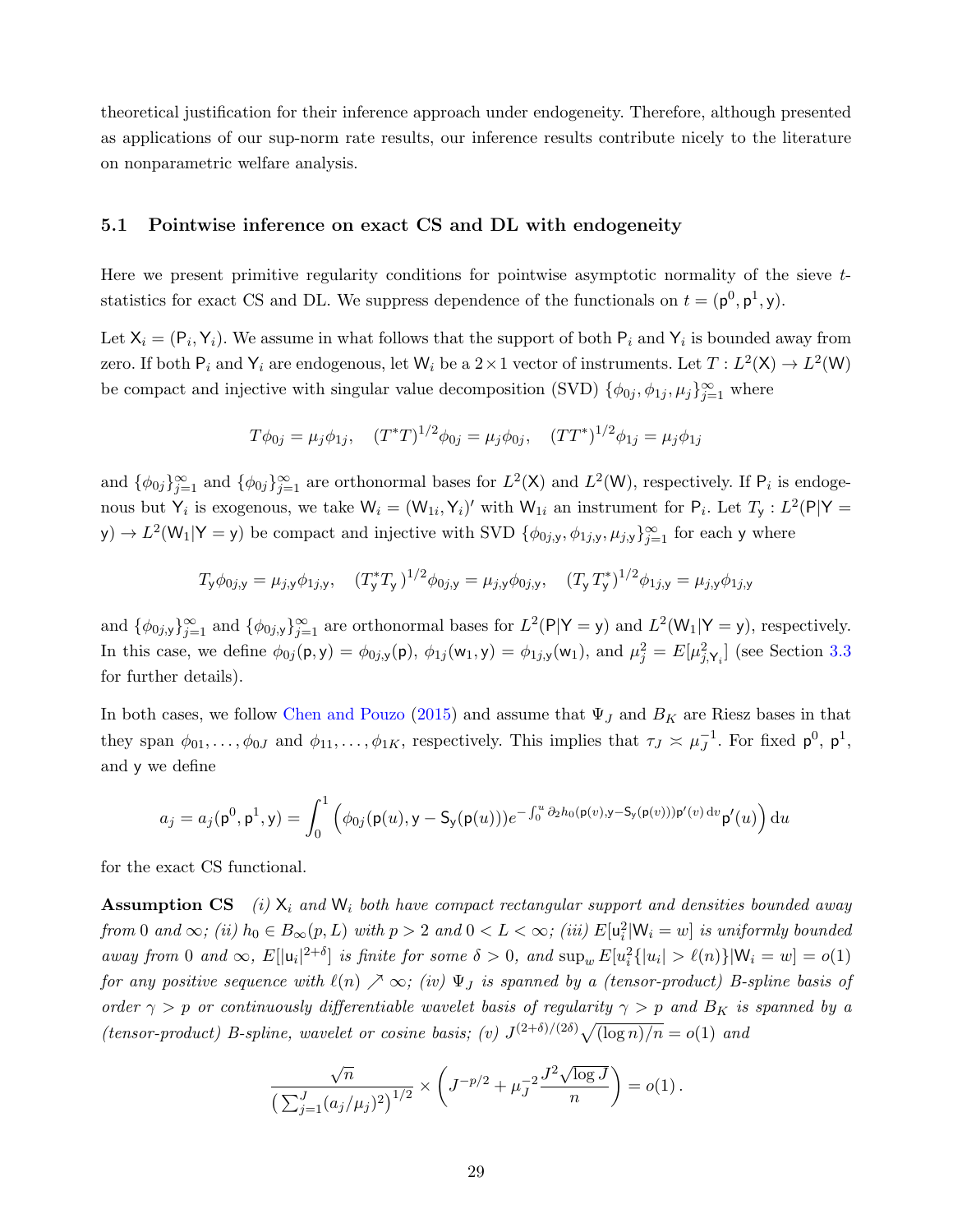theoretical justification for their inference approach under endogeneity. Therefore, although presented as applications of our sup-norm rate results, our inference results contribute nicely to the literature on nonparametric welfare analysis.

#### <span id="page-29-0"></span>5.1 Pointwise inference on exact CS and DL with endogeneity

Here we present primitive regularity conditions for pointwise asymptotic normality of the sieve tstatistics for exact CS and DL. We suppress dependence of the functionals on  $t = (p^0, p^1, y)$ .

Let  $X_i = (P_i, Y_i)$ . We assume in what follows that the support of both  $P_i$  and  $Y_i$  is bounded away from zero. If both  $P_i$  and  $Y_i$  are endogenous, let  $W_i$  be a  $2 \times 1$  vector of instruments. Let  $T: L^2(\mathsf{X}) \to L^2(\mathsf{W})$ be compact and injective with singular value decomposition (SVD)  $\{\phi_{0j}, \phi_{1j}, \mu_j\}_{j=1}^{\infty}$  where

$$
T\phi_{0j} = \mu_j \phi_{1j}, \quad (T^*T)^{1/2}\phi_{0j} = \mu_j \phi_{0j}, \quad (TT^*)^{1/2}\phi_{1j} = \mu_j \phi_{1j}
$$

and  $\{\phi_{0j}\}_{j=1}^{\infty}$  and  $\{\phi_{0j}\}_{j=1}^{\infty}$  are orthonormal bases for  $L^2(\mathsf{X})$  and  $L^2(\mathsf{W})$ , respectively. If  $\mathsf{P}_i$  is endogenous but  $Y_i$  is exogenous, we take  $W_i = (W_{1i}, Y_i)'$  with  $W_{1i}$  an instrument for  $P_i$ . Let  $T_y : L^2(P|Y =$  $(y) \to L^2(\mathsf{W}_1 | \mathsf{Y} = y)$  be compact and injective with SVD  $\{\phi_{0j,y}, \phi_{1j,y}, \mu_{j,y}\}_{j=1}^{\infty}$  for each y where

$$
T_{\mathsf{y}}\phi_{0j,\mathsf{y}} = \mu_{j,\mathsf{y}}\phi_{1j,\mathsf{y}}, \quad (T_{\mathsf{y}}^*T_{\mathsf{y}})^{1/2}\phi_{0j,\mathsf{y}} = \mu_{j,\mathsf{y}}\phi_{0j,\mathsf{y}}, \quad (T_{\mathsf{y}}T_{\mathsf{y}}^*)^{1/2}\phi_{1j,\mathsf{y}} = \mu_{j,\mathsf{y}}\phi_{1j,\mathsf{y}}
$$

and  $\{\phi_{0j,y}\}_{j=1}^{\infty}$  and  $\{\phi_{0j,y}\}_{j=1}^{\infty}$  are orthonormal bases for  $L^2(\mathsf{P}|\mathsf{Y}=\mathsf{y})$  and  $L^2(\mathsf{W}_1|\mathsf{Y}=\mathsf{y})$ , respectively. In this case, we define  $\phi_{0j}(\mathsf{p}, \mathsf{y}) = \phi_{0j,\mathsf{y}}(\mathsf{p}), \phi_{1j}(\mathsf{w}_1, \mathsf{y}) = \phi_{1j,\mathsf{y}}(\mathsf{w}_1),$  and  $\mu_j^2 = E[\mu_{j,\mathsf{Y}_i}^2]$  (see Section [3.3](#page-20-0) for further details).

In both cases, we follow [Chen and Pouzo](#page-38-7) [\(2015\)](#page-38-7) and assume that  $\Psi_J$  and  $B_K$  are Riesz bases in that they span  $\phi_{01}, \ldots, \phi_{0J}$  and  $\phi_{11}, \ldots, \phi_{1K}$ , respectively. This implies that  $\tau_J \approx \mu_J^{-1}$  $_J^{-1}$ . For fixed  $p^0$ ,  $p^1$ , and y we define

$$
a_j = a_j(\mathbf{p}^0, \mathbf{p}^1, \mathbf{y}) = \int_0^1 \left( \phi_{0j}(\mathbf{p}(u), \mathbf{y} - \mathbf{S}_{\mathbf{y}}(\mathbf{p}(u))) e^{-\int_0^u \partial_2 h_0(\mathbf{p}(v), \mathbf{y} - \mathbf{S}_{\mathbf{y}}(\mathbf{p}(v))) \mathbf{p}'(v) dv} \mathbf{p}'(u) \right) du
$$

for the exact CS functional.

**Assumption CS** (i)  $X_i$  and  $W_i$  both have compact rectangular support and densities bounded away from 0 and  $\infty$ ; (ii)  $h_0 \in B_{\infty}(p, L)$  with  $p > 2$  and  $0 < L < \infty$ ; (iii)  $E[\mathsf{u}_i^2 | \mathsf{W}_i = w]$  is uniformly bounded away from 0 and  $\infty$ ,  $E[|u_i|^{2+\delta}]$  is finite for some  $\delta > 0$ , and  $\sup_w E[u_i^2{\{|u_i| > \ell(n)\}}|W_i = w] = o(1)$ for any positive sequence with  $\ell(n) \nearrow \infty$ ; (iv)  $\Psi_J$  is spanned by a (tensor-product) B-spline basis of order  $\gamma > p$  or continuously differentiable wavelet basis of regularity  $\gamma > p$  and  $B_K$  is spanned by a (tensor-product) B-spline, wavelet or cosine basis; (v)  $J^{(2+\delta)/(2\delta)}\sqrt{(\log n)/n} = o(1)$  and

$$
\frac{\sqrt{n}}{\left(\sum_{j=1}^J (a_j/\mu_j)^2\right)^{1/2}} \times \left(J^{-p/2} + \mu_J^{-2} \frac{J^2 \sqrt{\log J}}{n}\right) = o(1).
$$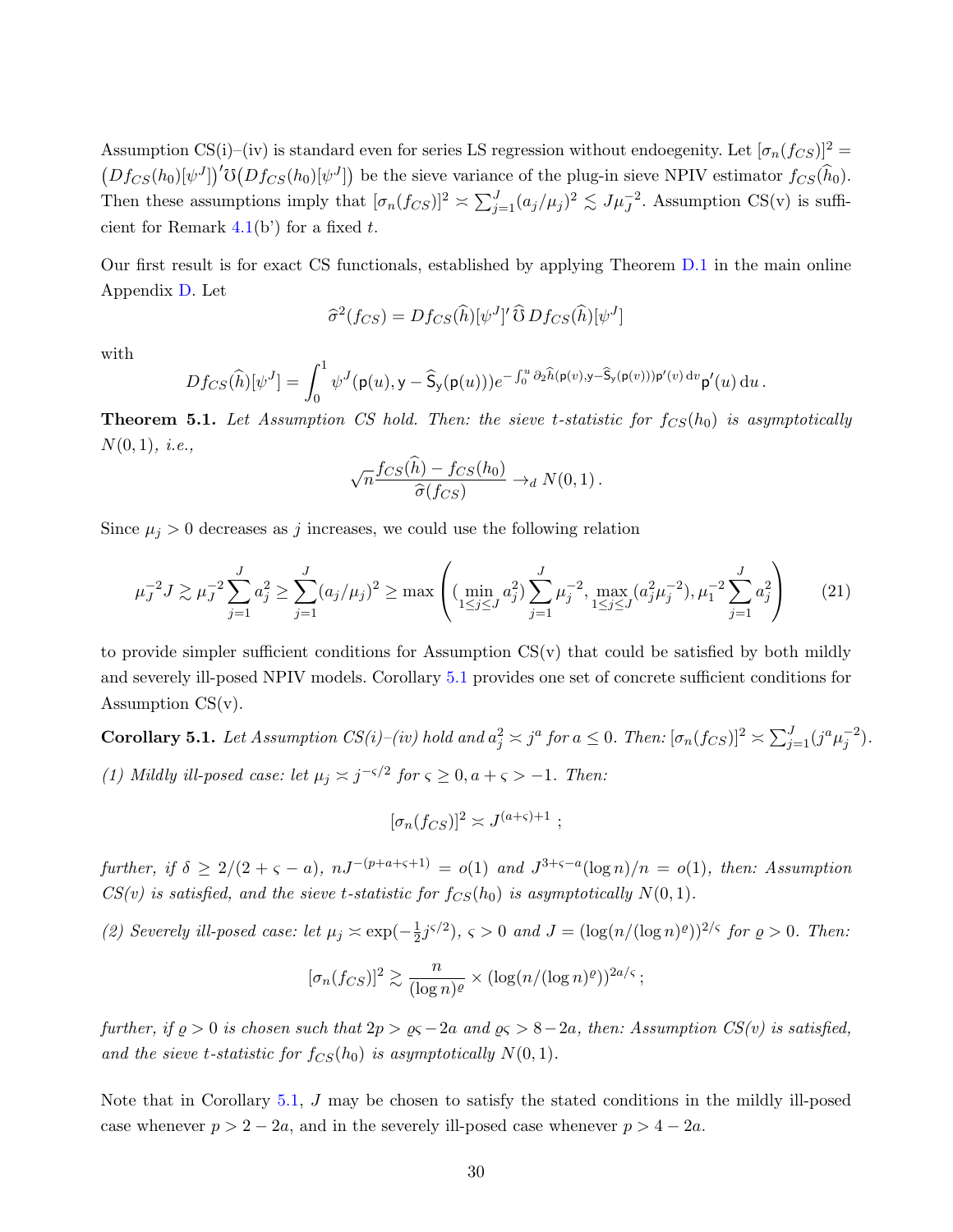Assumption CS(i)–(iv) is standard even for series LS regression without endoegenity. Let  $[\sigma_n(f_{CS})]^2$  =  $(Df_{CS}(h_0)[\psi^J])'$   $\mathfrak{O}(Df_{CS}(h_0)[\psi^J])$  be the sieve variance of the plug-in sieve NPIV estimator  $f_{CS}(\hat{h}_0)$ . Then these assumptions imply that  $[\sigma_n(f_{CS})]^2 \approx \sum_{j=1}^J (a_j/\mu_j)^2 \lesssim J\mu_J^{-2}$ . Assumption CS(v) is sufficient for Remark  $4.1(b)$  $4.1(b)$  for a fixed t.

Our first result is for exact CS functionals, established by applying Theorem [D.1](#page--1-4) in the main online Appendix [D.](#page--1-0) Let

$$
\widehat{\sigma}^2(f_{CS}) = Df_{CS}(\widehat{h})[\psi^J]' \widehat{\mathbf{U}} Df_{CS}(\widehat{h})[\psi^J]
$$

with

$$
Df_{CS}(\widehat{h})[\psi^J] = \int_0^1 \psi^J(\mathsf{p}(u), \mathsf{y} - \widehat{\mathsf{S}}_{\mathsf{y}}(\mathsf{p}(u))) e^{-\int_0^u \partial_2 \widehat{h}(\mathsf{p}(v), \mathsf{y} - \widehat{\mathsf{S}}_{\mathsf{y}}(\mathsf{p}(v))) \mathsf{p}'(v) dv} \mathsf{p}'(u) du.
$$

<span id="page-30-1"></span>**Theorem 5.1.** Let Assumption CS hold. Then: the sieve t-statistic for  $f_{CS}(h_0)$  is asymptotically  $N(0, 1), i.e.,$ 

$$
\sqrt{n}\frac{f_{CS}(h) - f_{CS}(h_0)}{\widehat{\sigma}(f_{CS})} \to_d N(0, 1).
$$

Since  $\mu_j > 0$  decreases as j increases, we could use the following relation

<span id="page-30-2"></span>
$$
\mu_j^{-2} J \gtrsim \mu_j^{-2} \sum_{j=1}^J a_j^2 \ge \sum_{j=1}^J (a_j/\mu_j)^2 \ge \max \left( (\min_{1 \le j \le J} a_j^2) \sum_{j=1}^J \mu_j^{-2}, \max_{1 \le j \le J} (a_j^2 \mu_j^{-2}), \mu_1^{-2} \sum_{j=1}^J a_j^2 \right) \tag{21}
$$

to provide simpler sufficient conditions for Assumption  $CS(v)$  that could be satisfied by both mildly and severely ill-posed NPIV models. Corollary [5.1](#page-30-0) provides one set of concrete sufficient conditions for Assumption  $CS(v)$ .

<span id="page-30-0"></span>**Corollary 5.1.** Let Assumption  $CS(i)$ –(iv) hold and  $a_j^2 \approx j^a$  for  $a \leq 0$ . Then:  $[\sigma_n(f_{CS})]^2 \approx \sum_{j=1}^J (j^a \mu_j^{-2})$ . (1) Mildly ill-posed case: let  $\mu_j \asymp j^{-\varsigma/2}$  for  $\varsigma \geq 0, a+\varsigma > -1$ . Then:

$$
[\sigma_n(f_{CS})]^2 \asymp J^{(a+\varsigma)+1} ;
$$

further, if  $\delta \geq 2/(2+\varsigma-a)$ ,  $nJ^{-(p+a+\varsigma+1)} = o(1)$  and  $J^{3+\varsigma-a}(\log n)/n = o(1)$ , then: Assumption  $CS(v)$  is satisfied, and the sieve t-statistic for  $f_{CS}(h_0)$  is asymptotically  $N(0, 1)$ .

(2) Severely ill-posed case: let  $\mu_j \approx \exp(-\frac{1}{2})$  $(\frac{1}{2}j^{\varsigma/2}), \varsigma > 0 \text{ and } J = (\log(n/(\log n)^{\varrho}))^{2/\varsigma} \text{ for } \varrho > 0. \text{ Then:}$ 

$$
[\sigma_n(f_{CS})]^2 \gtrsim \frac{n}{(\log n)^{\varrho}} \times (\log(n/(\log n)^{\varrho}))^{2a/s} ;
$$

further, if  $\varrho > 0$  is chosen such that  $2p > \varrho \varsigma - 2a$  and  $\varrho \varsigma > 8-2a$ , then: Assumption  $CS(v)$  is satisfied, and the sieve t-statistic for  $f_{CS}(h_0)$  is asymptotically  $N(0, 1)$ .

Note that in Corollary [5.1,](#page-30-0) J may be chosen to satisfy the stated conditions in the mildly ill-posed case whenever  $p > 2 - 2a$ , and in the severely ill-posed case whenever  $p > 4 - 2a$ .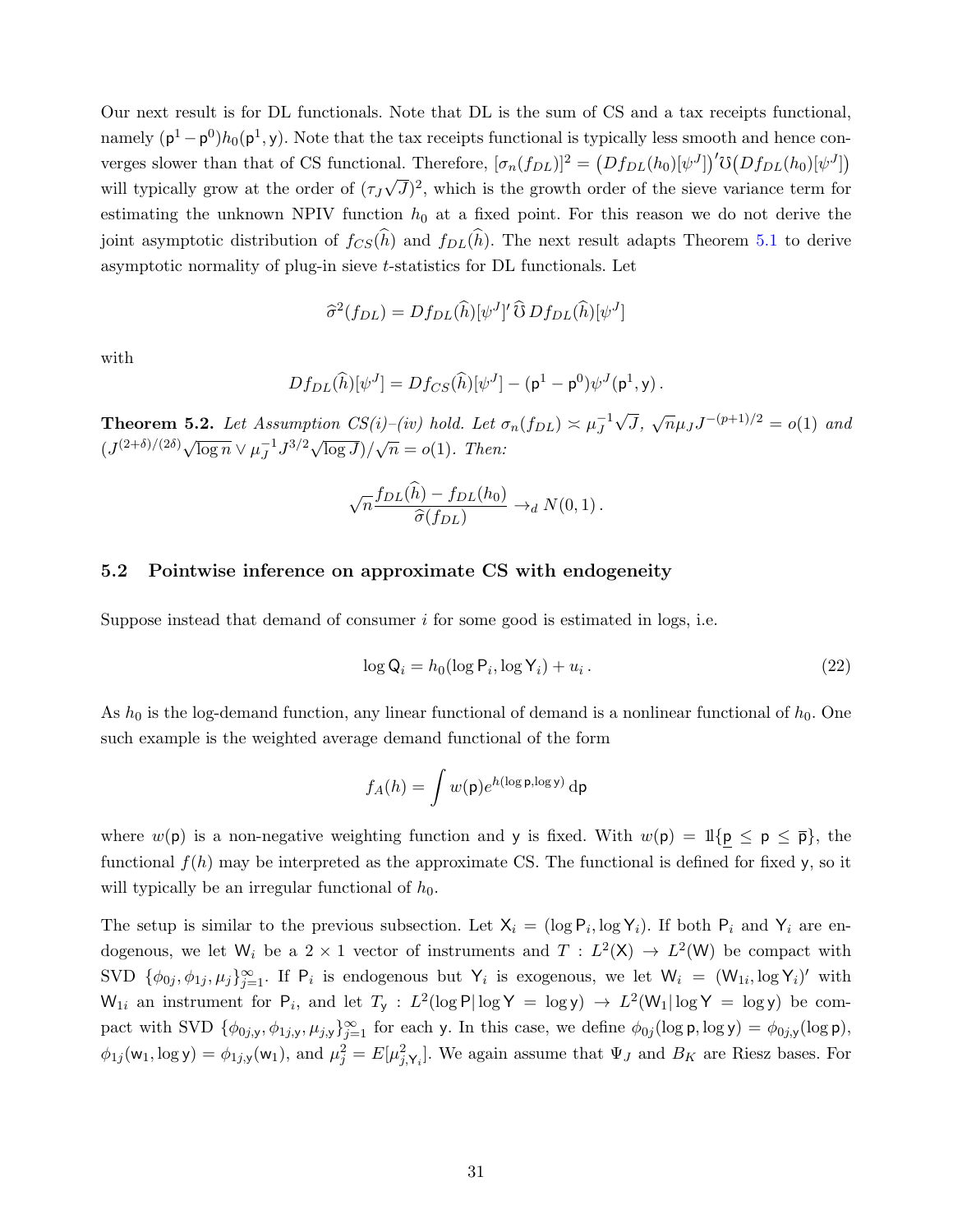Our next result is for DL functionals. Note that DL is the sum of CS and a tax receipts functional, namely  $(\mathsf{p}^1 - \mathsf{p}^0)h_0(\mathsf{p}^1, \mathsf{y})$ . Note that the tax receipts functional is typically less smooth and hence converges slower than that of CS functional. Therefore,  $[\sigma_n(f_{DL})]^2 = (Df_{DL}(h_0)[\psi^J])' \mathfrak{O}(Df_{DL}(h_0)[\psi^J])$ will typically grow at the order of  $(\tau_J\sqrt{J})^2$ , which is the growth order of the sieve variance term for √ estimating the unknown NPIV function  $h_0$  at a fixed point. For this reason we do not derive the joint asymptotic distribution of  $f_{CS}(\hat{h})$  and  $f_{DL}(\hat{h})$ . The next result adapts Theorem [5.1](#page-30-1) to derive asymptotic normality of plug-in sieve t-statistics for DL functionals. Let

$$
\hat{\sigma}^2(f_{DL}) = Df_{DL}(\hat{h})[\psi^J]' \hat{\mathbf{U}} Df_{DL}(\hat{h})[\psi^J]
$$

with

$$
Df_{DL}(\widehat{h})[\psi^J] = Df_{CS}(\widehat{h})[\psi^J] - (\mathsf{p}^1 - \mathsf{p}^0)\psi^J(\mathsf{p}^1, \mathsf{y}).
$$

<span id="page-31-2"></span>**Theorem 5.2.** Let Assumption CS(i)–(iv) hold. Let  $\sigma_n(f_{DL}) \approx \mu_J^{-1}$ J √  $\overline{J}$ ,  $\sqrt{n}\mu_J J^{-(p+1)/2} = o(1)$  and  $(J^{(2+\delta)/(2\delta)}\sqrt{\log n} \vee \mu_I^{-1})$  $\int_J^{-1} J^{3/2} \sqrt{\log J} / \sqrt{n} = o(1)$ . Then:

$$
\sqrt{n} \frac{f_{DL}(\hat{h}) - f_{DL}(h_0)}{\hat{\sigma}(f_{DL})} \rightarrow_d N(0,1).
$$

#### <span id="page-31-0"></span>5.2 Pointwise inference on approximate CS with endogeneity

Suppose instead that demand of consumer  $i$  for some good is estimated in logs, i.e.

<span id="page-31-1"></span>
$$
\log \mathsf{Q}_i = h_0(\log \mathsf{P}_i, \log \mathsf{Y}_i) + u_i. \tag{22}
$$

As  $h_0$  is the log-demand function, any linear functional of demand is a nonlinear functional of  $h_0$ . One such example is the weighted average demand functional of the form

$$
f_A(h) = \int w(\mathsf{p}) e^{h(\log \mathsf{p}, \log y)} d\mathsf{p}
$$

where  $w(\mathsf{p})$  is a non-negative weighting function and y is fixed. With  $w(\mathsf{p}) = \mathbb{1}{\{\mathsf{p} \leq \mathsf{p} \leq \overline{\mathsf{p}}\}}$ , the functional  $f(h)$  may be interpreted as the approximate CS. The functional is defined for fixed y, so it will typically be an irregular functional of  $h_0$ .

The setup is similar to the previous subsection. Let  $X_i = (\log P_i, \log Y_i)$ . If both  $P_i$  and  $Y_i$  are endogenous, we let  $W_i$  be a 2 × 1 vector of instruments and  $T : L^2(\mathsf{X}) \to L^2(\mathsf{W})$  be compact with SVD  $\{\phi_{0j}, \phi_{1j}, \mu_j\}_{j=1}^{\infty}$ . If  $P_i$  is endogenous but  $Y_i$  is exogenous, we let  $W_i = (W_{1i}, \log Y_i)'$  with  $W_{1i}$  an instrument for  $P_i$ , and let  $T_y$ :  $L^2(\log P|\log Y = \log y) \rightarrow L^2(W_1|\log Y = \log y)$  be compact with SVD  $\{\phi_{0j,y}, \phi_{1j,y}, \mu_{j,y}\}_{j=1}^{\infty}$  for each y. In this case, we define  $\phi_{0j}(\log p, \log y) = \phi_{0j,y}(\log p)$ ,  $\phi_{1j}(\mathsf{w}_1, \log \mathsf{y}) = \phi_{1j,\mathsf{y}}(\mathsf{w}_1)$ , and  $\mu_j^2 = E[\mu_{j,\mathsf{Y}_i}^2]$ . We again assume that  $\Psi_J$  and  $B_K$  are Riesz bases. For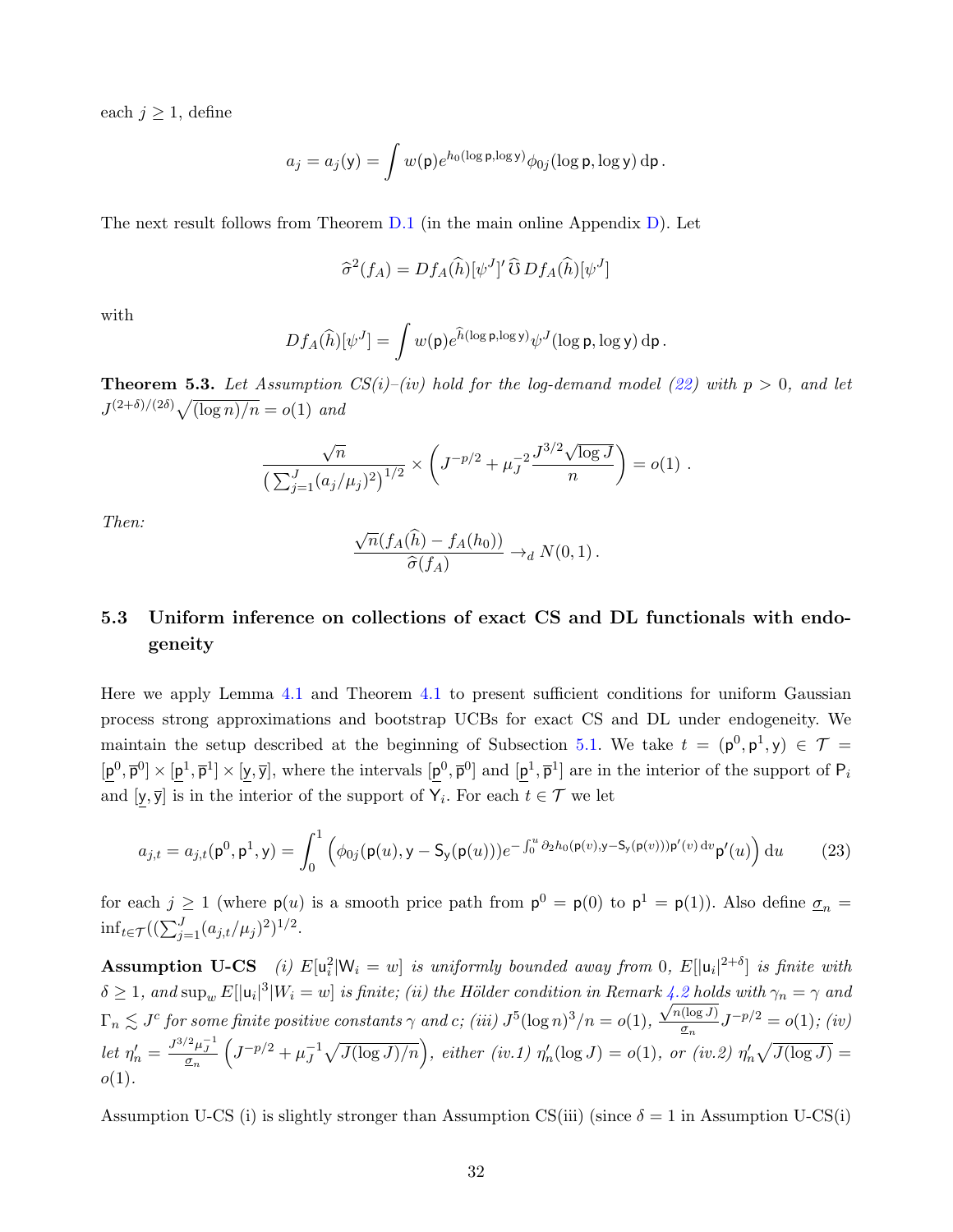each  $j \geq 1$ , define

$$
a_j = a_j(y) = \int w(\mathsf{p}) e^{h_0(\log \mathsf{p}, \log y)} \phi_{0j}(\log \mathsf{p}, \log y) d\mathsf{p}.
$$

The next result follows from Theorem [D.1](#page--1-4) (in the main online Appendix [D\)](#page--1-0). Let

$$
\widehat{\sigma}^2(f_A) = Df_A(\widehat{h})[\psi^J]' \widehat{\mathbb{G}} Df_A(\widehat{h})[\psi^J]
$$

with

$$
Df_A(\widehat{h})[\psi^J] = \int w(\mathsf{p})e^{\widehat{h}(\log \mathsf{p}, \log y)}\psi^J(\log \mathsf{p}, \log y)\,\mathrm{d}\mathsf{p}.
$$

<span id="page-32-1"></span>**Theorem 5.3.** Let Assumption  $CS(i)$ –(iv) hold for the log-demand model [\(22\)](#page-31-1) with  $p > 0$ , and let  $J^{(2+\delta)/(2\delta)}\sqrt{(\log n)/n} = o(1)$  and

$$
\frac{\sqrt{n}}{\left(\sum_{j=1}^J (a_j/\mu_j)^2\right)^{1/2}} \times \left(J^{-p/2} + \mu_J^{-2} \frac{J^{3/2} \sqrt{\log J}}{n}\right) = o(1) .
$$

Then:

$$
\frac{\sqrt{n}(f_A(\widehat{h}) - f_A(h_0))}{\widehat{\sigma}(f_A)} \to_d N(0,1).
$$

## <span id="page-32-0"></span>5.3 Uniform inference on collections of exact CS and DL functionals with endogeneity

Here we apply Lemma [4.1](#page-25-1) and Theorem [4.1](#page-25-2) to present sufficient conditions for uniform Gaussian process strong approximations and bootstrap UCBs for exact CS and DL under endogeneity. We maintain the setup described at the beginning of Subsection [5.1.](#page-29-0) We take  $t = (\rho^0, \rho^1, y) \in \mathcal{T}$  $[p^0, \bar{p}^0] \times [p^1, \bar{p}^1] \times [y, \bar{y}]$ , where the intervals  $[p^0, \bar{p}^0]$  and  $[p^1, \bar{p}^1]$  are in the interior of the support of  $P_i$ and  $[y, \overline{y}]$  is in the interior of the support of  $Y_i$ . For each  $t \in \mathcal{T}$  we let

$$
a_{j,t} = a_{j,t}(\mathbf{p}^0, \mathbf{p}^1, \mathbf{y}) = \int_0^1 \left( \phi_{0j}(\mathbf{p}(u), \mathbf{y} - \mathbf{S}_\mathbf{y}(\mathbf{p}(u))) e^{-\int_0^u \partial_2 h_0(\mathbf{p}(v), \mathbf{y} - \mathbf{S}_\mathbf{y}(\mathbf{p}(v))) \mathbf{p}'(v) dv} \mathbf{p}'(u) \right) du \tag{23}
$$

for each  $j \ge 1$  (where  $p(u)$  is a smooth price path from  $p^0 = p(0)$  to  $p^1 = p(1)$ ). Also define  $q_n =$  $\inf_{t \in \mathcal{T}} ((\sum_{j=1}^J (a_{j,t}/\mu_j)^2)^{1/2}.$ 

**Assumption U-CS** (i)  $E[u_i^2|W_i = w]$  is uniformly bounded away from 0,  $E[|u_i|^{2+\delta}]$  is finite with  $\delta \geq 1$ , and  $\sup_w E[|u_i|^3|W_i=w]$  is finite; (ii) the Hölder condition in Remark [4.2](#page-25-3) holds with  $\gamma_n = \gamma$  and  $\Gamma_n \lesssim J^c$  for some finite positive constants  $\gamma$  and  $c$ ; (iii)  $J^5(\log n)^3/n = o(1), \frac{\sqrt{n(\log J)}}{\sigma}$  $\frac{(\log J)}{g_n} J^{-p/2} = o(1)$ ; (iv) let  $\eta'_n = \frac{J^{3/2} \mu_J^{-1}}{\underline{\sigma}_n}$  $(J^{-p/2} + \mu_J^{-1})$  $\int_J^{-1} \sqrt{J(\log J)/n}$ , either (iv.1)  $\eta'_n(\log J) = o(1)$ , or (iv.2)  $\eta'_n \sqrt{J(\log J)} =$  $o(1)$ .

Assumption U-CS (i) is slightly stronger than Assumption CS(iii) (since  $\delta = 1$  in Assumption U-CS(i)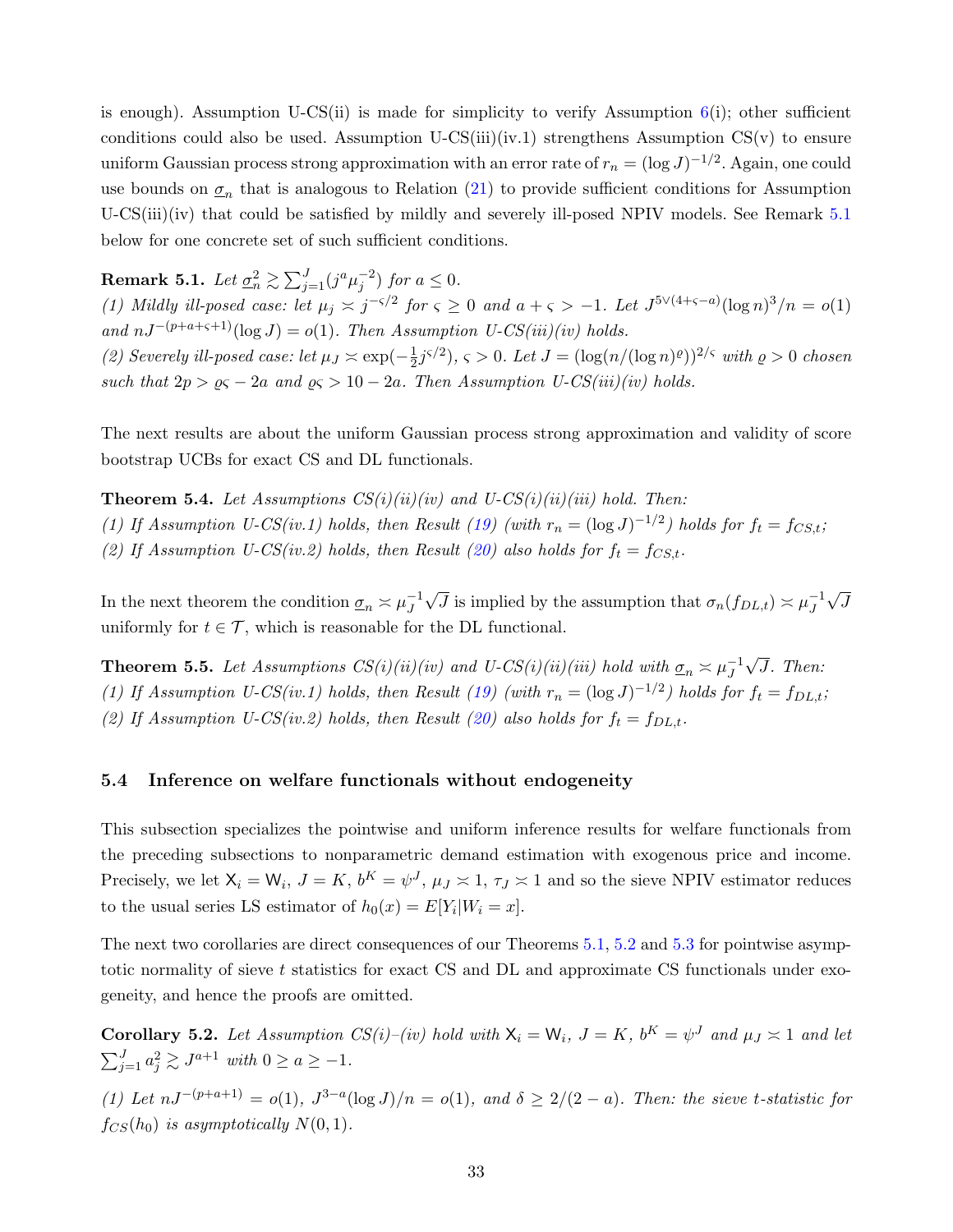is enough). Assumption U-CS(ii) is made for simplicity to verify Assumption  $6(i)$  $6(i)$ ; other sufficient conditions could also be used. Assumption  $U\text{-CS}(iii)(iv.1)$  strengthens Assumption  $CS(v)$  to ensure uniform Gaussian process strong approximation with an error rate of  $r_n = (\log J)^{-1/2}$ . Again, one could use bounds on  $\underline{\sigma}_n$  that is analogous to Relation [\(21\)](#page-30-2) to provide sufficient conditions for Assumption U-CS(iii)(iv) that could be satisfied by mildly and severely ill-posed NPIV models. See Remark [5.1](#page-33-1) below for one concrete set of such sufficient conditions.

<span id="page-33-1"></span>**Remark 5.1.** Let  $\underline{\sigma}_n^2 \gtrsim \sum_{j=1}^J (j^a \mu_j^{-2})$  for  $a \le 0$ .

(1) Mildly ill-posed case: let  $\mu_j \asymp j^{-\varsigma/2}$  for  $\varsigma \geq 0$  and  $a + \varsigma > -1$ . Let  $J^{5\vee(4+\varsigma-a)}(\log n)^3/n = o(1)$ and  $nJ^{-(p+a+\varsigma+1)}(\log J) = o(1)$ . Then Assumption U-CS(iii)(iv) holds.

(2) Severely ill-posed case: let  $\mu_J \approx \exp(-\frac{1}{2})$  $(\frac{1}{2}j^{\varsigma/2}), \varsigma > 0$ . Let  $J = (\log(n/(\log n)^{\varrho}))^{2/\varsigma}$  with  $\varrho > 0$  chosen such that  $2p > \varrho \varsigma - 2a$  and  $\varrho \varsigma > 10 - 2a$ . Then Assumption U-CS(iii)(iv) holds.

The next results are about the uniform Gaussian process strong approximation and validity of score bootstrap UCBs for exact CS and DL functionals.

<span id="page-33-3"></span>**Theorem 5.4.** Let Assumptions  $CS(i)(ii)(iv)$  and U-CS $(i)(iii)(iii)$  hold. Then: (1) If Assumption U-CS(iv.1) holds, then Result [\(19\)](#page-25-4) (with  $r_n = (\log J)^{-1/2}$ ) holds for  $f_t = f_{CS,t}$ ; (2) If Assumption U-CS(iv.2) holds, then Result [\(20\)](#page-25-5) also holds for  $f_t = f_{CS,t}$ .

In the next theorem the condition  $\underline{\sigma}_n \asymp \mu_J^{-1}$ J √  $\overline{J}$  is implied by the assumption that  $\sigma_n(f_{DL,t}) \asymp \mu_J^{-1}$ J √ J uniformly for  $t \in \mathcal{T}$ , which is reasonable for the DL functional.

<span id="page-33-4"></span>**Theorem 5.5.** Let Assumptions  $CS(i)(ii)(iv)$  and U-CS $(i)(iii)(iii)$  hold with  $\underline{\sigma}_n \approx \mu_J^{-1}$ J √ J. Then: (1) If Assumption U-CS(iv.1) holds, then Result [\(19\)](#page-25-4) (with  $r_n = (\log J)^{-1/2}$ ) holds for  $f_t = f_{DL,t}$ ; (2) If Assumption U-CS(iv.2) holds, then Result [\(20\)](#page-25-5) also holds for  $f_t = f_{DL,t}$ .

#### <span id="page-33-0"></span>5.4 Inference on welfare functionals without endogeneity

This subsection specializes the pointwise and uniform inference results for welfare functionals from the preceding subsections to nonparametric demand estimation with exogenous price and income. Precisely, we let  $X_i = W_i$ ,  $J = K$ ,  $b^K = \psi^J$ ,  $\mu_J \approx 1$ ,  $\tau_J \approx 1$  and so the sieve NPIV estimator reduces to the usual series LS estimator of  $h_0(x) = E[Y_i|W_i = x]$ .

The next two corollaries are direct consequences of our Theorems [5.1,](#page-30-1) [5.2](#page-31-2) and [5.3](#page-32-1) for pointwise asymptotic normality of sieve t statistics for exact CS and DL and approximate CS functionals under exogeneity, and hence the proofs are omitted.

<span id="page-33-2"></span>**Corollary 5.2.** Let Assumption  $CS(i)$ –(iv) hold with  $X_i = W_i$ ,  $J = K$ ,  $b^K = \psi^J$  and  $\mu_J \approx 1$  and let  $\sum_{j=1}^{J} a_j^2 \gtrsim J^{a+1}$  with  $0 \ge a \ge -1$ .

(1) Let  $nJ^{-(p+a+1)} = o(1)$ ,  $J^{3-a}(\log J)/n = o(1)$ , and  $\delta \geq 2/(2-a)$ . Then: the sieve t-statistic for  $f_{CS}(h_0)$  is asymptotically  $N(0, 1)$ .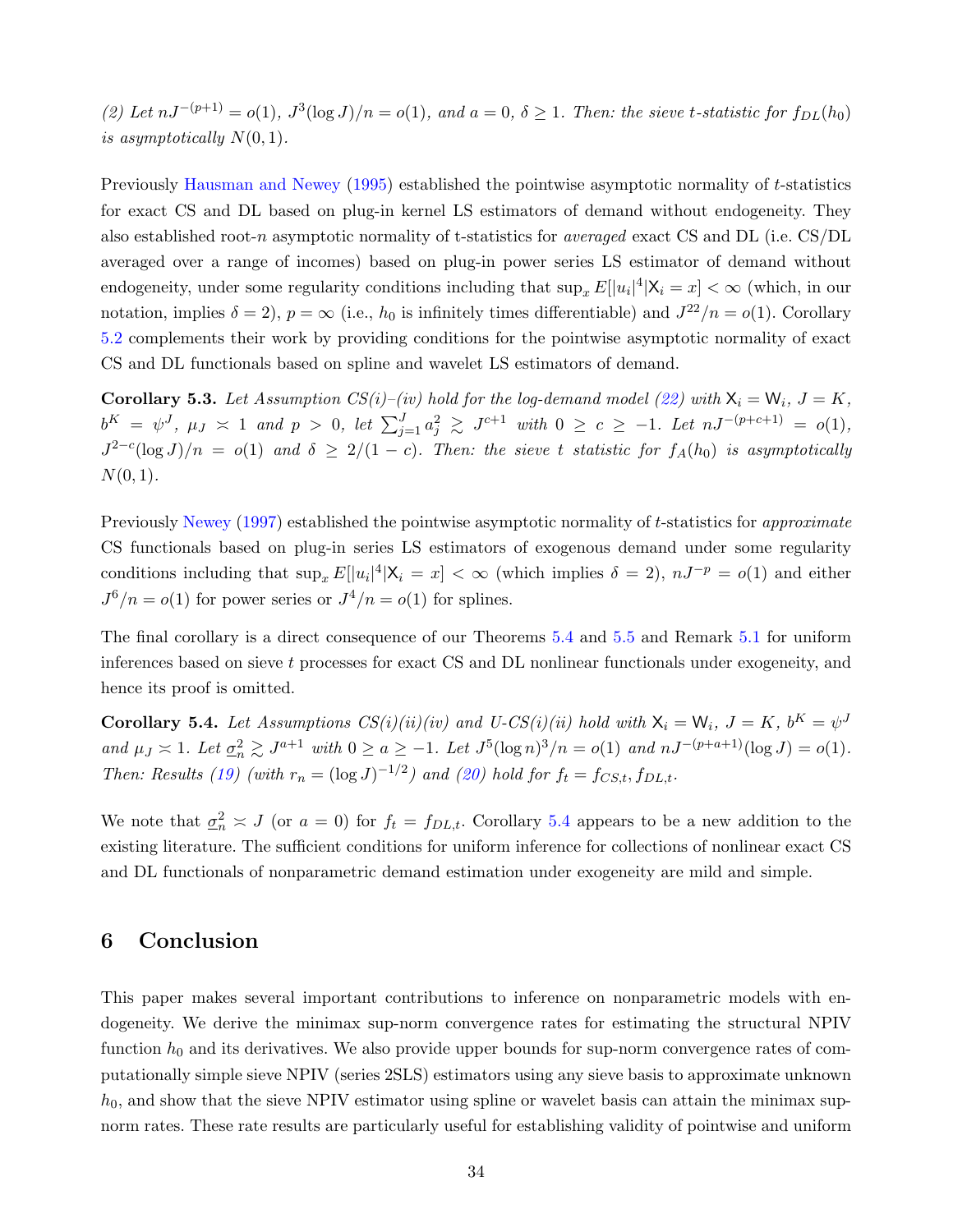(2) Let  $nJ^{-(p+1)} = o(1)$ ,  $J^3(\log J)/n = o(1)$ , and  $a = 0$ ,  $\delta \ge 1$ . Then: the sieve t-statistic for  $f_{DL}(h_0)$ is asymptotically  $N(0, 1)$ .

Previously [Hausman and Newey](#page-38-8) [\(1995\)](#page-38-8) established the pointwise asymptotic normality of t-statistics for exact CS and DL based on plug-in kernel LS estimators of demand without endogeneity. They also established root-n asymptotic normality of t-statistics for *averaged* exact CS and DL (i.e.  $\text{CS}/\text{DL}$ averaged over a range of incomes) based on plug-in power series LS estimator of demand without endogeneity, under some regularity conditions including that  $\sup_x E[|u_i|^4|\mathsf{X}_i=x] < \infty$  (which, in our notation, implies  $\delta = 2$ ,  $p = \infty$  (i.e.,  $h_0$  is infinitely times differentiable) and  $J^{22}/n = o(1)$ . Corollary [5.2](#page-33-2) complements their work by providing conditions for the pointwise asymptotic normality of exact CS and DL functionals based on spline and wavelet LS estimators of demand.

**Corollary 5.3.** Let Assumption  $CS(i)$ –(iv) hold for the log-demand model [\(22\)](#page-31-1) with  $X_i = W_i$ ,  $J = K$ ,  $b^K = \psi^J$ ,  $\mu_J \approx 1$  and  $p > 0$ , let  $\sum_{j=1}^J a_j^2 \gtrsim J^{c+1}$  with  $0 \ge c \ge -1$ . Let  $nJ^{-(p+c+1)} = o(1)$ ,  $J^{2-c}(\log J)/n = o(1)$  and  $\delta \geq 2/(1-c)$ . Then: the sieve t statistic for  $f_A(h_0)$  is asymptotically  $N(0, 1)$ .

Previously [Newey](#page-39-4) [\(1997\)](#page-39-4) established the pointwise asymptotic normality of t-statistics for *approximate* CS functionals based on plug-in series LS estimators of exogenous demand under some regularity conditions including that  $\sup_x E[|u_i|^4 | X_i = x] < \infty$  (which implies  $\delta = 2$ ),  $nJ^{-p} = o(1)$  and either  $J^6/n = o(1)$  for power series or  $J^4/n = o(1)$  for splines.

The final corollary is a direct consequence of our Theorems [5.4](#page-33-3) and [5.5](#page-33-4) and Remark [5.1](#page-33-1) for uniform inferences based on sieve t processes for exact CS and DL nonlinear functionals under exogeneity, and hence its proof is omitted.

<span id="page-34-1"></span>**Corollary 5.4.** Let Assumptions  $CS(i)(ii)(iv)$  and U-CS $(i)(ii)$  hold with  $X_i = W_i$ ,  $J = K$ ,  $b^K = \psi^J$ and  $\mu_J \geq 1$ . Let  $\underline{\sigma}_n^2 \geq J^{a+1}$  with  $0 \geq a \geq -1$ . Let  $J^5(\log n)^3/n = o(1)$  and  $nJ^{-(p+a+1)}(\log J) = o(1)$ . Then: Results [\(19\)](#page-25-4) (with  $r_n = (\log J)^{-1/2}$ ) and [\(20\)](#page-25-5) hold for  $f_t = f_{CS,t}, f_{DL,t}$ .

We note that  $\underline{\sigma}_n^2 \approx J$  (or  $a = 0$ ) for  $f_t = f_{DL,t}$ . Corollary [5.4](#page-34-1) appears to be a new addition to the existing literature. The sufficient conditions for uniform inference for collections of nonlinear exact CS and DL functionals of nonparametric demand estimation under exogeneity are mild and simple.

### <span id="page-34-0"></span>6 Conclusion

This paper makes several important contributions to inference on nonparametric models with endogeneity. We derive the minimax sup-norm convergence rates for estimating the structural NPIV function  $h_0$  and its derivatives. We also provide upper bounds for sup-norm convergence rates of computationally simple sieve NPIV (series 2SLS) estimators using any sieve basis to approximate unknown  $h_0$ , and show that the sieve NPIV estimator using spline or wavelet basis can attain the minimax supnorm rates. These rate results are particularly useful for establishing validity of pointwise and uniform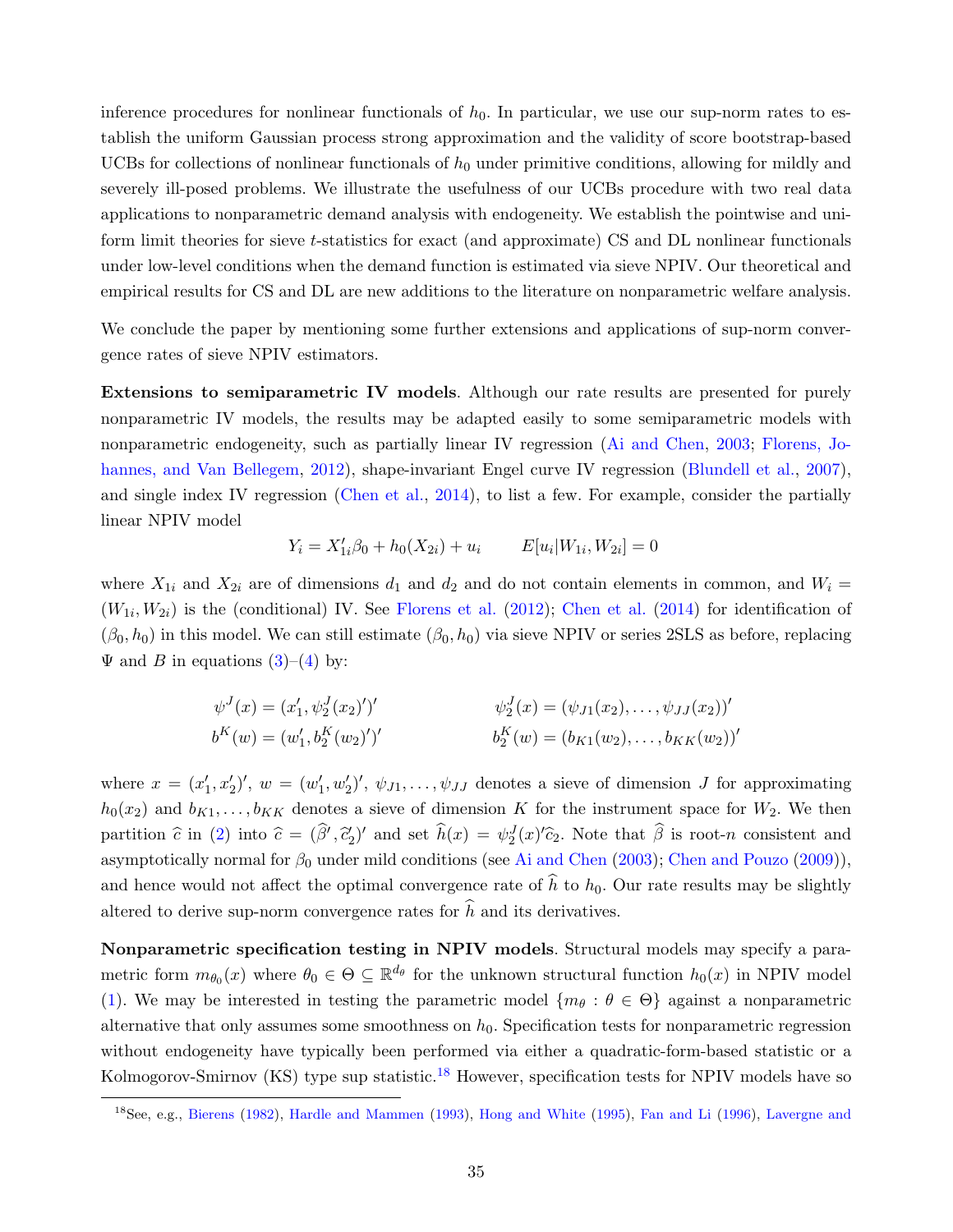inference procedures for nonlinear functionals of  $h_0$ . In particular, we use our sup-norm rates to establish the uniform Gaussian process strong approximation and the validity of score bootstrap-based UCBs for collections of nonlinear functionals of  $h_0$  under primitive conditions, allowing for mildly and severely ill-posed problems. We illustrate the usefulness of our UCBs procedure with two real data applications to nonparametric demand analysis with endogeneity. We establish the pointwise and uniform limit theories for sieve t-statistics for exact (and approximate) CS and DL nonlinear functionals under low-level conditions when the demand function is estimated via sieve NPIV. Our theoretical and empirical results for CS and DL are new additions to the literature on nonparametric welfare analysis.

We conclude the paper by mentioning some further extensions and applications of sup-norm convergence rates of sieve NPIV estimators.

Extensions to semiparametric IV models. Although our rate results are presented for purely nonparametric IV models, the results may be adapted easily to some semiparametric models with nonparametric endogeneity, such as partially linear IV regression [\(Ai and Chen,](#page-37-2) [2003;](#page-37-2) [Florens, Jo](#page-38-15)[hannes, and Van Bellegem,](#page-38-15) [2012\)](#page-38-15), shape-invariant Engel curve IV regression [\(Blundell et al.,](#page-37-3) [2007\)](#page-37-3), and single index IV regression [\(Chen et al.,](#page-37-13) [2014\)](#page-37-13), to list a few. For example, consider the partially linear NPIV model

$$
Y_i = X'_{1i}\beta_0 + h_0(X_{2i}) + u_i \qquad E[u_i|W_{1i}, W_{2i}] = 0
$$

where  $X_{1i}$  and  $X_{2i}$  are of dimensions  $d_1$  and  $d_2$  and do not contain elements in common, and  $W_i =$  $(W_{1i}, W_{2i})$  is the (conditional) IV. See [Florens et al.](#page-38-15) [\(2012\)](#page-38-15); [Chen et al.](#page-37-13) [\(2014\)](#page-37-13) for identification of  $(\beta_0, h_0)$  in this model. We can still estimate  $(\beta_0, h_0)$  via sieve NPIV or series 2SLS as before, replacing  $\Psi$  and B in equations  $(3)-(4)$  $(3)-(4)$  by:

$$
\psi^{J}(x) = (x'_{1}, \psi^{J}_{2}(x_{2})')'
$$
  
\n
$$
\psi^{J}_{2}(x) = (\psi_{J1}(x_{2}), \dots, \psi_{JJ}(x_{2}))'
$$
  
\n
$$
b^{K}(w) = (w'_{1}, b^{K}_{2}(w_{2})')'
$$
  
\n
$$
b^{K}_{2}(w) = (b_{K1}(w_{2}), \dots, b_{KK}(w_{2}))'
$$

where  $x = (x'_1, x'_2)'$ ,  $w = (w'_1, w'_2)'$ ,  $\psi_{J1}, \dots, \psi_{JJ}$  denotes a sieve of dimension J for approximating  $h_0(x_2)$  and  $b_{K1}, \ldots, b_{KK}$  denotes a sieve of dimension K for the instrument space for  $W_2$ . We then partition  $\hat{c}$  in [\(2\)](#page-7-1) into  $\hat{c} = (\hat{\beta}', \hat{c}_2)'$  and set  $\hat{h}(x) = \psi_2^J(x)'\hat{c}_2$ . Note that  $\hat{\beta}$  is root-n consistent and asymptotically normal for  $\beta_0$  under mild conditions (see [Ai and Chen](#page-37-2) [\(2003\)](#page-37-2); [Chen and Pouzo](#page-38-16) [\(2009\)](#page-38-16)), and hence would not affect the optimal convergence rate of  $\hat{h}$  to  $h_0$ . Our rate results may be slightly altered to derive sup-norm convergence rates for  $\hat{h}$  and its derivatives.

Nonparametric specification testing in NPIV models. Structural models may specify a parametric form  $m_{\theta_0}(x)$  where  $\theta_0 \in \Theta \subseteq \mathbb{R}^{d_{\theta}}$  for the unknown structural function  $h_0(x)$  in NPIV model [\(1\)](#page-2-0). We may be interested in testing the parametric model  $\{m_\theta : \theta \in \Theta\}$  against a nonparametric alternative that only assumes some smoothness on  $h_0$ . Specification tests for nonparametric regression without endogeneity have typically been performed via either a quadratic-form-based statistic or a Kolmogorov-Smirnov (KS) type sup statistic.<sup>[18](#page-35-0)</sup> However, specification tests for NPIV models have so

<span id="page-35-0"></span><sup>18</sup>See, e.g., [Bierens](#page-37-14) [\(1982\)](#page-37-14), [Hardle and Mammen](#page-38-17) [\(1993\)](#page-38-17), [Hong and White](#page-38-18) [\(1995\)](#page-38-18), [Fan and Li](#page-38-19) [\(1996\)](#page-38-19), [Lavergne and](#page-39-14)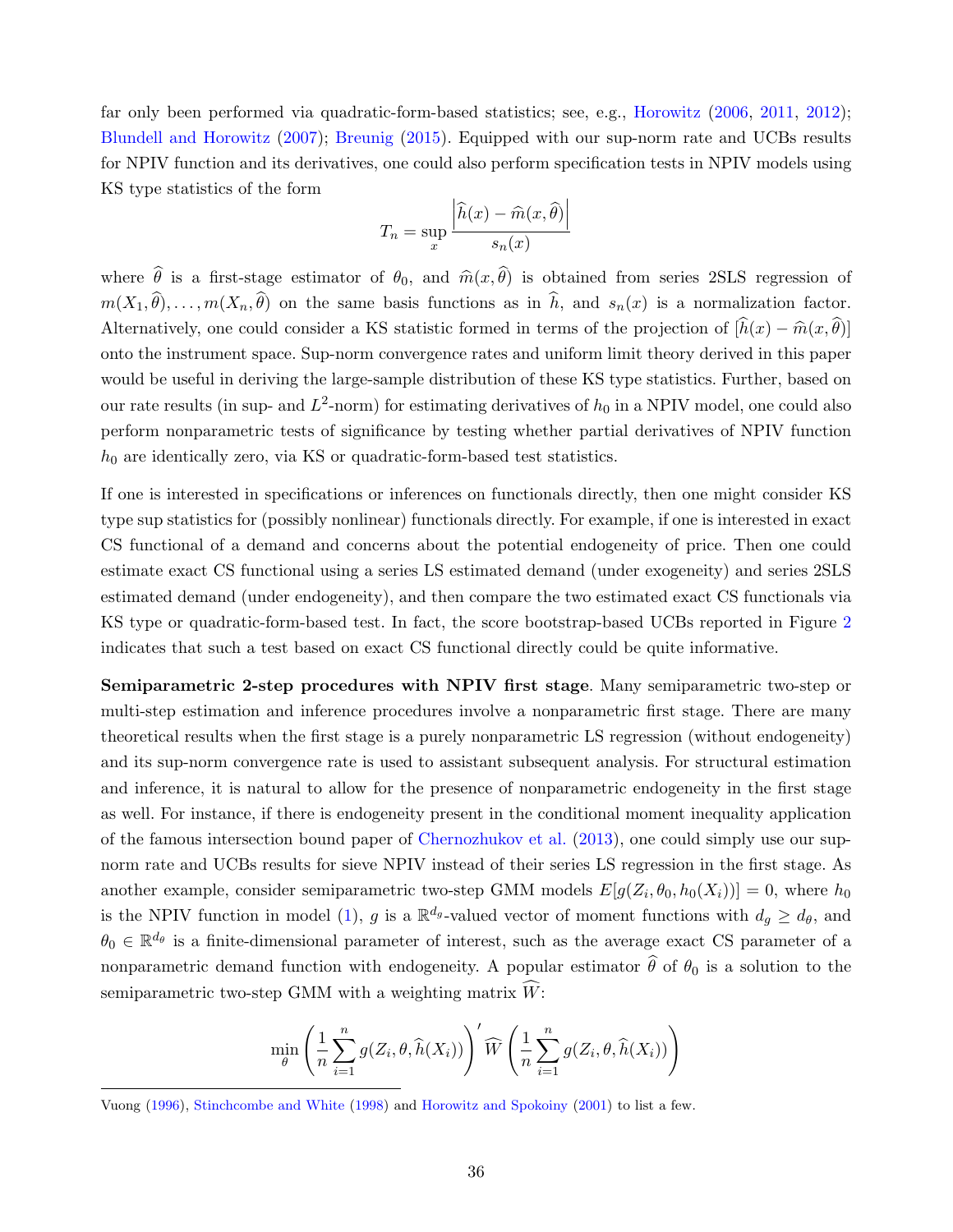[far only been performed via quadratic-form-based statistics; see, e.g.,](#page-39-14) [Horowitz](#page-38-20) [\(2006,](#page-38-20) [2011,](#page-38-3) [2012\)](#page-39-15); [Blundell and Horowitz](#page-37-15) [\(2007\)](#page-37-15); [Breunig](#page-37-16) [\(2015\). Equipped with our sup-norm rate and UCBs results](#page-39-14) [for NPIV function and its derivatives, one could also perform specification tests in NPIV models using](#page-39-14) [KS type statistics of the form](#page-39-14)

$$
T_n = \sup_x \frac{\left| \widehat{h}(x) - \widehat{m}(x, \widehat{\theta}) \right|}{s_n(x)}
$$

where  $\hat{\theta}$  is a first-stage estimator of  $\theta_0$ , and  $\hat{m}(x, \hat{\theta})$  is obtained from series 2SLS regression of  $m(X_1, \hat{\theta}), \ldots, m(X_n, \hat{\theta})$  on the same basis functions as in  $\hat{h}$ , and  $s_n(x)$  is a normalization factor. Alternatively, one could consider a KS statistic formed in terms of the projection of  $[\hat{h}(x) - \hat{m}(x, \hat{\theta})]$ [onto the instrument space. Sup-norm convergence rates and uniform limit theory derived in this paper](#page-39-14) [would be useful in deriving the large-sample distribution of these KS type statistics. Further, based on](#page-39-14) our rate results (in sup- and  $L^2$ [-norm\) for estimating derivatives of](#page-39-14)  $h_0$  in a NPIV model, one could also [perform nonparametric tests of significance by testing whether partial derivatives of NPIV function](#page-39-14)  $h_0$  [are identically zero, via KS or quadratic-form-based test statistics.](#page-39-14)

[If one is interested in specifications or inferences on functionals directly, then one might consider KS](#page-39-14) [type sup statistics for \(possibly nonlinear\) functionals directly. For example, if one is interested in exact](#page-39-14) [CS functional of a demand and concerns about the potential endogeneity of price. Then one could](#page-39-14) [estimate exact CS functional using a series LS estimated demand \(under exogeneity\) and series 2SLS](#page-39-14) [estimated demand \(under endogeneity\), and then compare the two estimated exact CS functionals via](#page-39-14) [KS type or quadratic-form-based test. In fact, the score bootstrap-based UCBs reported in Figure](#page-39-14) [2](#page-12-1) [indicates that such a test based on exact CS functional directly could be quite informative.](#page-39-14)

[Semiparametric 2-step procedures with NPIV first stage](#page-39-14). Many semiparametric two-step or [multi-step estimation and inference procedures involve a nonparametric first stage. There are many](#page-39-14) [theoretical results when the first stage is a purely nonparametric LS regression \(without endogeneity\)](#page-39-14) [and its sup-norm convergence rate is used to assistant subsequent analysis. For structural estimation](#page-39-14) [and inference, it is natural to allow for the presence of nonparametric endogeneity in the first stage](#page-39-14) [as well. For instance, if there is endogeneity present in the conditional moment inequality application](#page-39-14) [of the famous intersection bound paper of](#page-39-14) [Chernozhukov et al.](#page-38-12) [\(2013\)](#page-38-12), one could simply use our sup[norm rate and UCBs results for sieve NPIV instead of their series LS regression in the first stage. As](#page-39-14) [another example, consider semiparametric two-step GMM models](#page-39-14)  $E[g(Z_i, \theta_0, h_0(X_i))] = 0$ , where  $h_0$ is the NPIV function in model [\(1\)](#page-2-0), g is a  $\mathbb{R}^{d_g}$ [-valued vector of moment functions with](#page-39-14)  $d_g \geq d_\theta$ , and  $\theta_0 \in \mathbb{R}^{d_{\theta}}$  [is a finite-dimensional parameter of interest, such as the average exact CS parameter of a](#page-39-14) [nonparametric demand function with endogeneity. A popular estimator](#page-39-14)  $\hat{\theta}$  of  $\theta_0$  is a solution to the [semiparametric two-step GMM with a weighting matrix](#page-39-14)  $\hat{W}$ :

$$
\min_{\theta} \left( \frac{1}{n} \sum_{i=1}^{n} g(Z_i, \theta, \widehat{h}(X_i)) \right)' \widehat{W} \left( \frac{1}{n} \sum_{i=1}^{n} g(Z_i, \theta, \widehat{h}(X_i)) \right)
$$

[Vuong](#page-39-14) [\(1996\)](#page-39-14), [Stinchcombe and White](#page-39-16) [\(1998\)](#page-39-16) and [Horowitz and Spokoiny](#page-39-17) [\(2001\)](#page-39-17) to list a few.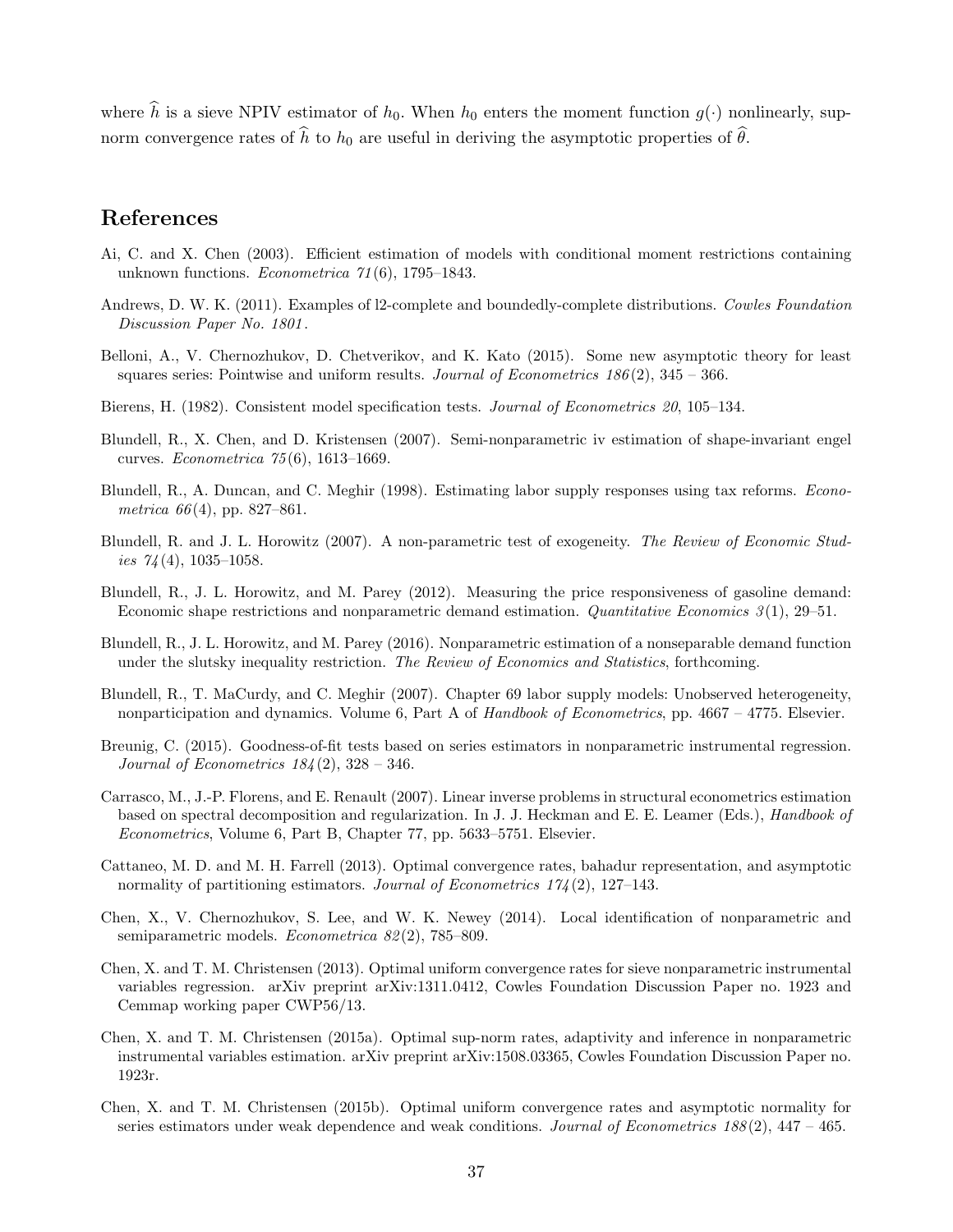where  $\hat{h}$  is a sieve NPIV estimator of  $h_0$ . When  $h_0$  enters the moment function  $g(\cdot)$  nonlinearly, supnorm convergence rates of  $\hat{h}$  to  $h_0$  are useful in deriving the asymptotic properties of  $\hat{\theta}$ .

## References

- <span id="page-37-2"></span>Ai, C. and X. Chen (2003). Efficient estimation of models with conditional moment restrictions containing unknown functions. Econometrica 71 (6), 1795–1843.
- <span id="page-37-12"></span>Andrews, D. W. K. (2011). Examples of l2-complete and boundedly-complete distributions. Cowles Foundation Discussion Paper No. 1801 .
- <span id="page-37-6"></span>Belloni, A., V. Chernozhukov, D. Chetverikov, and K. Kato (2015). Some new asymptotic theory for least squares series: Pointwise and uniform results. Journal of Econometrics  $186(2)$ ,  $345 - 366$ .
- <span id="page-37-14"></span>Bierens, H. (1982). Consistent model specification tests. Journal of Econometrics 20, 105–134.
- <span id="page-37-3"></span>Blundell, R., X. Chen, and D. Kristensen (2007). Semi-nonparametric iv estimation of shape-invariant engel curves. Econometrica 75 (6), 1613–1669.
- <span id="page-37-10"></span>Blundell, R., A. Duncan, and C. Meghir (1998). Estimating labor supply responses using tax reforms. Econometrica  $66(4)$ , pp. 827–861.
- <span id="page-37-15"></span>Blundell, R. and J. L. Horowitz (2007). A non-parametric test of exogeneity. The Review of Economic Studies  $74(4)$ , 1035–1058.
- <span id="page-37-8"></span>Blundell, R., J. L. Horowitz, and M. Parey (2012). Measuring the price responsiveness of gasoline demand: Economic shape restrictions and nonparametric demand estimation. Quantitative Economics  $3(1)$ , 29–51.
- <span id="page-37-9"></span>Blundell, R., J. L. Horowitz, and M. Parey (2016). Nonparametric estimation of a nonseparable demand function under the slutsky inequality restriction. The Review of Economics and Statistics, forthcoming.
- <span id="page-37-11"></span>Blundell, R., T. MaCurdy, and C. Meghir (2007). Chapter 69 labor supply models: Unobserved heterogeneity, nonparticipation and dynamics. Volume 6, Part A of Handbook of Econometrics, pp.  $4667 - 4775$ . Elsevier.
- <span id="page-37-16"></span>Breunig, C. (2015). Goodness-of-fit tests based on series estimators in nonparametric instrumental regression. Journal of Econometrics  $184(2)$ ,  $328 - 346$ .
- <span id="page-37-4"></span>Carrasco, M., J.-P. Florens, and E. Renault (2007). Linear inverse problems in structural econometrics estimation based on spectral decomposition and regularization. In J. J. Heckman and E. E. Leamer (Eds.), Handbook of Econometrics, Volume 6, Part B, Chapter 77, pp. 5633–5751. Elsevier.
- <span id="page-37-5"></span>Cattaneo, M. D. and M. H. Farrell (2013). Optimal convergence rates, bahadur representation, and asymptotic normality of partitioning estimators. Journal of Econometrics  $174(2)$ , 127–143.
- <span id="page-37-13"></span>Chen, X., V. Chernozhukov, S. Lee, and W. K. Newey (2014). Local identification of nonparametric and semiparametric models. Econometrica 82 (2), 785–809.
- <span id="page-37-1"></span>Chen, X. and T. M. Christensen (2013). Optimal uniform convergence rates for sieve nonparametric instrumental variables regression. arXiv preprint arXiv:1311.0412, Cowles Foundation Discussion Paper no. 1923 and Cemmap working paper CWP56/13.
- <span id="page-37-0"></span>Chen, X. and T. M. Christensen (2015a). Optimal sup-norm rates, adaptivity and inference in nonparametric instrumental variables estimation. arXiv preprint arXiv:1508.03365, Cowles Foundation Discussion Paper no. 1923r.
- <span id="page-37-7"></span>Chen, X. and T. M. Christensen (2015b). Optimal uniform convergence rates and asymptotic normality for series estimators under weak dependence and weak conditions. Journal of Econometrics  $188(2)$ ,  $447 - 465$ .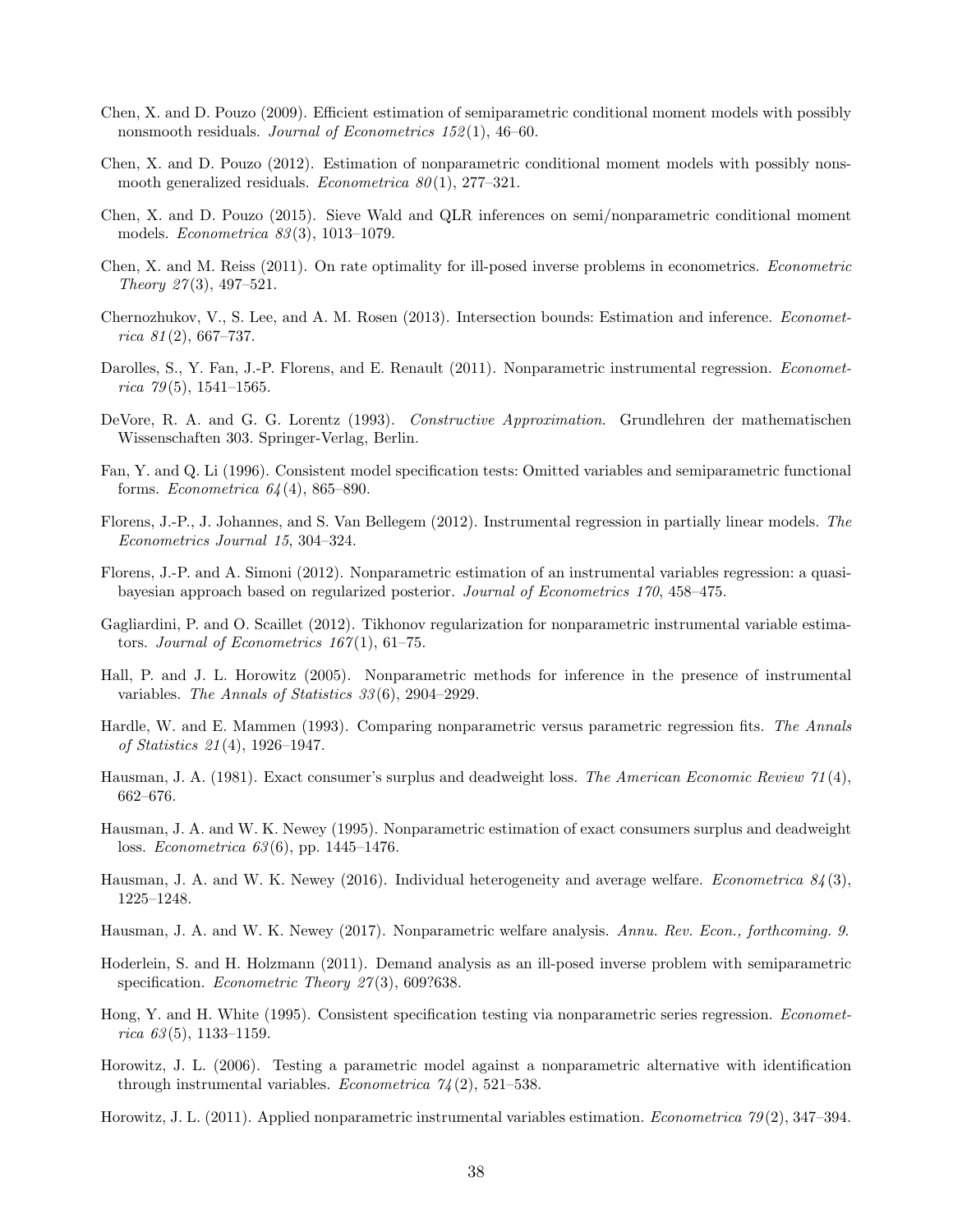- <span id="page-38-16"></span>Chen, X. and D. Pouzo (2009). Efficient estimation of semiparametric conditional moment models with possibly nonsmooth residuals. Journal of Econometrics 152(1), 46–60.
- <span id="page-38-4"></span>Chen, X. and D. Pouzo (2012). Estimation of nonparametric conditional moment models with possibly nonsmooth generalized residuals. *Econometrica*  $80(1)$ , 277–321.
- <span id="page-38-7"></span>Chen, X. and D. Pouzo (2015). Sieve Wald and QLR inferences on semi/nonparametric conditional moment models. Econometrica 83 (3), 1013–1079.
- <span id="page-38-1"></span>Chen, X. and M. Reiss (2011). On rate optimality for ill-posed inverse problems in econometrics. Econometric Theory  $27(3)$ , 497–521.
- <span id="page-38-12"></span>Chernozhukov, V., S. Lee, and A. M. Rosen (2013). Intersection bounds: Estimation and inference. Economet $rica 81(2), 667-737.$
- <span id="page-38-2"></span>Darolles, S., Y. Fan, J.-P. Florens, and E. Renault (2011). Nonparametric instrumental regression. *Economet*rica  $79(5)$ , 1541–1565.
- <span id="page-38-13"></span>DeVore, R. A. and G. G. Lorentz (1993). Constructive Approximation. Grundlehren der mathematischen Wissenschaften 303. Springer-Verlag, Berlin.
- <span id="page-38-19"></span>Fan, Y. and Q. Li (1996). Consistent model specification tests: Omitted variables and semiparametric functional forms. Econometrica  $64(4)$ , 865–890.
- <span id="page-38-15"></span>Florens, J.-P., J. Johannes, and S. Van Bellegem (2012). Instrumental regression in partially linear models. The Econometrics Journal 15, 304–324.
- <span id="page-38-6"></span>Florens, J.-P. and A. Simoni (2012). Nonparametric estimation of an instrumental variables regression: a quasibayesian approach based on regularized posterior. Journal of Econometrics 170, 458–475.
- <span id="page-38-5"></span>Gagliardini, P. and O. Scaillet (2012). Tikhonov regularization for nonparametric instrumental variable estimators. Journal of Econometrics  $167(1)$ , 61–75.
- <span id="page-38-0"></span>Hall, P. and J. L. Horowitz (2005). Nonparametric methods for inference in the presence of instrumental variables. The Annals of Statistics 33 (6), 2904–2929.
- <span id="page-38-17"></span>Hardle, W. and E. Mammen (1993). Comparing nonparametric versus parametric regression fits. The Annals of Statistics 21 (4), 1926–1947.
- <span id="page-38-9"></span>Hausman, J. A. (1981). Exact consumer's surplus and deadweight loss. The American Economic Review 71(4), 662–676.
- <span id="page-38-8"></span>Hausman, J. A. and W. K. Newey (1995). Nonparametric estimation of exact consumers surplus and deadweight loss. Econometrica 63 (6), pp. 1445–1476.
- <span id="page-38-10"></span>Hausman, J. A. and W. K. Newey (2016). Individual heterogeneity and average welfare. *Econometrica*  $84(3)$ , 1225–1248.
- <span id="page-38-11"></span>Hausman, J. A. and W. K. Newey (2017). Nonparametric welfare analysis. Annu. Rev. Econ., forthcoming. 9.
- <span id="page-38-14"></span>Hoderlein, S. and H. Holzmann (2011). Demand analysis as an ill-posed inverse problem with semiparametric specification. Econometric Theory  $27(3)$ , 609?638.
- <span id="page-38-18"></span>Hong, Y. and H. White (1995). Consistent specification testing via nonparametric series regression. Econometrica  $63(5)$ , 1133-1159.
- <span id="page-38-20"></span>Horowitz, J. L. (2006). Testing a parametric model against a nonparametric alternative with identification through instrumental variables. Econometrica  $74(2)$ , 521–538.
- <span id="page-38-3"></span>Horowitz, J. L. (2011). Applied nonparametric instrumental variables estimation. Econometrica 79 (2), 347–394.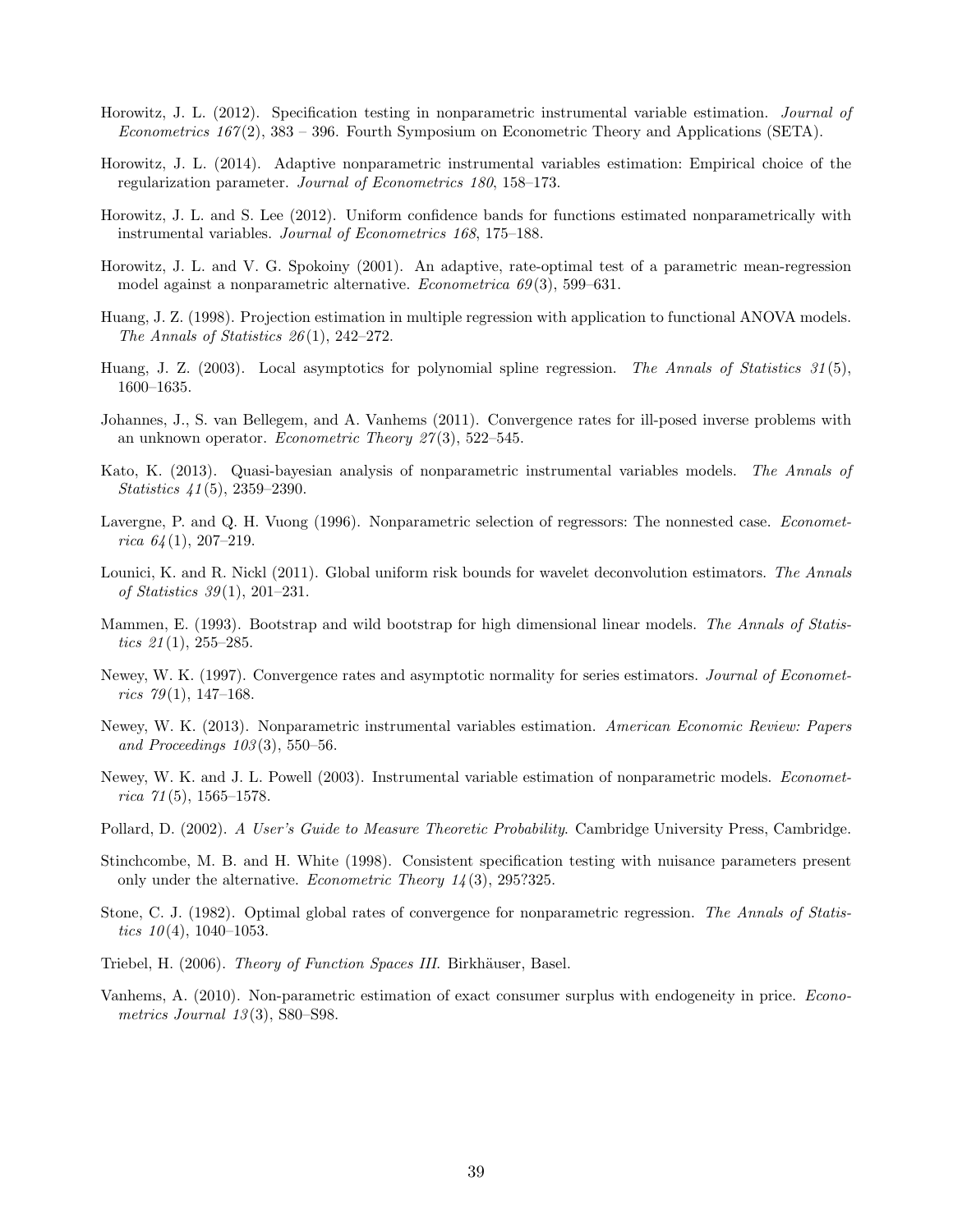- <span id="page-39-15"></span>Horowitz, J. L. (2012). Specification testing in nonparametric instrumental variable estimation. Journal of Econometrics  $167(2)$ , 383 – 396. Fourth Symposium on Econometric Theory and Applications (SETA).
- <span id="page-39-10"></span>Horowitz, J. L. (2014). Adaptive nonparametric instrumental variables estimation: Empirical choice of the regularization parameter. Journal of Econometrics 180, 158–173.
- <span id="page-39-5"></span>Horowitz, J. L. and S. Lee (2012). Uniform confidence bands for functions estimated nonparametrically with instrumental variables. Journal of Econometrics 168, 175–188.
- <span id="page-39-17"></span>Horowitz, J. L. and V. G. Spokoiny (2001). An adaptive, rate-optimal test of a parametric mean-regression model against a nonparametric alternative. *Econometrica 69*(3), 599–631.
- <span id="page-39-7"></span>Huang, J. Z. (1998). Projection estimation in multiple regression with application to functional ANOVA models. The Annals of Statistics  $26(1)$ , 242–272.
- <span id="page-39-11"></span>Huang, J. Z. (2003). Local asymptotics for polynomial spline regression. The Annals of Statistics  $31(5)$ , 1600–1635.
- <span id="page-39-18"></span>Johannes, J., S. van Bellegem, and A. Vanhems (2011). Convergence rates for ill-posed inverse problems with an unknown operator. Econometric Theory  $27(3)$ , 522–545.
- <span id="page-39-1"></span>Kato, K. (2013). Quasi-bayesian analysis of nonparametric instrumental variables models. The Annals of Statistics 41 (5), 2359–2390.
- <span id="page-39-14"></span>Lavergne, P. and Q. H. Vuong (1996). Nonparametric selection of regressors: The nonnested case. *Economet*rica  $64(1)$ , 207-219.
- <span id="page-39-12"></span>Lounici, K. and R. Nickl (2011). Global uniform risk bounds for wavelet deconvolution estimators. The Annals of Statistics 39 (1), 201–231.
- <span id="page-39-8"></span>Mammen, E. (1993). Bootstrap and wild bootstrap for high dimensional linear models. The Annals of Statistics  $21(1)$ , 255–285.
- <span id="page-39-4"></span>Newey, W. K. (1997). Convergence rates and asymptotic normality for series estimators. Journal of Econometrics 79(1), 147–168.
- <span id="page-39-6"></span>Newey, W. K. (2013). Nonparametric instrumental variables estimation. American Economic Review: Papers and Proceedings  $103(3)$ , 550–56.
- <span id="page-39-0"></span>Newey, W. K. and J. L. Powell (2003). Instrumental variable estimation of nonparametric models. *Economet*rica  $71(5)$ , 1565-1578.
- <span id="page-39-13"></span>Pollard, D. (2002). A User's Guide to Measure Theoretic Probability. Cambridge University Press, Cambridge.
- <span id="page-39-16"></span>Stinchcombe, M. B. and H. White (1998). Consistent specification testing with nuisance parameters present only under the alternative. *Econometric Theory*  $14(3)$ , 295?325.
- <span id="page-39-2"></span>Stone, C. J. (1982). Optimal global rates of convergence for nonparametric regression. The Annals of Statistics  $10(4)$ , 1040-1053.
- <span id="page-39-9"></span>Triebel, H. (2006). *Theory of Function Spaces III*. Birkhäuser, Basel.
- <span id="page-39-3"></span>Vanhems, A. (2010). Non-parametric estimation of exact consumer surplus with endogeneity in price. Econometrics Journal  $13(3)$ , S80–S98.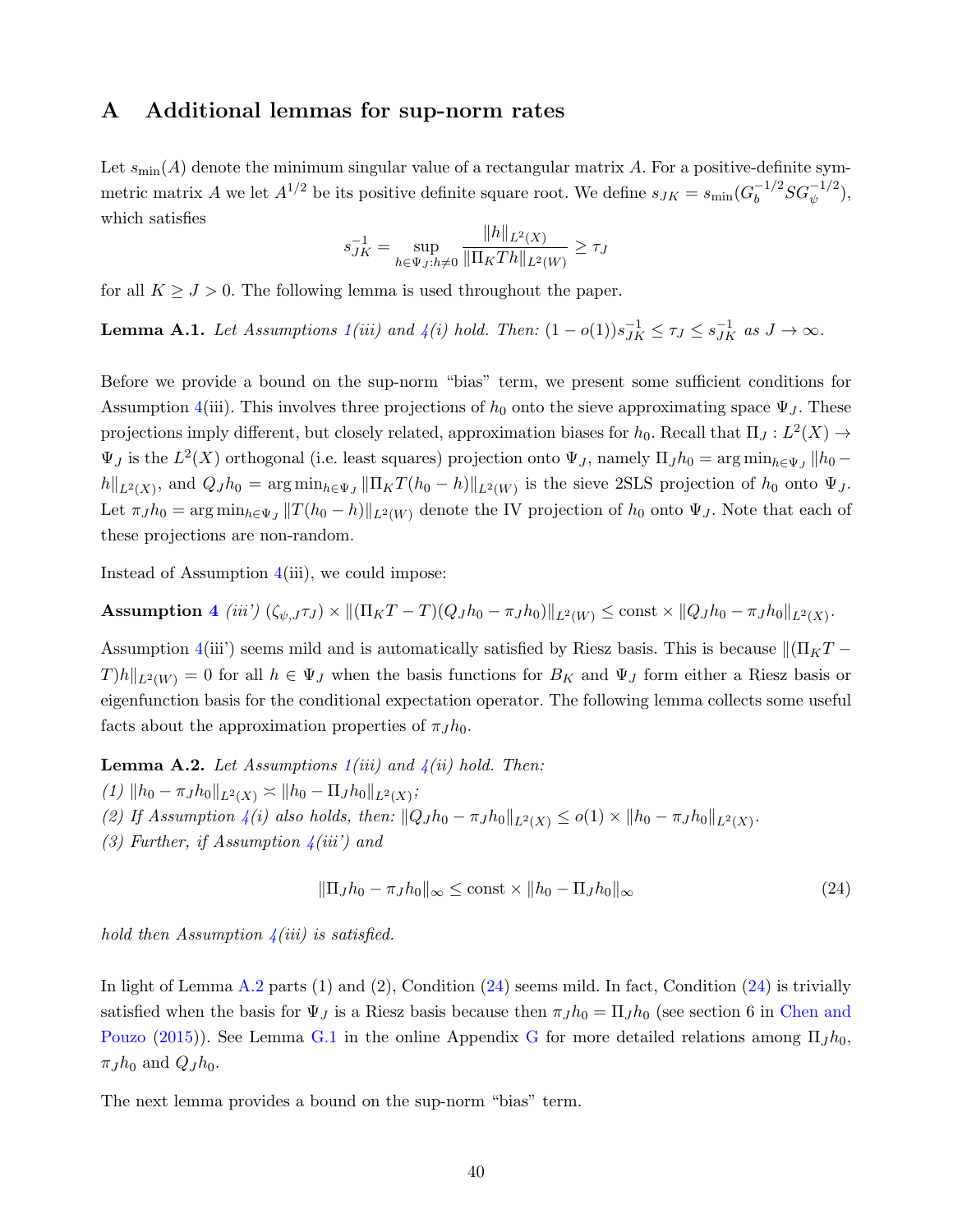## <span id="page-40-0"></span>A Additional lemmas for sup-norm rates

Let  $s_{\text{min}}(A)$  denote the minimum singular value of a rectangular matrix A. For a positive-definite symmetric matrix A we let  $A^{1/2}$  be its positive definite square root. We define  $s_{JK} = s_{\text{min}}(G_b^{-1/2})$  $_b^{-1/2}SG_{\psi}^{-1/2}),$ which satisfies

$$
s_{JK}^{-1} = \sup_{h \in \Psi_J: h \neq 0} \frac{\|h\|_{L^2(X)}}{\|\Pi_K Th\|_{L^2(W)}} \ge \tau_J
$$

for all  $K \geq J > 0$ . The following lemma is used throughout the paper.

**Lemma A.1.** Let Assumptions  $1(iii)$  $1(iii)$  and  $4(i)$  $4(i)$  hold. Then:  $(1 - o(1))s_{JK}^{-1} \leq \tau_J \leq s_{JK}^{-1}$  as  $J \to \infty$ .

Before we provide a bound on the sup-norm "bias" term, we present some sufficient conditions for Assumption [4\(](#page-16-1)iii). This involves three projections of  $h_0$  onto the sieve approximating space  $\Psi_J$ . These projections imply different, but closely related, approximation biases for  $h_0$ . Recall that  $\Pi_J: L^2(X) \to$  $\Psi_J$  is the  $L^2(X)$  orthogonal (i.e. least squares) projection onto  $\Psi_J$ , namely  $\Pi_J h_0 = \arg\min_{h \in \Psi_J} ||h_0$  $h\|_{L^2(X)}$ , and  $Q_J h_0 = \arg \min_{h \in \Psi_J} \|\Pi_K T(h_0 - h)\|_{L^2(W)}$  is the sieve 2SLS projection of  $h_0$  onto  $\Psi_J$ . Let  $\pi_J h_0 = \arg \min_{h \in \Psi_J} ||T(h_0 - h)||_{L^2(W)}$  denote the IV projection of  $h_0$  onto  $\Psi_J$ . Note that each of these projections are non-random.

Instead of Assumption  $4(iii)$  $4(iii)$ , we could impose:

**Assumption 4** (iii') 
$$
(\zeta_{\psi,J}\tau_J) \times ||(\Pi_K T - T)(Q_J h_0 - \pi_J h_0)||_{L^2(W)} \le \text{const} \times ||Q_J h_0 - \pi_J h_0||_{L^2(X)}.
$$

Assumption [4\(](#page-16-1)iii') seems mild and is automatically satisfied by Riesz basis. This is because  $\|(\Pi_KT T|h||_{L^2(W)} = 0$  for all  $h \in \Psi_J$  when the basis functions for  $B_K$  and  $\Psi_J$  form either a Riesz basis or eigenfunction basis for the conditional expectation operator. The following lemma collects some useful facts about the approximation properties of  $\pi_J h_0$ .

<span id="page-40-1"></span>**Lemma A.2.** Let Assumptions  $1(iii)$  $1(iii)$  and  $4(ii)$  $4(ii)$  hold. Then:

- $(1)$   $\|h_0 \pi_J h_0\|_{L^2(X)} \asymp \|h_0 \Pi_J h_0\|_{L^2(X)};$
- (2) If Assumption [4\(](#page-16-1)i) also holds, then:  $||Q_J h_0 \pi_J h_0||_{L^2(X)} \le o(1) \times ||h_0 \pi_J h_0||_{L^2(X)}$ .
- (3) Further, if Assumption  $\frac{1}{4}(iii')$  and

<span id="page-40-2"></span>
$$
\|\Pi_J h_0 - \pi_J h_0\|_{\infty} \le \text{const} \times \|h_0 - \Pi_J h_0\|_{\infty} \tag{24}
$$

hold then Assumption  $\frac{1}{4}(iii)$  is satisfied.

In light of Lemma [A.2](#page-40-1) parts (1) and (2), Condition [\(24\)](#page-40-2) seems mild. In fact, Condition [\(24\)](#page-40-2) is trivially satisfied when the basis for  $\Psi_J$  is a Riesz basis because then  $\pi_J h_0 = \Pi_J h_0$  (see section 6 in [Chen and](#page-38-7) [Pouzo](#page-38-7) [\(2015\)](#page-38-7)). See Lemma [G.1](#page--1-6) in the online Appendix [G](#page--1-3) for more detailed relations among  $\Pi_J h_{0,1}$  $\pi_J h_0$  and  $Q_J h_0$ .

The next lemma provides a bound on the sup-norm "bias" term.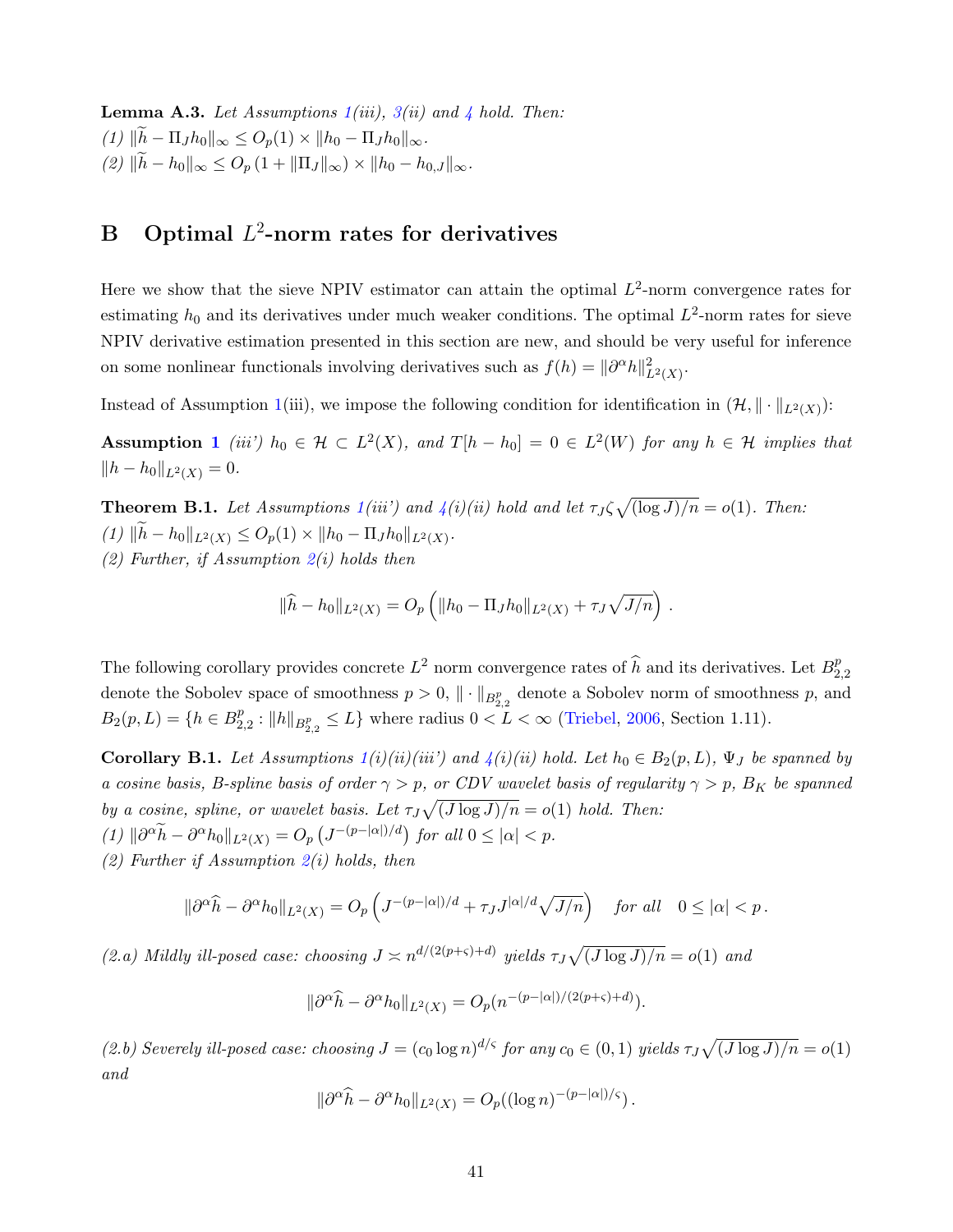**Lemma A.3.** Let Assumptions  $1(iii)$  $1(iii)$ ,  $3(ii)$  $3(ii)$  and  $4$  hold. Then:  $(1)$   $\|\tilde{h} - \Pi_J h_0\|_{\infty} \leq O_p(1) \times \|h_0 - \Pi_J h_0\|_{\infty}$ .  $(2)$   $\|\tilde{h} - h_0\|_{\infty} \leq O_p (1 + \|\Pi_J\|_{\infty}) \times \|h_0 - h_{0,J}\|_{\infty}.$ 

## <span id="page-41-0"></span>B Optimal  $L^2$ -norm rates for derivatives

Here we show that the sieve NPIV estimator can attain the optimal  $L^2$ -norm convergence rates for estimating  $h_0$  and its derivatives under much weaker conditions. The optimal  $L^2$ -norm rates for sieve NPIV derivative estimation presented in this section are new, and should be very useful for inference on some nonlinear functionals involving derivatives such as  $f(h) = ||\partial^{\alpha}h||_{L^2(X)}^2$ .

Instead of Assumption [1\(](#page-15-1)iii), we impose the following condition for identification in  $(\mathcal{H}, \|\cdot\|_{L^2(X)})$ :

**Assumption [1](#page-15-1)** (iii)  $h_0 \in \mathcal{H} \subset L^2(X)$ , and  $T[h-h_0] = 0 \in L^2(W)$  for any  $h \in \mathcal{H}$  implies that  $||h - h_0||_{L^2(X)} = 0.$ 

**Theorem B.1.** Let Assumptions  $1(iii')$  $1(iii')$  and  $4(i)(ii)$  $4(i)(ii)$  hold and let  $\tau_J \zeta \sqrt{(\log J)/n} = o(1)$ . Then: (1)  $||h - h_0||_{L^2(X)} \leq O_p(1) \times ||h_0 - \Pi_J h_0||_{L^2(X)}$ . (2) Further, if Assumption  $2(i)$  $2(i)$  holds then

$$
\|\widehat{h} - h_0\|_{L^2(X)} = O_p\left(\|h_0 - \Pi_J h_0\|_{L^2(X)} + \tau_J \sqrt{J/n}\right).
$$

The following corollary provides concrete  $L^2$  norm convergence rates of  $\widehat{h}$  and its derivatives. Let  $B_2^p$ 2,2 denote the Sobolev space of smoothness  $p > 0$ ,  $\|\cdot\|_{B^{p}_{2,2}}$  denote a Sobolev norm of smoothness p, and  $B_2(p, L) = \{h \in B_2^p\}$  $_{2,2}^{p}:$   $||h||_{B_{2,2}^{p}} \le L$  where radius  $0 < L < \infty$  [\(Triebel,](#page-39-9) [2006,](#page-39-9) Section 1.11).

<span id="page-41-1"></span>Corollary B.1. Let Assumptions  $1(i)(ii)(iii')$  $1(i)(ii)(iii')$  and  $4(i)(ii)$  $4(i)(ii)$  hold. Let  $h_0 \in B_2(p, L)$ ,  $\Psi_J$  be spanned by a cosine basis, B-spline basis of order  $\gamma > p$ , or CDV wavelet basis of regularity  $\gamma > p$ , B<sub>K</sub> be spanned by a cosine, spline, or wavelet basis. Let  $\tau_J \sqrt{(J \log J)/n} = o(1)$  hold. Then:  $(1)$   $\|\partial^{\alpha}\tilde{h} - \partial^{\alpha}h_0\|_{L^2(X)} = O_p\left(J^{-(p-|\alpha|)/d}\right)$  for all  $0 \leq |\alpha| < p$ .

(2) Further if Assumption  $2(i)$  $2(i)$  holds, then

$$
\|\partial^{\alpha}\widehat{h} - \partial^{\alpha}h_0\|_{L^2(X)} = O_p\left(J^{-(p-|\alpha|)/d} + \tau_J J^{|\alpha|/d}\sqrt{J/n}\right) \quad \text{for all} \quad 0 \le |\alpha| < p.
$$

(2.a) Mildly ill-posed case: choosing  $J \n\asymp n^{d/(2(p+\varsigma)+d)}$  yields  $\tau_J \sqrt{(J \log J)/n} = o(1)$  and

$$
\|\partial^{\alpha}\widehat{h} - \partial^{\alpha}h_0\|_{L^2(X)} = O_p(n^{-(p-|\alpha|)/(2(p+\varsigma)+d)}).
$$

(2.b) Severely ill-posed case: choosing  $J = (c_0 \log n)^{d/s}$  for any  $c_0 \in (0,1)$  yields  $\tau_J \sqrt{(J \log J)/n} = o(1)$ and

$$
\|\partial^{\alpha}\widehat{h} - \partial^{\alpha}h_0\|_{L^2(X)} = O_p((\log n)^{-(p-|\alpha|)/\varsigma}).
$$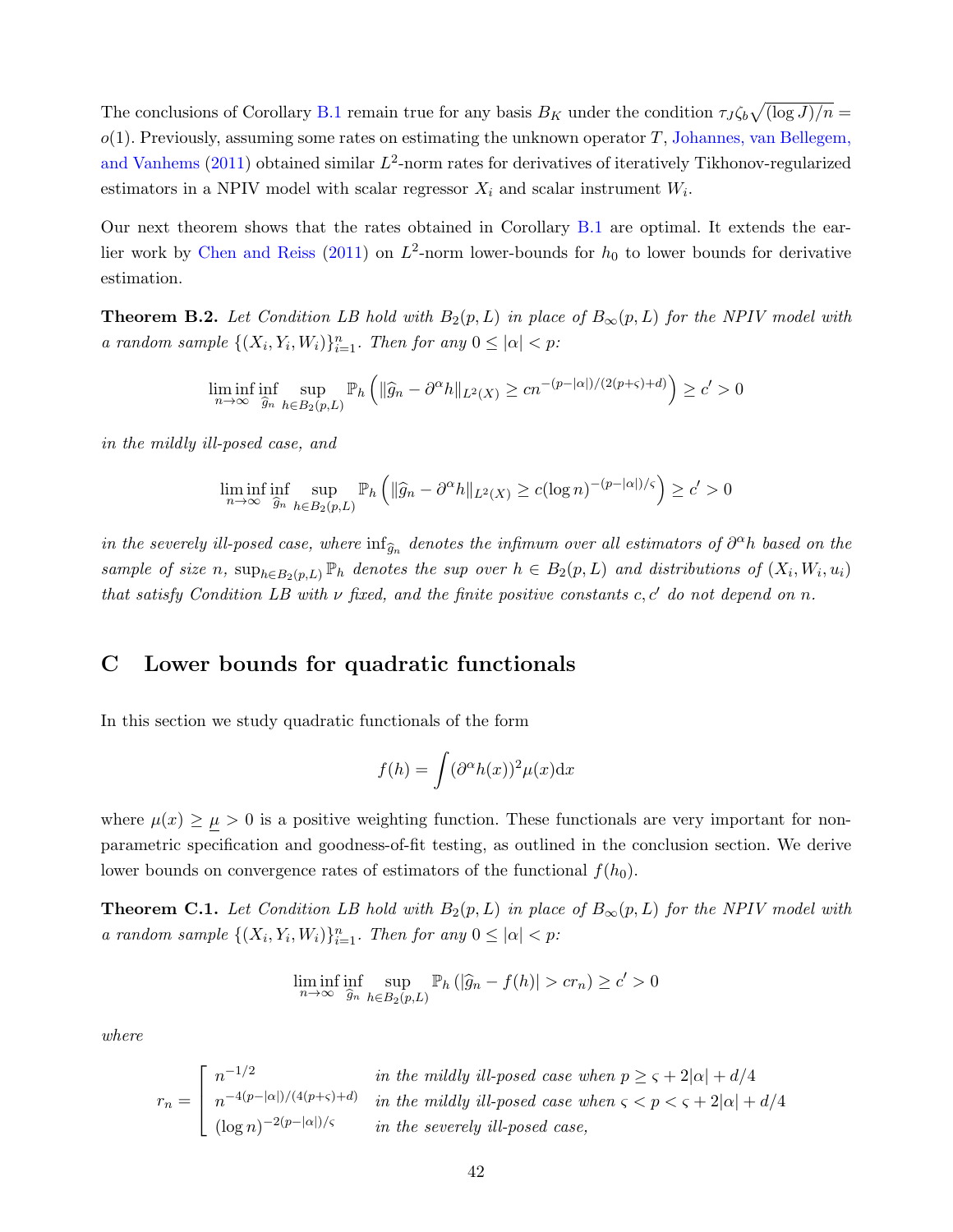The conclusions of Corollary [B.1](#page-41-1) remain true for any basis  $B_K$  under the condition  $\tau_J \zeta_b \sqrt{\frac{\log J}{n}} =$  $o(1)$ . Previously, assuming some rates on estimating the unknown operator T, [Johannes, van Bellegem,](#page-39-18) [and Vanhems](#page-39-18) [\(2011\)](#page-39-18) obtained similar  $L^2$ -norm rates for derivatives of iteratively Tikhonov-regularized estimators in a NPIV model with scalar regressor  $X_i$  and scalar instrument  $W_i$ .

Our next theorem shows that the rates obtained in Corollary [B.1](#page-41-1) are optimal. It extends the ear-lier work by [Chen and Reiss](#page-38-1) [\(2011\)](#page-38-1) on  $L^2$ -norm lower-bounds for  $h_0$  to lower bounds for derivative estimation.

<span id="page-42-1"></span>**Theorem B.2.** Let Condition LB hold with  $B_2(p, L)$  in place of  $B_{\infty}(p, L)$  for the NPIV model with a random sample  $\{(X_i, Y_i, W_i)\}_{i=1}^n$ . Then for any  $0 \leq |\alpha| < p$ :

$$
\liminf_{n \to \infty} \inf_{\widehat{g}_n} \sup_{h \in B_2(p,L)} \mathbb{P}_h \left( \| \widehat{g}_n - \partial^{\alpha} h \|_{L^2(X)} \ge c n^{-(p-|\alpha|)/(2(p+\varsigma)+d)} \right) \ge c' > 0
$$

in the mildly ill-posed case, and

$$
\liminf_{n \to \infty} \inf_{\widehat{g}_n} \sup_{h \in B_2(p,L)} \mathbb{P}_h \left( \| \widehat{g}_n - \partial^{\alpha} h \|_{L^2(X)} \ge c (\log n)^{-(p-|\alpha|)/\varsigma} \right) \ge c' > 0
$$

in the severely ill-posed case, where  $\inf_{\hat{g}_n}$  denotes the infimum over all estimators of  $\partial^{\alpha}h$  based on the sample of size n,  $\sup_{h \in B_2(p,L)} \mathbb{P}_h$  denotes the sup over  $h \in B_2(p,L)$  and distributions of  $(X_i, W_i, u_i)$ that satisfy Condition LB with  $\nu$  fixed, and the finite positive constants c, c' do not depend on n.

### <span id="page-42-0"></span>C Lower bounds for quadratic functionals

In this section we study quadratic functionals of the form

$$
f(h) = \int (\partial^{\alpha}h(x))^{2} \mu(x) \mathrm{d}x
$$

where  $\mu(x) \geq \mu > 0$  is a positive weighting function. These functionals are very important for nonparametric specification and goodness-of-fit testing, as outlined in the conclusion section. We derive lower bounds on convergence rates of estimators of the functional  $f(h_0)$ .

<span id="page-42-2"></span>**Theorem C.1.** Let Condition LB hold with  $B_2(p, L)$  in place of  $B_{\infty}(p, L)$  for the NPIV model with a random sample  $\{(X_i, Y_i, W_i)\}_{i=1}^n$ . Then for any  $0 \leq |\alpha| < p$ :

$$
\liminf_{n \to \infty} \inf_{\widehat{g}_n} \sup_{h \in B_2(p,L)} \mathbb{P}_h(|\widehat{g}_n - f(h)| > cr_n) \ge c' > 0
$$

where

$$
r_n = \begin{bmatrix} n^{-1/2} & \text{in the mildly ill-posed case when } p \ge \varsigma + 2|\alpha| + d/4 \\ n^{-4(p-|\alpha|)/(4(p+\varsigma)+d)} & \text{in the mildly ill-posed case when } \varsigma < p < \varsigma + 2|\alpha| + d/4 \\ (\log n)^{-2(p-|\alpha|)/\varsigma} & \text{in the severely ill-posed case,} \end{bmatrix}
$$